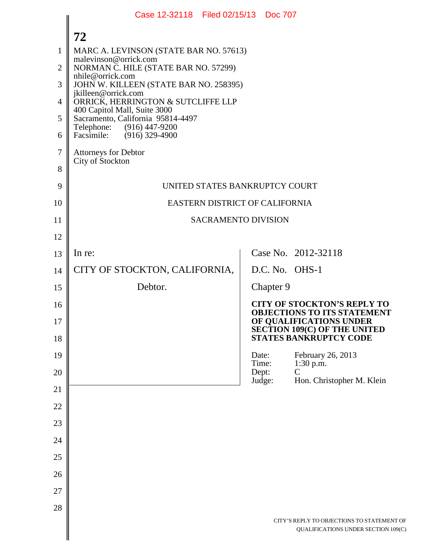|                | Case 12-32118 Filed 02/15/13 Doc 707                              |                |                                                                                   |
|----------------|-------------------------------------------------------------------|----------------|-----------------------------------------------------------------------------------|
|                | 72                                                                |                |                                                                                   |
| $\mathbf{1}$   | MARC A. LEVINSON (STATE BAR NO. 57613)                            |                |                                                                                   |
| $\overline{2}$ | malevinson@orrick.com<br>NORMAN C. HILE (STATE BAR NO. 57299)     |                |                                                                                   |
| 3              | nhile@orrick.com<br>JOHN W. KILLEEN (STATE BAR NO. 258395)        |                |                                                                                   |
| $\overline{4}$ | jkilleen@orrick.com<br>ORRICK, HERRINGTON & SUTCLIFFE LLP         |                |                                                                                   |
| 5              | 400 Capitol Mall, Suite 3000<br>Sacramento, California 95814-4497 |                |                                                                                   |
| 6              | Telephone: (916) 447-9200<br>Facsimile: (916) 329-4900            |                |                                                                                   |
| $\tau$         | <b>Attorneys for Debtor</b>                                       |                |                                                                                   |
| 8              | City of Stockton                                                  |                |                                                                                   |
| 9              | UNITED STATES BANKRUPTCY COURT                                    |                |                                                                                   |
| 10             | EASTERN DISTRICT OF CALIFORNIA                                    |                |                                                                                   |
| 11             | <b>SACRAMENTO DIVISION</b>                                        |                |                                                                                   |
| 12             |                                                                   |                |                                                                                   |
| 13             | In re:                                                            |                | Case No. 2012-32118                                                               |
| 14             | CITY OF STOCKTON, CALIFORNIA,                                     |                | D.C. No. OHS-1                                                                    |
| 15             | Debtor.                                                           | Chapter 9      |                                                                                   |
| 16             |                                                                   |                | <b>CITY OF STOCKTON'S REPLY TO</b><br><b>OBJECTIONS TO ITS STATEMENT</b>          |
| 17             |                                                                   |                | OF QUALIFICATIONS UNDER                                                           |
| 18             |                                                                   |                | <b>SECTION 109(C) OF THE UNITED</b><br><b>STATES BANKRUPTCY CODE</b>              |
| 19             |                                                                   | Date:<br>Time: | February 26, 2013                                                                 |
| 20             |                                                                   | Dept:          | $1:30 \text{ p.m.}$<br>$\overline{C}$                                             |
| 21             |                                                                   | Judge:         | Hon. Christopher M. Klein                                                         |
| 22             |                                                                   |                |                                                                                   |
| 23             |                                                                   |                |                                                                                   |
| 24             |                                                                   |                |                                                                                   |
| 25             |                                                                   |                |                                                                                   |
| 26             |                                                                   |                |                                                                                   |
| 27             |                                                                   |                |                                                                                   |
| 28             |                                                                   |                |                                                                                   |
|                |                                                                   |                | CITY'S REPLY TO OBJECTIONS TO STATEMENT OF<br>QUALIFICATIONS UNDER SECTION 109(C) |
|                |                                                                   |                |                                                                                   |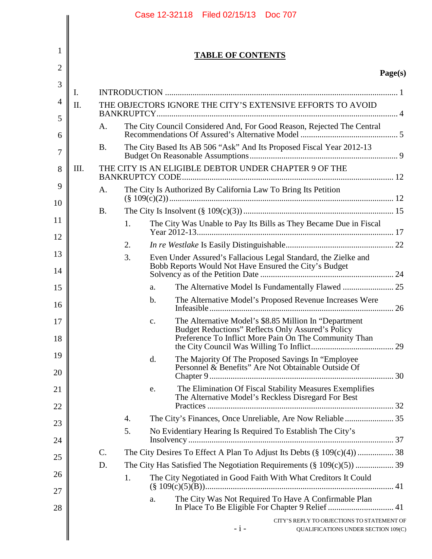| 2        |      |           |    |    | <b>TABLE OF CONTENTS</b>                                                                                                                                            |         |
|----------|------|-----------|----|----|---------------------------------------------------------------------------------------------------------------------------------------------------------------------|---------|
|          |      |           |    |    |                                                                                                                                                                     | Page(s) |
|          | I.   |           |    |    |                                                                                                                                                                     |         |
|          | Π.   |           |    |    | THE OBJECTORS IGNORE THE CITY'S EXTENSIVE EFFORTS TO AVOID                                                                                                          |         |
|          |      | A.        |    |    | The City Council Considered And, For Good Reason, Rejected The Central                                                                                              |         |
|          |      |           |    |    |                                                                                                                                                                     |         |
|          |      | Β.        |    |    | The City Based Its AB 506 "Ask" And Its Proposed Fiscal Year 2012-13                                                                                                |         |
|          | III. |           |    |    | THE CITY IS AN ELIGIBLE DEBTOR UNDER CHAPTER 9 OF THE                                                                                                               |         |
|          |      | A.        |    |    | The City Is Authorized By California Law To Bring Its Petition                                                                                                      |         |
| 10       |      | <b>B.</b> |    |    |                                                                                                                                                                     |         |
|          |      |           | 1. |    | The City Was Unable to Pay Its Bills as They Became Due in Fiscal                                                                                                   |         |
|          |      |           | 2. |    |                                                                                                                                                                     |         |
|          |      |           | 3. |    | Even Under Assured's Fallacious Legal Standard, the Zielke and<br>Bobb Reports Would Not Have Ensured the City's Budget                                             |         |
|          |      |           |    | a. |                                                                                                                                                                     |         |
|          |      |           |    | b. | The Alternative Model's Proposed Revenue Increases Were                                                                                                             |         |
| 17<br>18 |      |           |    | c. | The Alternative Model's \$8.85 Million In "Department<br>Budget Reductions" Reflects Only Assured's Policy<br>Preference To Inflict More Pain On The Community Than |         |
|          |      |           |    | d. | The Majority Of The Proposed Savings In "Employee<br>Personnel & Benefits" Are Not Obtainable Outside Of                                                            |         |
|          |      |           |    | e. | The Elimination Of Fiscal Stability Measures Exemplifies<br>The Alternative Model's Reckless Disregard For Best                                                     |         |
|          |      |           | 4. |    | The City's Finances, Once Unreliable, Are Now Reliable 35                                                                                                           |         |
|          |      |           | 5. |    | No Evidentiary Hearing Is Required To Establish The City's                                                                                                          |         |
|          |      |           |    |    |                                                                                                                                                                     |         |
|          |      | C.<br>D.  |    |    | The City Desires To Effect A Plan To Adjust Its Debts (§ 109(c)(4))  38                                                                                             |         |
|          |      |           | 1. |    | The City Negotiated in Good Faith With What Creditors It Could                                                                                                      |         |
|          |      |           |    | a. | The City Was Not Required To Have A Confirmable Plan                                                                                                                |         |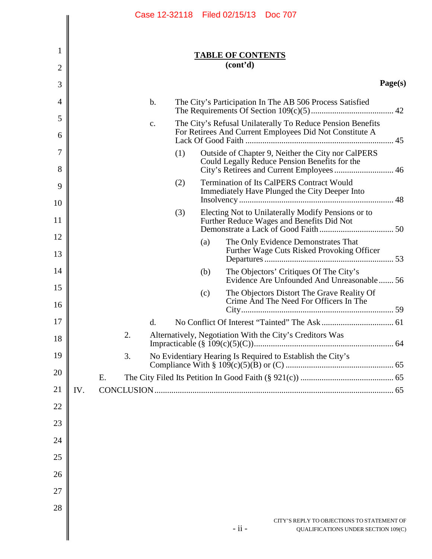|                     |     | Case 12-32118 Filed 02/15/13 Doc 707                                                                                                                    |                                                                                   |
|---------------------|-----|---------------------------------------------------------------------------------------------------------------------------------------------------------|-----------------------------------------------------------------------------------|
| 1<br>$\overline{2}$ |     | <b>TABLE OF CONTENTS</b><br>(cont <sup>2</sup> d)                                                                                                       |                                                                                   |
|                     |     |                                                                                                                                                         |                                                                                   |
| 3                   |     |                                                                                                                                                         | Page(s)                                                                           |
| $\overline{4}$      |     | $b$ .<br>The City's Participation In The AB 506 Process Satisfied                                                                                       |                                                                                   |
| 5<br>6              |     | The City's Refusal Unilaterally To Reduce Pension Benefits<br>c.<br>For Retirees And Current Employees Did Not Constitute A                             |                                                                                   |
| 7<br>8              |     | (1)<br>Outside of Chapter 9, Neither the City nor CalPERS<br>Could Legally Reduce Pension Benefits for the<br>City's Retirees and Current Employees  46 |                                                                                   |
| 9                   |     | Termination of Its CalPERS Contract Would<br>(2)<br>Immediately Have Plunged the City Deeper Into                                                       |                                                                                   |
| 10<br>11            |     | (3)<br>Electing Not to Unilaterally Modify Pensions or to<br>Further Reduce Wages and Benefits Did Not                                                  |                                                                                   |
| 12<br>13            |     | The Only Evidence Demonstrates That<br>(a)<br>Further Wage Cuts Risked Provoking Officer                                                                |                                                                                   |
| 14                  |     | The Objectors' Critiques Of The City's<br>(b)<br>Evidence Are Unfounded And Unreasonable 56                                                             |                                                                                   |
| 15<br>16            |     | The Objectors Distort The Grave Reality Of<br>(c)<br>Crime And The Need For Officers In The                                                             |                                                                                   |
| $17\,$              |     | d.                                                                                                                                                      |                                                                                   |
| 18                  |     | 2.<br>Alternatively, Negotiation With the City's Creditors Was                                                                                          |                                                                                   |
| 19                  |     | Impracticable $(\S 109(c)(5)(C))$ .<br>No Evidentiary Hearing Is Required to Establish the City's<br>3.                                                 |                                                                                   |
| 20                  |     |                                                                                                                                                         |                                                                                   |
| 21                  | IV. | Ε.                                                                                                                                                      |                                                                                   |
| 22                  |     |                                                                                                                                                         |                                                                                   |
| 23                  |     |                                                                                                                                                         |                                                                                   |
| 24                  |     |                                                                                                                                                         |                                                                                   |
| 25                  |     |                                                                                                                                                         |                                                                                   |
| 26                  |     |                                                                                                                                                         |                                                                                   |
| 27                  |     |                                                                                                                                                         |                                                                                   |
| 28                  |     |                                                                                                                                                         |                                                                                   |
|                     |     | - ii -                                                                                                                                                  | CITY'S REPLY TO OBJECTIONS TO STATEMENT OF<br>QUALIFICATIONS UNDER SECTION 109(C) |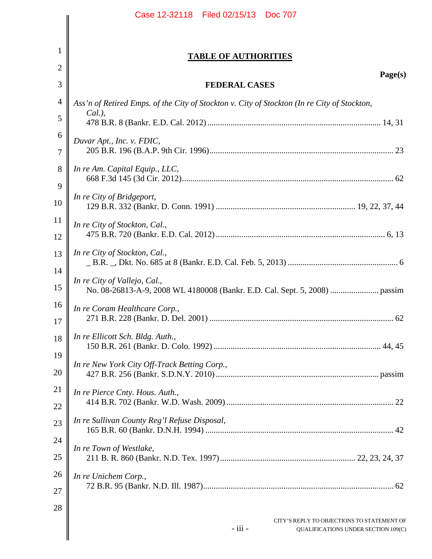|                | Case 12-32118 Filed 02/15/13 Doc 707                                                         |
|----------------|----------------------------------------------------------------------------------------------|
|                |                                                                                              |
| $\mathbf{1}$   | <b>TABLE OF AUTHORITIES</b>                                                                  |
| $\overline{2}$ | Page(s)                                                                                      |
| 3              | <b>FEDERAL CASES</b>                                                                         |
| $\overline{4}$ | Ass'n of Retired Emps. of the City of Stockton v. City of Stockton (In re City of Stockton,  |
| 5              | $Cal.$ ),                                                                                    |
| 6<br>7         | Duvar Apt., Inc. v. FDIC,                                                                    |
| 8<br>9         | In re Am. Capital Equip., LLC,                                                               |
| 10             | In re City of Bridgeport,                                                                    |
| 11<br>12       | In re City of Stockton, Cal.,                                                                |
| 13<br>14       | In re City of Stockton, Cal.,                                                                |
| 15             | In re City of Vallejo, Cal.,                                                                 |
| 16<br>17       | In re Coram Healthcare Corp.,                                                                |
| 18<br>19       | In re Ellicott Sch. Bldg. Auth.,                                                             |
| 20             | In re New York City Off-Track Betting Corp.,                                                 |
| 21<br>22       | In re Pierce Cnty. Hous. Auth.,                                                              |
| 23             | In re Sullivan County Reg'l Refuse Disposal,                                                 |
| 24<br>25       | In re Town of Westlake,                                                                      |
| 26<br>27       | In re Unichem Corp.,                                                                         |
| 28             | CITY'S REPLY TO OBJECTIONS TO STATEMENT OF<br>- iii -<br>QUALIFICATIONS UNDER SECTION 109(C) |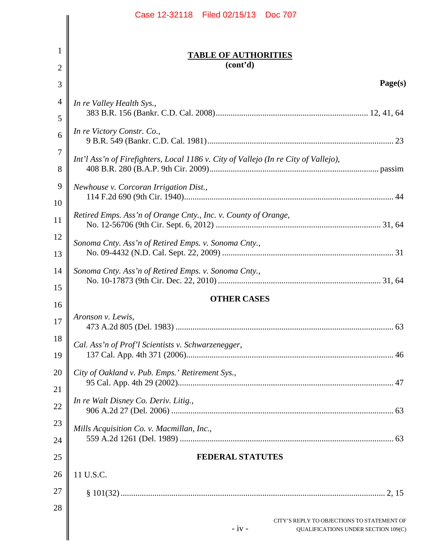|                | Case 12-32118 Filed 02/15/13 Doc 707                                                         |
|----------------|----------------------------------------------------------------------------------------------|
|                |                                                                                              |
| 1              | <b>TABLE OF AUTHORITIES</b>                                                                  |
| $\overline{2}$ | (cont'd)                                                                                     |
| 3              | Page(s)                                                                                      |
| $\overline{4}$ | In re Valley Health Sys.,                                                                    |
| 5              |                                                                                              |
| 6              | In re Victory Constr. Co.,                                                                   |
| 7              |                                                                                              |
| 8              | Int'l Ass'n of Firefighters, Local 1186 v. City of Vallejo (In re City of Vallejo),          |
| 9              | Newhouse v. Corcoran Irrigation Dist.,                                                       |
| 10             |                                                                                              |
| 11             | Retired Emps. Ass'n of Orange Cnty., Inc. v. County of Orange,                               |
| 12             | Sonoma Cnty. Ass'n of Retired Emps. v. Sonoma Cnty.,                                         |
| 13             |                                                                                              |
| 14             | Sonoma Cnty. Ass'n of Retired Emps. v. Sonoma Cnty.,                                         |
| 15             |                                                                                              |
| 16             | <b>OTHER CASES</b>                                                                           |
| 17             | Aronson v. Lewis,                                                                            |
| 18             | Cal. Ass'n of Prof'l Scientists v. Schwarzenegger,                                           |
| 19             |                                                                                              |
| 20             | City of Oakland v. Pub. Emps.' Retirement Sys.,                                              |
| 21             | In re Walt Disney Co. Deriv. Litig.,                                                         |
| 22             |                                                                                              |
| 23             | Mills Acquisition Co. v. Macmillan, Inc.,                                                    |
| 24             |                                                                                              |
| 25             | <b>FEDERAL STATUTES</b>                                                                      |
| 26             | 11 U.S.C.                                                                                    |
| 27             |                                                                                              |
| 28             | CITY'S REPLY TO OBJECTIONS TO STATEMENT OF<br>$-iv -$<br>QUALIFICATIONS UNDER SECTION 109(C) |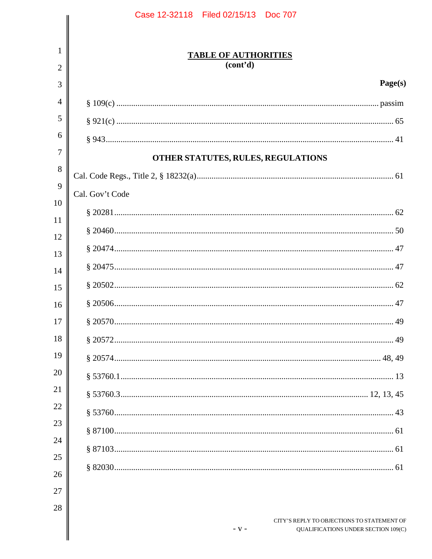|                | Case 12-32118 Filed 02/15/13 Doc 707                                                        |
|----------------|---------------------------------------------------------------------------------------------|
|                |                                                                                             |
| 1<br>2         | <b>TABLE OF AUTHORITIES</b><br>(cont <sup>2</sup> d)                                        |
| 3              | Page(s)                                                                                     |
| $\overline{A}$ |                                                                                             |
| 5              |                                                                                             |
| 6              |                                                                                             |
| 7              |                                                                                             |
| 8              | OTHER STATUTES, RULES, REGULATIONS                                                          |
| 9              |                                                                                             |
| 10             | Cal. Gov't Code                                                                             |
| 11             |                                                                                             |
| 12             |                                                                                             |
| 13             |                                                                                             |
| 14             |                                                                                             |
| 15             |                                                                                             |
| 16             |                                                                                             |
| 17             |                                                                                             |
| 18             |                                                                                             |
| 19             |                                                                                             |
| 20             |                                                                                             |
| 21             |                                                                                             |
| 22             |                                                                                             |
| 23             |                                                                                             |
| 24             |                                                                                             |
| 25             |                                                                                             |
| 26             |                                                                                             |
| 27             |                                                                                             |
| 28             |                                                                                             |
|                | CITY'S REPLY TO OBJECTIONS TO STATEMENT OF<br>$-V -$<br>QUALIFICATIONS UNDER SECTION 109(C) |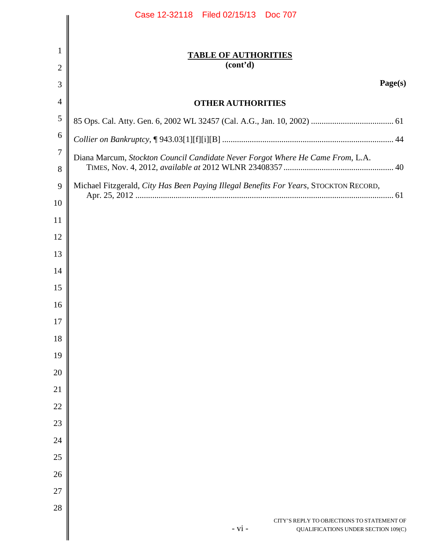|                                | Case 12-32118 Filed 02/15/13 Doc 707                                                          |
|--------------------------------|-----------------------------------------------------------------------------------------------|
|                                |                                                                                               |
| $\mathbf{1}$<br>$\overline{2}$ | <b>TABLE OF AUTHORITIES</b><br>(cont'd)                                                       |
| 3                              | Page(s)                                                                                       |
| $\overline{4}$                 | <b>OTHER AUTHORITIES</b>                                                                      |
| 5                              |                                                                                               |
| 6                              |                                                                                               |
| $\overline{7}$                 |                                                                                               |
| 8                              | Diana Marcum, Stockton Council Candidate Never Forgot Where He Came From, L.A.                |
| 9                              | Michael Fitzgerald, City Has Been Paying Illegal Benefits For Years, STOCKTON RECORD,         |
| 10                             |                                                                                               |
| 11                             |                                                                                               |
| 12                             |                                                                                               |
| 13                             |                                                                                               |
| 14                             |                                                                                               |
| 15                             |                                                                                               |
| 16                             |                                                                                               |
| 17                             |                                                                                               |
| 18                             |                                                                                               |
| 19                             |                                                                                               |
| 20                             |                                                                                               |
| 21                             |                                                                                               |
| 22                             |                                                                                               |
| 23                             |                                                                                               |
| 24                             |                                                                                               |
| 25                             |                                                                                               |
| 26                             |                                                                                               |
| 27                             |                                                                                               |
| 28                             |                                                                                               |
|                                | CITY'S REPLY TO OBJECTIONS TO STATEMENT OF<br>$- vi -$<br>QUALIFICATIONS UNDER SECTION 109(C) |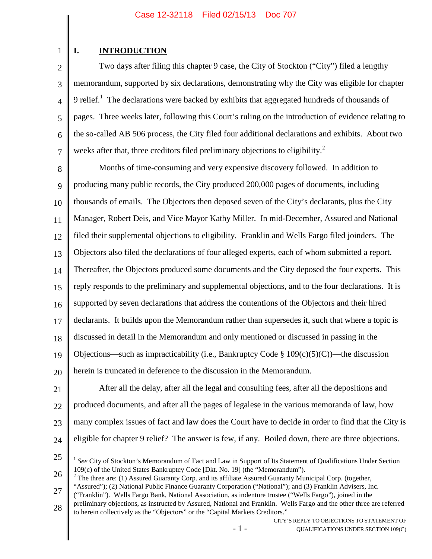# **I. INTRODUCTION**

1

2 3 4 5 6 7 Two days after filing this chapter 9 case, the City of Stockton ("City") filed a lengthy memorandum, supported by six declarations, demonstrating why the City was eligible for chapter 9 relief.<sup>[1](#page-7-0)</sup> The declarations were backed by exhibits that aggregated hundreds of thousands of pages. Three weeks later, following this Court's ruling on the introduction of evidence relating to the so-called AB 506 process, the City filed four additional declarations and exhibits. About two weeks after that, three creditors filed preliminary objections to eligibility.<sup>[2](#page-7-1)</sup>

8 9 10 11 12 13 14 15 16 17 18 19 20 Months of time-consuming and very expensive discovery followed. In addition to producing many public records, the City produced 200,000 pages of documents, including thousands of emails. The Objectors then deposed seven of the City's declarants, plus the City Manager, Robert Deis, and Vice Mayor Kathy Miller. In mid-December, Assured and National filed their supplemental objections to eligibility. Franklin and Wells Fargo filed joinders. The Objectors also filed the declarations of four alleged experts, each of whom submitted a report. Thereafter, the Objectors produced some documents and the City deposed the four experts. This reply responds to the preliminary and supplemental objections, and to the four declarations. It is supported by seven declarations that address the contentions of the Objectors and their hired declarants. It builds upon the Memorandum rather than supersedes it, such that where a topic is discussed in detail in the Memorandum and only mentioned or discussed in passing in the Objections—such as impracticability (i.e., Bankruptcy Code  $\S 109(c)(5)(C)$ )—the discussion herein is truncated in deference to the discussion in the Memorandum.

21 22 23 24 After all the delay, after all the legal and consulting fees, after all the depositions and produced documents, and after all the pages of legalese in the various memoranda of law, how many complex issues of fact and law does the Court have to decide in order to find that the City is eligible for chapter 9 relief? The answer is few, if any. Boiled down, there are three objections.

<span id="page-7-1"></span><span id="page-7-0"></span><sup>1</sup> *See* City of Stockton's Memorandum of Fact and Law in Support of Its Statement of Qualifications Under Section 109(c) of the United States Bankruptcy Code [Dkt. No. 19] (the "Memorandum").

<sup>26</sup> 27  $2$  The three are: (1) Assured Guaranty Corp. and its affiliate Assured Guaranty Municipal Corp. (together, "Assured"); (2) National Public Finance Guaranty Corporation ("National"); and (3) Franklin Advisers, Inc.

<sup>(&</sup>quot;Franklin"). Wells Fargo Bank, National Association, as indenture trustee ("Wells Fargo"), joined in the

<sup>28</sup> preliminary objections, as instructed by Assured, National and Franklin. Wells Fargo and the other three are referred to herein collectively as the "Objectors" or the "Capital Markets Creditors."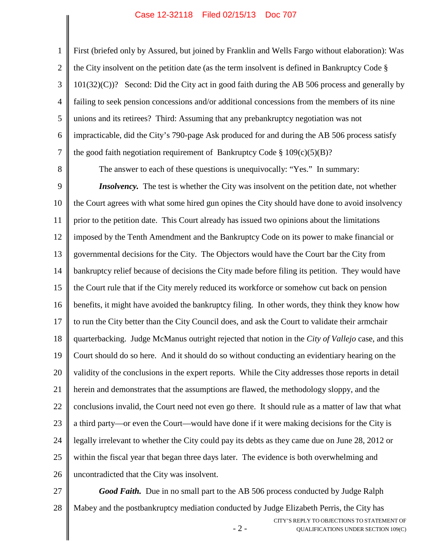2 3 4 5 6 7 First (briefed only by Assured, but joined by Franklin and Wells Fargo without elaboration): Was the City insolvent on the petition date (as the term insolvent is defined in Bankruptcy Code § 101(32)(C))? Second: Did the City act in good faith during the AB 506 process and generally by failing to seek pension concessions and/or additional concessions from the members of its nine unions and its retirees? Third: Assuming that any prebankruptcy negotiation was not impracticable, did the City's 790-page Ask produced for and during the AB 506 process satisfy the good faith negotiation requirement of Bankruptcy Code §  $109(c)(5)(B)$ ?

8

1

<span id="page-8-0"></span>The answer to each of these questions is unequivocally: "Yes." In summary:

9 10 11 12 13 14 15 16 17 18 19 20 21 22 23 24 25 26 *Insolvency*. The test is whether the City was insolvent on the petition date, not whether the Court agrees with what some hired gun opines the City should have done to avoid insolvency prior to the petition date. This Court already has issued two opinions about the limitations imposed by the Tenth Amendment and the Bankruptcy Code on its power to make financial or governmental decisions for the City. The Objectors would have the Court bar the City from bankruptcy relief because of decisions the City made before filing its petition. They would have the Court rule that if the City merely reduced its workforce or somehow cut back on pension benefits, it might have avoided the bankruptcy filing. In other words, they think they know how to run the City better than the City Council does, and ask the Court to validate their armchair quarterbacking. Judge McManus outright rejected that notion in the *City of Vallejo* case, and this Court should do so here. And it should do so without conducting an evidentiary hearing on the validity of the conclusions in the expert reports. While the City addresses those reports in detail herein and demonstrates that the assumptions are flawed, the methodology sloppy, and the conclusions invalid, the Court need not even go there. It should rule as a matter of law that what a third party—or even the Court—would have done if it were making decisions for the City is legally irrelevant to whether the City could pay its debts as they came due on June 28, 2012 or within the fiscal year that began three days later. The evidence is both overwhelming and uncontradicted that the City was insolvent.

- 2 - CITY'S REPLY TO OBJECTIONS TO STATEMENT OF QUALIFICATIONS UNDER SECTION 109(C) 27 28 *Good Faith.* Due in no small part to the AB 506 process conducted by Judge Ralph Mabey and the postbankruptcy mediation conducted by Judge Elizabeth Perris, the City has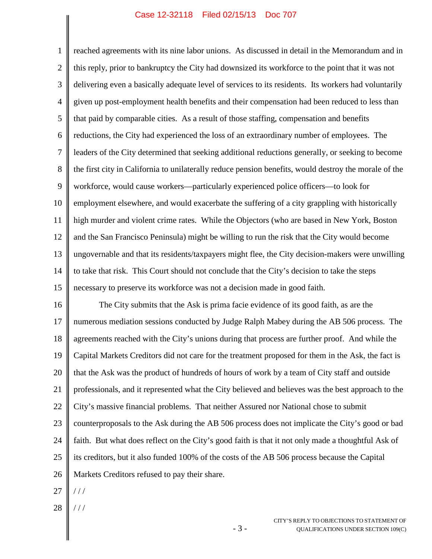1 2 3 4 5 6 7 8 9 10 11 12 13 14 15 reached agreements with its nine labor unions. As discussed in detail in the Memorandum and in this reply, prior to bankruptcy the City had downsized its workforce to the point that it was not delivering even a basically adequate level of services to its residents. Its workers had voluntarily given up post-employment health benefits and their compensation had been reduced to less than that paid by comparable cities. As a result of those staffing, compensation and benefits reductions, the City had experienced the loss of an extraordinary number of employees. The leaders of the City determined that seeking additional reductions generally, or seeking to become the first city in California to unilaterally reduce pension benefits, would destroy the morale of the workforce, would cause workers—particularly experienced police officers—to look for employment elsewhere, and would exacerbate the suffering of a city grappling with historically high murder and violent crime rates. While the Objectors (who are based in New York, Boston and the San Francisco Peninsula) might be willing to run the risk that the City would become ungovernable and that its residents/taxpayers might flee, the City decision-makers were unwilling to take that risk. This Court should not conclude that the City's decision to take the steps necessary to preserve its workforce was not a decision made in good faith.

16 17 18 19 20 21 22 23 24 25 26 The City submits that the Ask is prima facie evidence of its good faith, as are the numerous mediation sessions conducted by Judge Ralph Mabey during the AB 506 process. The agreements reached with the City's unions during that process are further proof. And while the Capital Markets Creditors did not care for the treatment proposed for them in the Ask, the fact is that the Ask was the product of hundreds of hours of work by a team of City staff and outside professionals, and it represented what the City believed and believes was the best approach to the City's massive financial problems. That neither Assured nor National chose to submit counterproposals to the Ask during the AB 506 process does not implicate the City's good or bad faith. But what does reflect on the City's good faith is that it not only made a thoughtful Ask of its creditors, but it also funded 100% of the costs of the AB 506 process because the Capital Markets Creditors refused to pay their share.

- 3 -

- 27  $//$
- 28 / / /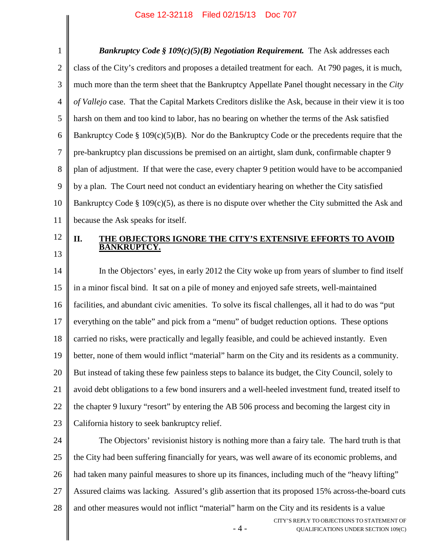1 2 3 4 5 6 7 8 9 10 11 *Bankruptcy Code § 109(c)(5)(B) Negotiation Requirement.* The Ask addresses each class of the City's creditors and proposes a detailed treatment for each. At 790 pages, it is much, much more than the term sheet that the Bankruptcy Appellate Panel thought necessary in the *City of Vallejo* case. That the Capital Markets Creditors dislike the Ask, because in their view it is too harsh on them and too kind to labor, has no bearing on whether the terms of the Ask satisfied Bankruptcy Code § 109(c)(5)(B). Nor do the Bankruptcy Code or the precedents require that the pre-bankruptcy plan discussions be premised on an airtight, slam dunk, confirmable chapter 9 plan of adjustment. If that were the case, every chapter 9 petition would have to be accompanied by a plan. The Court need not conduct an evidentiary hearing on whether the City satisfied Bankruptcy Code § 109(c)(5), as there is no dispute over whether the City submitted the Ask and because the Ask speaks for itself.

12 13

#### **II. THE OBJECTORS IGNORE THE CITY'S EXTENSIVE EFFORTS TO AVOID BANKRUPTCY.**

14 15 16 17 18 19 20 21 22 23 In the Objectors' eyes, in early 2012 the City woke up from years of slumber to find itself in a minor fiscal bind. It sat on a pile of money and enjoyed safe streets, well-maintained facilities, and abundant civic amenities. To solve its fiscal challenges, all it had to do was "put everything on the table" and pick from a "menu" of budget reduction options. These options carried no risks, were practically and legally feasible, and could be achieved instantly. Even better, none of them would inflict "material" harm on the City and its residents as a community. But instead of taking these few painless steps to balance its budget, the City Council, solely to avoid debt obligations to a few bond insurers and a well-heeled investment fund, treated itself to the chapter 9 luxury "resort" by entering the AB 506 process and becoming the largest city in California history to seek bankruptcy relief.

24 25 26 27 28 The Objectors' revisionist history is nothing more than a fairy tale. The hard truth is that the City had been suffering financially for years, was well aware of its economic problems, and had taken many painful measures to shore up its finances, including much of the "heavy lifting" Assured claims was lacking. Assured's glib assertion that its proposed 15% across-the-board cuts and other measures would not inflict "material" harm on the City and its residents is a value

- 4 -

CITY'S REPLY TO OBJECTIONS TO STATEMENT OF QUALIFICATIONS UNDER SECTION 109(C)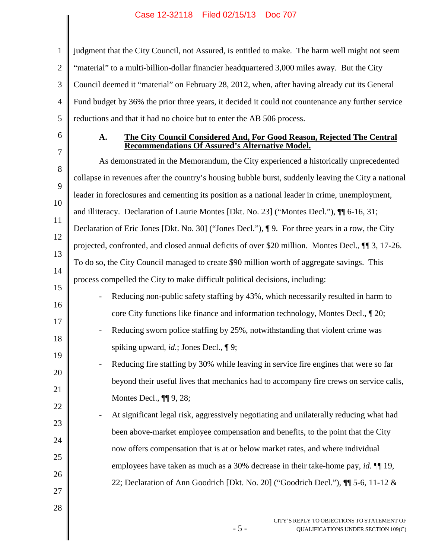2 3 4 5 judgment that the City Council, not Assured, is entitled to make. The harm well might not seem "material" to a multi-billion-dollar financier headquartered 3,000 miles away. But the City Council deemed it "material" on February 28, 2012, when, after having already cut its General Fund budget by 36% the prior three years, it decided it could not countenance any further service reductions and that it had no choice but to enter the AB 506 process.

6

1

#### **A. The City Council Considered And, For Good Reason, Rejected The Central Recommendations Of Assured's Alternative Model.**

7 8 9 10 11 12 13 14 15 16 17 18 19 20 21 22 23 24 25 26 27 As demonstrated in the Memorandum, the City experienced a historically unprecedented collapse in revenues after the country's housing bubble burst, suddenly leaving the City a national leader in foreclosures and cementing its position as a national leader in crime, unemployment, and illiteracy. Declaration of Laurie Montes [Dkt. No. 23] ("Montes Decl."), ¶¶ 6-16, 31; Declaration of Eric Jones [Dkt. No. 30] ("Jones Decl."), ¶ 9. For three years in a row, the City projected, confronted, and closed annual deficits of over \$20 million. Montes Decl., ¶¶ 3, 17-26. To do so, the City Council managed to create \$90 million worth of aggregate savings. This process compelled the City to make difficult political decisions, including: Reducing non-public safety staffing by 43%, which necessarily resulted in harm to core City functions like finance and information technology, Montes Decl., ¶ 20; Reducing sworn police staffing by 25%, notwithstanding that violent crime was spiking upward, *id.*; Jones Decl., ¶ 9; Reducing fire staffing by 30% while leaving in service fire engines that were so far beyond their useful lives that mechanics had to accompany fire crews on service calls, Montes Decl., ¶¶ 9, 28; At significant legal risk, aggressively negotiating and unilaterally reducing what had been above-market employee compensation and benefits, to the point that the City now offers compensation that is at or below market rates, and where individual employees have taken as much as a 30% decrease in their take-home pay, *id.* ¶¶ 19, 22; Declaration of Ann Goodrich [Dkt. No. 20] ("Goodrich Decl."), ¶¶ 5-6, 11-12 &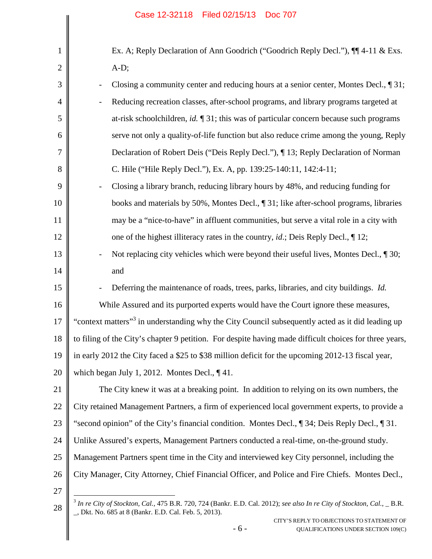<span id="page-12-1"></span><span id="page-12-0"></span>

| 1  | Ex. A; Reply Declaration of Ann Goodrich ("Goodrich Reply Decl."), $\P$ 4-11 & Exs.                                                                                                |
|----|------------------------------------------------------------------------------------------------------------------------------------------------------------------------------------|
| 2  | $A-D;$                                                                                                                                                                             |
| 3  | Closing a community center and reducing hours at a senior center, Montes Decl., ¶ 31;<br>$\overline{a}$                                                                            |
| 4  | Reducing recreation classes, after-school programs, and library programs targeted at                                                                                               |
| 5  | at-risk schoolchildren, id. $\P$ 31; this was of particular concern because such programs                                                                                          |
| 6  | serve not only a quality-of-life function but also reduce crime among the young, Reply                                                                                             |
| 7  | Declaration of Robert Deis ("Deis Reply Decl."), ¶ 13; Reply Declaration of Norman                                                                                                 |
| 8  | C. Hile ("Hile Reply Decl."), Ex. A, pp. 139:25-140:11, 142:4-11;                                                                                                                  |
| 9  | Closing a library branch, reducing library hours by 48%, and reducing funding for                                                                                                  |
| 10 | books and materials by 50%, Montes Decl., 1 31; like after-school programs, libraries                                                                                              |
| 11 | may be a "nice-to-have" in affluent communities, but serve a vital role in a city with                                                                                             |
| 12 | one of the highest illiteracy rates in the country, <i>id.</i> ; Deis Reply Decl., $\P$ 12;                                                                                        |
| 13 | Not replacing city vehicles which were beyond their useful lives, Montes Decl., ¶ 30;                                                                                              |
| 14 | and                                                                                                                                                                                |
| 15 | Deferring the maintenance of roads, trees, parks, libraries, and city buildings. Id.                                                                                               |
| 16 | While Assured and its purported experts would have the Court ignore these measures,                                                                                                |
| 17 | "context matters" <sup>3</sup> in understanding why the City Council subsequently acted as it did leading up                                                                       |
| 18 | to filing of the City's chapter 9 petition. For despite having made difficult choices for three years,                                                                             |
| 19 | in early 2012 the City faced a \$25 to \$38 million deficit for the upcoming 2012-13 fiscal year,                                                                                  |
| 20 | which began July 1, 2012. Montes Decl., $\P$ 41.                                                                                                                                   |
| 21 | The City knew it was at a breaking point. In addition to relying on its own numbers, the                                                                                           |
| 22 | City retained Management Partners, a firm of experienced local government experts, to provide a                                                                                    |
| 23 | "second opinion" of the City's financial condition. Montes Decl., 1 34; Deis Reply Decl., 1 31.                                                                                    |
| 24 | Unlike Assured's experts, Management Partners conducted a real-time, on-the-ground study.                                                                                          |
| 25 | Management Partners spent time in the City and interviewed key City personnel, including the                                                                                       |
| 26 | City Manager, City Attorney, Chief Financial Officer, and Police and Fire Chiefs. Montes Decl.,                                                                                    |
| 27 |                                                                                                                                                                                    |
| 28 | $3$ In re City of Stockton, Cal., 475 B.R. 720, 724 (Bankr. E.D. Cal. 2012); see also In re City of Stockton, Cal., _B.R.<br>_, Dkt. No. 685 at 8 (Bankr. E.D. Cal. Feb. 5, 2013). |
|    | CITY'S REPLY TO OBJECTIONS TO STATEMENT OF                                                                                                                                         |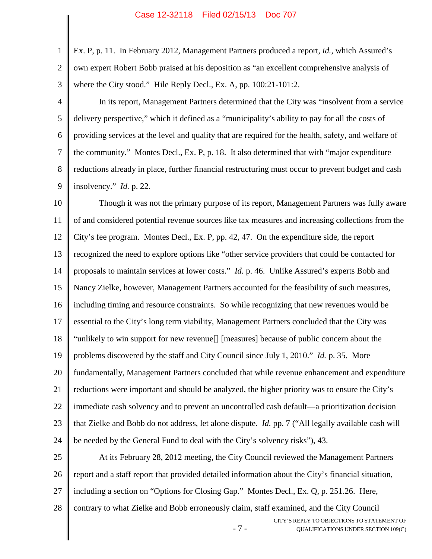1

2

3

Ex. P, p. 11. In February 2012, Management Partners produced a report, *id.*, which Assured's own expert Robert Bobb praised at his deposition as "an excellent comprehensive analysis of where the City stood." Hile Reply Decl., Ex. A, pp. 100:21-101:2.

4 5 6 7 8 9 In its report, Management Partners determined that the City was "insolvent from a service delivery perspective," which it defined as a "municipality's ability to pay for all the costs of providing services at the level and quality that are required for the health, safety, and welfare of the community." Montes Decl., Ex. P, p. 18. It also determined that with "major expenditure reductions already in place, further financial restructuring must occur to prevent budget and cash insolvency." *Id.* p. 22.

10 11 12 13 14 15 16 17 18 19 20 21 22 23 24 Though it was not the primary purpose of its report, Management Partners was fully aware of and considered potential revenue sources like tax measures and increasing collections from the City's fee program. Montes Decl., Ex. P, pp. 42, 47. On the expenditure side, the report recognized the need to explore options like "other service providers that could be contacted for proposals to maintain services at lower costs." *Id.* p. 46. Unlike Assured's experts Bobb and Nancy Zielke, however, Management Partners accounted for the feasibility of such measures, including timing and resource constraints. So while recognizing that new revenues would be essential to the City's long term viability, Management Partners concluded that the City was "unlikely to win support for new revenue[] [measures] because of public concern about the problems discovered by the staff and City Council since July 1, 2010." *Id.* p. 35. More fundamentally, Management Partners concluded that while revenue enhancement and expenditure reductions were important and should be analyzed, the higher priority was to ensure the City's immediate cash solvency and to prevent an uncontrolled cash default—a prioritization decision that Zielke and Bobb do not address, let alone dispute. *Id.* pp. 7 ("All legally available cash will be needed by the General Fund to deal with the City's solvency risks"), 43.

25 26 27 28 At its February 28, 2012 meeting, the City Council reviewed the Management Partners report and a staff report that provided detailed information about the City's financial situation, including a section on "Options for Closing Gap." Montes Decl., Ex. Q, p. 251.26. Here, contrary to what Zielke and Bobb erroneously claim, staff examined, and the City Council

- 7 -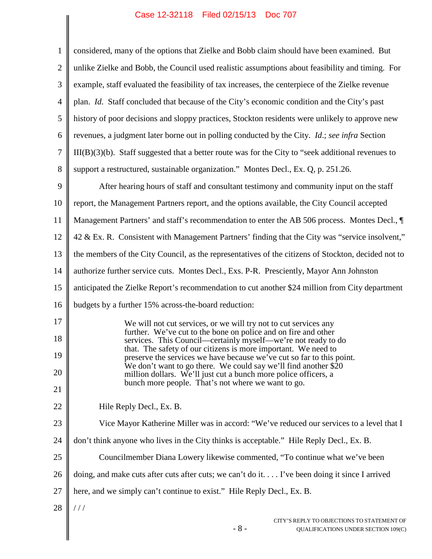$\parallel$ 

 $\overline{\phantom{a}}$ 

| $\mathbf{1}$   | considered, many of the options that Zielke and Bobb claim should have been examined. But                                                      |
|----------------|------------------------------------------------------------------------------------------------------------------------------------------------|
| $\overline{2}$ | unlike Zielke and Bobb, the Council used realistic assumptions about feasibility and timing. For                                               |
| 3              | example, staff evaluated the feasibility of tax increases, the centerpiece of the Zielke revenue                                               |
| $\overline{4}$ | plan. Id. Staff concluded that because of the City's economic condition and the City's past                                                    |
| 5              | history of poor decisions and sloppy practices, Stockton residents were unlikely to approve new                                                |
| 6              | revenues, a judgment later borne out in polling conducted by the City. Id.; see infra Section                                                  |
| 7              | $III(B)(3)(b)$ . Staff suggested that a better route was for the City to "seek additional revenues to                                          |
| 8              | support a restructured, sustainable organization." Montes Decl., Ex. Q, p. 251.26.                                                             |
| 9              | After hearing hours of staff and consultant testimony and community input on the staff                                                         |
| 10             | report, the Management Partners report, and the options available, the City Council accepted                                                   |
| 11             | Management Partners' and staff's recommendation to enter the AB 506 process. Montes Decl., ¶                                                   |
| 12             | 42 & Ex. R. Consistent with Management Partners' finding that the City was "service insolvent,"                                                |
| 13             | the members of the City Council, as the representatives of the citizens of Stockton, decided not to                                            |
| 14             | authorize further service cuts. Montes Decl., Exs. P-R. Presciently, Mayor Ann Johnston                                                        |
| 15             | anticipated the Zielke Report's recommendation to cut another \$24 million from City department                                                |
| 16             | budgets by a further 15% across-the-board reduction:                                                                                           |
| 17             | We will not cut services, or we will try not to cut services any                                                                               |
| 18             | further. We've cut to the bone on police and on fire and other<br>services. This Council—certainly myself—we're not ready to do                |
| 19             | that. The safety of our citizens is more important. We need to<br>preserve the services we have because we've cut so far to this point.        |
| 20             | We don't want to go there. We could say we'll find another $\overline{$}20$<br>million dollars. We'll just cut a bunch more police officers, a |
| 21             | bunch more people. That's not where we want to go.                                                                                             |
| 22             | Hile Reply Decl., Ex. B.                                                                                                                       |
| 23             | Vice Mayor Katherine Miller was in accord: "We've reduced our services to a level that I                                                       |
| 24             | don't think anyone who lives in the City thinks is acceptable." Hile Reply Decl., Ex. B.                                                       |
| 25             | Councilmember Diana Lowery likewise commented, "To continue what we've been                                                                    |
| 26             | doing, and make cuts after cuts after cuts; we can't do it I've been doing it since I arrived                                                  |
| 27             | here, and we simply can't continue to exist." Hile Reply Decl., Ex. B.                                                                         |
| 28             | //                                                                                                                                             |
|                | CITY'S REPLY TO OBJECTIONS TO STATEMENT OF<br>$-8-$<br>QUALIFICATIONS UNDER SECTION 109(C)                                                     |
|                |                                                                                                                                                |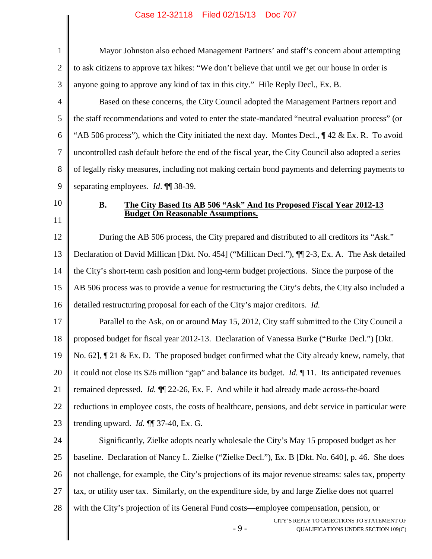- 9 - CITY'S REPLY TO OBJECTIONS TO STATEMENT OF QUALIFICATIONS UNDER SECTION 109(C) 1 2 3 4 5 6 7 8 9 10 11 12 13 14 15 16 17 18 19 20 21 22 23 24 25 26 27 28 Mayor Johnston also echoed Management Partners' and staff's concern about attempting to ask citizens to approve tax hikes: "We don't believe that until we get our house in order is anyone going to approve any kind of tax in this city." Hile Reply Decl., Ex. B. Based on these concerns, the City Council adopted the Management Partners report and the staff recommendations and voted to enter the state-mandated "neutral evaluation process" (or "AB 506 process"), which the City initiated the next day. Montes Decl.,  $\P$  42 & Ex. R. To avoid uncontrolled cash default before the end of the fiscal year, the City Council also adopted a series of legally risky measures, including not making certain bond payments and deferring payments to separating employees. *Id*. ¶¶ 38-39. **B. The City Based Its AB 506 "Ask" And Its Proposed Fiscal Year 2012-13 Budget On Reasonable Assumptions.** During the AB 506 process, the City prepared and distributed to all creditors its "Ask." Declaration of David Millican [Dkt. No. 454] ("Millican Decl."), ¶¶ 2-3, Ex. A. The Ask detailed the City's short-term cash position and long-term budget projections. Since the purpose of the AB 506 process was to provide a venue for restructuring the City's debts, the City also included a detailed restructuring proposal for each of the City's major creditors. *Id.* Parallel to the Ask, on or around May 15, 2012, City staff submitted to the City Council a proposed budget for fiscal year 2012-13. Declaration of Vanessa Burke ("Burke Decl.") [Dkt. No. 62],  $\P$  21 & Ex. D. The proposed budget confirmed what the City already knew, namely, that it could not close its \$26 million "gap" and balance its budget. *Id.* ¶ 11. Its anticipated revenues remained depressed. *Id.* ¶¶ 22-26, Ex. F. And while it had already made across-the-board reductions in employee costs, the costs of healthcare, pensions, and debt service in particular were trending upward. *Id.* ¶¶ 37-40, Ex. G. Significantly, Zielke adopts nearly wholesale the City's May 15 proposed budget as her baseline. Declaration of Nancy L. Zielke ("Zielke Decl."), Ex. B [Dkt. No. 640], p. 46. She does not challenge, for example, the City's projections of its major revenue streams: sales tax, property tax, or utility user tax. Similarly, on the expenditure side, by and large Zielke does not quarrel with the City's projection of its General Fund costs—employee compensation, pension, or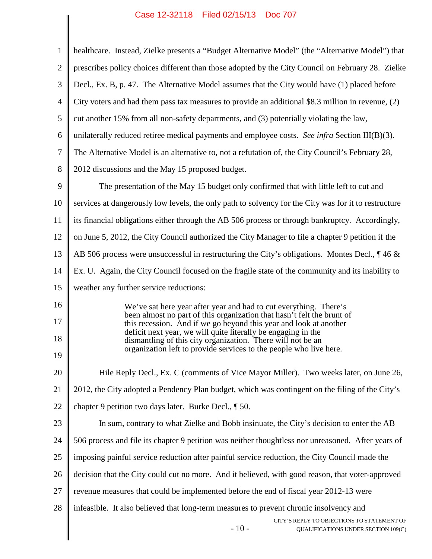| healthcare. Instead, Zielke presents a "Budget Alternative Model" (the "Alternative Model") that<br>$\mathbf{1}$<br>$\overline{2}$<br>prescribes policy choices different than those adopted by the City Council on February 28. Zielke<br>Decl., Ex. B, p. 47. The Alternative Model assumes that the City would have (1) placed before<br>3<br>City voters and had them pass tax measures to provide an additional \$8.3 million in revenue, (2)<br>$\overline{4}$<br>5<br>cut another 15% from all non-safety departments, and (3) potentially violating the law,<br>unilaterally reduced retiree medical payments and employee costs. See infra Section III(B)(3).<br>6<br>The Alternative Model is an alternative to, not a refutation of, the City Council's February 28,<br>7<br>8<br>2012 discussions and the May 15 proposed budget.<br>9<br>The presentation of the May 15 budget only confirmed that with little left to cut and<br>services at dangerously low levels, the only path to solvency for the City was for it to restructure<br>10<br>its financial obligations either through the AB 506 process or through bankruptcy. Accordingly,<br>11<br>on June 5, 2012, the City Council authorized the City Manager to file a chapter 9 petition if the<br>12<br>AB 506 process were unsuccessful in restructuring the City's obligations. Montes Decl., $\parallel$ 46 &<br>13<br>Ex. U. Again, the City Council focused on the fragile state of the community and its inability to<br>14<br>15<br>weather any further service reductions:<br>16<br>We've sat here year after year and had to cut everything. There's<br>been almost no part of this organization that hasn't felt the brunt of<br>17<br>this recession. And if we go beyond this year and look at another<br>deficit next year, we will quite literally be engaging in the<br>18<br>dismantling of this city organization. There will not be an<br>organization left to provide services to the people who live here.<br>19<br>20<br>Hile Reply Decl., Ex. C (comments of Vice Mayor Miller). Two weeks later, on June 26,<br>21<br>2012, the City adopted a Pendency Plan budget, which was contingent on the filing of the City's<br>22<br>chapter 9 petition two days later. Burke Decl., 150.<br>23<br>In sum, contrary to what Zielke and Bobb insinuate, the City's decision to enter the AB<br>24<br>506 process and file its chapter 9 petition was neither thoughtless nor unreasoned. After years of<br>imposing painful service reduction after painful service reduction, the City Council made the<br>25<br>decision that the City could cut no more. And it believed, with good reason, that voter-approved<br>26<br>27<br>revenue measures that could be implemented before the end of fiscal year 2012-13 were<br>28<br>infeasible. It also believed that long-term measures to prevent chronic insolvency and<br>$-10-$ | Case 12-32110 Filed 02/13/13 DOC 707                                              |
|----------------------------------------------------------------------------------------------------------------------------------------------------------------------------------------------------------------------------------------------------------------------------------------------------------------------------------------------------------------------------------------------------------------------------------------------------------------------------------------------------------------------------------------------------------------------------------------------------------------------------------------------------------------------------------------------------------------------------------------------------------------------------------------------------------------------------------------------------------------------------------------------------------------------------------------------------------------------------------------------------------------------------------------------------------------------------------------------------------------------------------------------------------------------------------------------------------------------------------------------------------------------------------------------------------------------------------------------------------------------------------------------------------------------------------------------------------------------------------------------------------------------------------------------------------------------------------------------------------------------------------------------------------------------------------------------------------------------------------------------------------------------------------------------------------------------------------------------------------------------------------------------------------------------------------------------------------------------------------------------------------------------------------------------------------------------------------------------------------------------------------------------------------------------------------------------------------------------------------------------------------------------------------------------------------------------------------------------------------------------------------------------------------------------------------------------------------------------------------------------------------------------------------------------------------------------------------------------------------------------------------------------------------------------------------------------------------------------------------------------------------------------------------------------------------------------------------------------------------------------------------------------------------------------------|-----------------------------------------------------------------------------------|
|                                                                                                                                                                                                                                                                                                                                                                                                                                                                                                                                                                                                                                                                                                                                                                                                                                                                                                                                                                                                                                                                                                                                                                                                                                                                                                                                                                                                                                                                                                                                                                                                                                                                                                                                                                                                                                                                                                                                                                                                                                                                                                                                                                                                                                                                                                                                                                                                                                                                                                                                                                                                                                                                                                                                                                                                                                                                                                                            |                                                                                   |
|                                                                                                                                                                                                                                                                                                                                                                                                                                                                                                                                                                                                                                                                                                                                                                                                                                                                                                                                                                                                                                                                                                                                                                                                                                                                                                                                                                                                                                                                                                                                                                                                                                                                                                                                                                                                                                                                                                                                                                                                                                                                                                                                                                                                                                                                                                                                                                                                                                                                                                                                                                                                                                                                                                                                                                                                                                                                                                                            |                                                                                   |
|                                                                                                                                                                                                                                                                                                                                                                                                                                                                                                                                                                                                                                                                                                                                                                                                                                                                                                                                                                                                                                                                                                                                                                                                                                                                                                                                                                                                                                                                                                                                                                                                                                                                                                                                                                                                                                                                                                                                                                                                                                                                                                                                                                                                                                                                                                                                                                                                                                                                                                                                                                                                                                                                                                                                                                                                                                                                                                                            |                                                                                   |
|                                                                                                                                                                                                                                                                                                                                                                                                                                                                                                                                                                                                                                                                                                                                                                                                                                                                                                                                                                                                                                                                                                                                                                                                                                                                                                                                                                                                                                                                                                                                                                                                                                                                                                                                                                                                                                                                                                                                                                                                                                                                                                                                                                                                                                                                                                                                                                                                                                                                                                                                                                                                                                                                                                                                                                                                                                                                                                                            |                                                                                   |
|                                                                                                                                                                                                                                                                                                                                                                                                                                                                                                                                                                                                                                                                                                                                                                                                                                                                                                                                                                                                                                                                                                                                                                                                                                                                                                                                                                                                                                                                                                                                                                                                                                                                                                                                                                                                                                                                                                                                                                                                                                                                                                                                                                                                                                                                                                                                                                                                                                                                                                                                                                                                                                                                                                                                                                                                                                                                                                                            |                                                                                   |
|                                                                                                                                                                                                                                                                                                                                                                                                                                                                                                                                                                                                                                                                                                                                                                                                                                                                                                                                                                                                                                                                                                                                                                                                                                                                                                                                                                                                                                                                                                                                                                                                                                                                                                                                                                                                                                                                                                                                                                                                                                                                                                                                                                                                                                                                                                                                                                                                                                                                                                                                                                                                                                                                                                                                                                                                                                                                                                                            |                                                                                   |
|                                                                                                                                                                                                                                                                                                                                                                                                                                                                                                                                                                                                                                                                                                                                                                                                                                                                                                                                                                                                                                                                                                                                                                                                                                                                                                                                                                                                                                                                                                                                                                                                                                                                                                                                                                                                                                                                                                                                                                                                                                                                                                                                                                                                                                                                                                                                                                                                                                                                                                                                                                                                                                                                                                                                                                                                                                                                                                                            |                                                                                   |
|                                                                                                                                                                                                                                                                                                                                                                                                                                                                                                                                                                                                                                                                                                                                                                                                                                                                                                                                                                                                                                                                                                                                                                                                                                                                                                                                                                                                                                                                                                                                                                                                                                                                                                                                                                                                                                                                                                                                                                                                                                                                                                                                                                                                                                                                                                                                                                                                                                                                                                                                                                                                                                                                                                                                                                                                                                                                                                                            |                                                                                   |
|                                                                                                                                                                                                                                                                                                                                                                                                                                                                                                                                                                                                                                                                                                                                                                                                                                                                                                                                                                                                                                                                                                                                                                                                                                                                                                                                                                                                                                                                                                                                                                                                                                                                                                                                                                                                                                                                                                                                                                                                                                                                                                                                                                                                                                                                                                                                                                                                                                                                                                                                                                                                                                                                                                                                                                                                                                                                                                                            |                                                                                   |
|                                                                                                                                                                                                                                                                                                                                                                                                                                                                                                                                                                                                                                                                                                                                                                                                                                                                                                                                                                                                                                                                                                                                                                                                                                                                                                                                                                                                                                                                                                                                                                                                                                                                                                                                                                                                                                                                                                                                                                                                                                                                                                                                                                                                                                                                                                                                                                                                                                                                                                                                                                                                                                                                                                                                                                                                                                                                                                                            |                                                                                   |
|                                                                                                                                                                                                                                                                                                                                                                                                                                                                                                                                                                                                                                                                                                                                                                                                                                                                                                                                                                                                                                                                                                                                                                                                                                                                                                                                                                                                                                                                                                                                                                                                                                                                                                                                                                                                                                                                                                                                                                                                                                                                                                                                                                                                                                                                                                                                                                                                                                                                                                                                                                                                                                                                                                                                                                                                                                                                                                                            |                                                                                   |
|                                                                                                                                                                                                                                                                                                                                                                                                                                                                                                                                                                                                                                                                                                                                                                                                                                                                                                                                                                                                                                                                                                                                                                                                                                                                                                                                                                                                                                                                                                                                                                                                                                                                                                                                                                                                                                                                                                                                                                                                                                                                                                                                                                                                                                                                                                                                                                                                                                                                                                                                                                                                                                                                                                                                                                                                                                                                                                                            |                                                                                   |
|                                                                                                                                                                                                                                                                                                                                                                                                                                                                                                                                                                                                                                                                                                                                                                                                                                                                                                                                                                                                                                                                                                                                                                                                                                                                                                                                                                                                                                                                                                                                                                                                                                                                                                                                                                                                                                                                                                                                                                                                                                                                                                                                                                                                                                                                                                                                                                                                                                                                                                                                                                                                                                                                                                                                                                                                                                                                                                                            |                                                                                   |
|                                                                                                                                                                                                                                                                                                                                                                                                                                                                                                                                                                                                                                                                                                                                                                                                                                                                                                                                                                                                                                                                                                                                                                                                                                                                                                                                                                                                                                                                                                                                                                                                                                                                                                                                                                                                                                                                                                                                                                                                                                                                                                                                                                                                                                                                                                                                                                                                                                                                                                                                                                                                                                                                                                                                                                                                                                                                                                                            |                                                                                   |
|                                                                                                                                                                                                                                                                                                                                                                                                                                                                                                                                                                                                                                                                                                                                                                                                                                                                                                                                                                                                                                                                                                                                                                                                                                                                                                                                                                                                                                                                                                                                                                                                                                                                                                                                                                                                                                                                                                                                                                                                                                                                                                                                                                                                                                                                                                                                                                                                                                                                                                                                                                                                                                                                                                                                                                                                                                                                                                                            |                                                                                   |
|                                                                                                                                                                                                                                                                                                                                                                                                                                                                                                                                                                                                                                                                                                                                                                                                                                                                                                                                                                                                                                                                                                                                                                                                                                                                                                                                                                                                                                                                                                                                                                                                                                                                                                                                                                                                                                                                                                                                                                                                                                                                                                                                                                                                                                                                                                                                                                                                                                                                                                                                                                                                                                                                                                                                                                                                                                                                                                                            |                                                                                   |
|                                                                                                                                                                                                                                                                                                                                                                                                                                                                                                                                                                                                                                                                                                                                                                                                                                                                                                                                                                                                                                                                                                                                                                                                                                                                                                                                                                                                                                                                                                                                                                                                                                                                                                                                                                                                                                                                                                                                                                                                                                                                                                                                                                                                                                                                                                                                                                                                                                                                                                                                                                                                                                                                                                                                                                                                                                                                                                                            |                                                                                   |
|                                                                                                                                                                                                                                                                                                                                                                                                                                                                                                                                                                                                                                                                                                                                                                                                                                                                                                                                                                                                                                                                                                                                                                                                                                                                                                                                                                                                                                                                                                                                                                                                                                                                                                                                                                                                                                                                                                                                                                                                                                                                                                                                                                                                                                                                                                                                                                                                                                                                                                                                                                                                                                                                                                                                                                                                                                                                                                                            |                                                                                   |
|                                                                                                                                                                                                                                                                                                                                                                                                                                                                                                                                                                                                                                                                                                                                                                                                                                                                                                                                                                                                                                                                                                                                                                                                                                                                                                                                                                                                                                                                                                                                                                                                                                                                                                                                                                                                                                                                                                                                                                                                                                                                                                                                                                                                                                                                                                                                                                                                                                                                                                                                                                                                                                                                                                                                                                                                                                                                                                                            |                                                                                   |
|                                                                                                                                                                                                                                                                                                                                                                                                                                                                                                                                                                                                                                                                                                                                                                                                                                                                                                                                                                                                                                                                                                                                                                                                                                                                                                                                                                                                                                                                                                                                                                                                                                                                                                                                                                                                                                                                                                                                                                                                                                                                                                                                                                                                                                                                                                                                                                                                                                                                                                                                                                                                                                                                                                                                                                                                                                                                                                                            |                                                                                   |
|                                                                                                                                                                                                                                                                                                                                                                                                                                                                                                                                                                                                                                                                                                                                                                                                                                                                                                                                                                                                                                                                                                                                                                                                                                                                                                                                                                                                                                                                                                                                                                                                                                                                                                                                                                                                                                                                                                                                                                                                                                                                                                                                                                                                                                                                                                                                                                                                                                                                                                                                                                                                                                                                                                                                                                                                                                                                                                                            |                                                                                   |
|                                                                                                                                                                                                                                                                                                                                                                                                                                                                                                                                                                                                                                                                                                                                                                                                                                                                                                                                                                                                                                                                                                                                                                                                                                                                                                                                                                                                                                                                                                                                                                                                                                                                                                                                                                                                                                                                                                                                                                                                                                                                                                                                                                                                                                                                                                                                                                                                                                                                                                                                                                                                                                                                                                                                                                                                                                                                                                                            |                                                                                   |
|                                                                                                                                                                                                                                                                                                                                                                                                                                                                                                                                                                                                                                                                                                                                                                                                                                                                                                                                                                                                                                                                                                                                                                                                                                                                                                                                                                                                                                                                                                                                                                                                                                                                                                                                                                                                                                                                                                                                                                                                                                                                                                                                                                                                                                                                                                                                                                                                                                                                                                                                                                                                                                                                                                                                                                                                                                                                                                                            |                                                                                   |
|                                                                                                                                                                                                                                                                                                                                                                                                                                                                                                                                                                                                                                                                                                                                                                                                                                                                                                                                                                                                                                                                                                                                                                                                                                                                                                                                                                                                                                                                                                                                                                                                                                                                                                                                                                                                                                                                                                                                                                                                                                                                                                                                                                                                                                                                                                                                                                                                                                                                                                                                                                                                                                                                                                                                                                                                                                                                                                                            |                                                                                   |
|                                                                                                                                                                                                                                                                                                                                                                                                                                                                                                                                                                                                                                                                                                                                                                                                                                                                                                                                                                                                                                                                                                                                                                                                                                                                                                                                                                                                                                                                                                                                                                                                                                                                                                                                                                                                                                                                                                                                                                                                                                                                                                                                                                                                                                                                                                                                                                                                                                                                                                                                                                                                                                                                                                                                                                                                                                                                                                                            |                                                                                   |
|                                                                                                                                                                                                                                                                                                                                                                                                                                                                                                                                                                                                                                                                                                                                                                                                                                                                                                                                                                                                                                                                                                                                                                                                                                                                                                                                                                                                                                                                                                                                                                                                                                                                                                                                                                                                                                                                                                                                                                                                                                                                                                                                                                                                                                                                                                                                                                                                                                                                                                                                                                                                                                                                                                                                                                                                                                                                                                                            |                                                                                   |
|                                                                                                                                                                                                                                                                                                                                                                                                                                                                                                                                                                                                                                                                                                                                                                                                                                                                                                                                                                                                                                                                                                                                                                                                                                                                                                                                                                                                                                                                                                                                                                                                                                                                                                                                                                                                                                                                                                                                                                                                                                                                                                                                                                                                                                                                                                                                                                                                                                                                                                                                                                                                                                                                                                                                                                                                                                                                                                                            |                                                                                   |
|                                                                                                                                                                                                                                                                                                                                                                                                                                                                                                                                                                                                                                                                                                                                                                                                                                                                                                                                                                                                                                                                                                                                                                                                                                                                                                                                                                                                                                                                                                                                                                                                                                                                                                                                                                                                                                                                                                                                                                                                                                                                                                                                                                                                                                                                                                                                                                                                                                                                                                                                                                                                                                                                                                                                                                                                                                                                                                                            |                                                                                   |
|                                                                                                                                                                                                                                                                                                                                                                                                                                                                                                                                                                                                                                                                                                                                                                                                                                                                                                                                                                                                                                                                                                                                                                                                                                                                                                                                                                                                                                                                                                                                                                                                                                                                                                                                                                                                                                                                                                                                                                                                                                                                                                                                                                                                                                                                                                                                                                                                                                                                                                                                                                                                                                                                                                                                                                                                                                                                                                                            |                                                                                   |
|                                                                                                                                                                                                                                                                                                                                                                                                                                                                                                                                                                                                                                                                                                                                                                                                                                                                                                                                                                                                                                                                                                                                                                                                                                                                                                                                                                                                                                                                                                                                                                                                                                                                                                                                                                                                                                                                                                                                                                                                                                                                                                                                                                                                                                                                                                                                                                                                                                                                                                                                                                                                                                                                                                                                                                                                                                                                                                                            | CITY'S REPLY TO OBJECTIONS TO STATEMENT OF<br>QUALIFICATIONS UNDER SECTION 109(C) |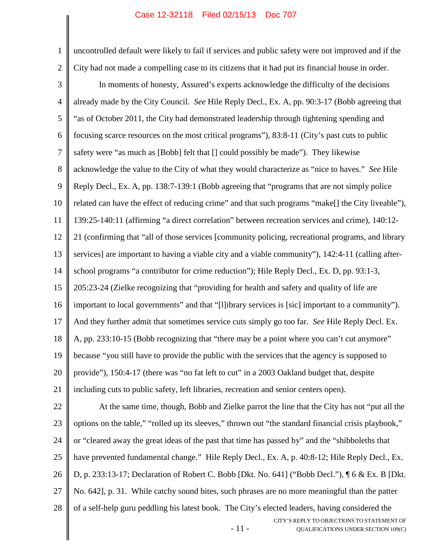1 2 3 4 5 6 7 8 9 10 11 12 13 14 15 16 17 18 19 20 21 22 23 24 25 26 27 uncontrolled default were likely to fail if services and public safety were not improved and if the City had not made a compelling case to its citizens that it had put its financial house in order. In moments of honesty, Assured's experts acknowledge the difficulty of the decisions already made by the City Council. *See* Hile Reply Decl., Ex. A, pp. 90:3-17 (Bobb agreeing that "as of October 2011, the City had demonstrated leadership through tightening spending and focusing scarce resources on the most critical programs"), 83:8-11 (City's past cuts to public safety were "as much as [Bobb] felt that [] could possibly be made"). They likewise acknowledge the value to the City of what they would characterize as "nice to haves." *See* Hile Reply Decl., Ex. A, pp. 138:7-139:1 (Bobb agreeing that "programs that are not simply police related can have the effect of reducing crime" and that such programs "make[] the City liveable"), 139:25-140:11 (affirming "a direct correlation" between recreation services and crime), 140:12- 21 (confirming that "all of those services [community policing, recreational programs, and library services] are important to having a viable city and a viable community"), 142:4-11 (calling afterschool programs "a contributor for crime reduction"); Hile Reply Decl., Ex. D, pp. 93:1-3, 205:23-24 (Zielke recognizing that "providing for health and safety and quality of life are important to local governments" and that "[l]ibrary services is [sic] important to a community"). And they further admit that sometimes service cuts simply go too far. *See* Hile Reply Decl. Ex. A, pp. 233:10-15 (Bobb recognizing that "there may be a point where you can't cut anymore" because "you still have to provide the public with the services that the agency is supposed to provide"), 150:4-17 (there was "no fat left to cut" in a 2003 Oakland budget that, despite including cuts to public safety, left libraries, recreation and senior centers open). At the same time, though, Bobb and Zielke parrot the line that the City has not "put all the options on the table," "rolled up its sleeves," thrown out "the standard financial crisis playbook," or "cleared away the great ideas of the past that time has passed by" and the "shibboleths that have prevented fundamental change." Hile Reply Decl., Ex. A, p. 40:8-12; Hile Reply Decl., Ex. D, p. 233:13-17; Declaration of Robert C. Bobb [Dkt. No. 641] ("Bobb Decl."), ¶ 6 & Ex. B [Dkt. No. 642], p. 31. While catchy sound bites, such phrases are no more meaningful than the patter

28 of a self-help guru peddling his latest book. The City's elected leaders, having considered the

- 11 -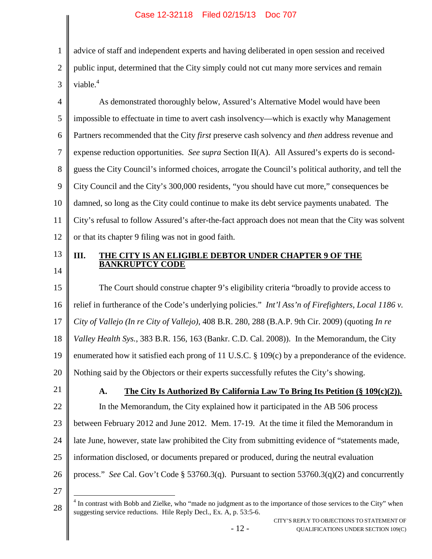1 2 3 advice of staff and independent experts and having deliberated in open session and received public input, determined that the City simply could not cut many more services and remain viable.<sup>[4](#page-18-3)</sup>

4 5 6 7 8 9 10 11 12 As demonstrated thoroughly below, Assured's Alternative Model would have been impossible to effectuate in time to avert cash insolvency—which is exactly why Management Partners recommended that the City *first* preserve cash solvency and *then* address revenue and expense reduction opportunities. *See supra* Section II(A). All Assured's experts do is secondguess the City Council's informed choices, arrogate the Council's political authority, and tell the City Council and the City's 300,000 residents, "you should have cut more," consequences be damned, so long as the City could continue to make its debt service payments unabated. The City's refusal to follow Assured's after-the-fact approach does not mean that the City was solvent or that its chapter 9 filing was not in good faith.

13 14

### **III. THE CITY IS AN ELIGIBLE DEBTOR UNDER CHAPTER 9 OF THE BANKRUPTCY CODE**

15 16 17 18 19 20 The Court should construe chapter 9's eligibility criteria "broadly to provide access to relief in furtherance of the Code's underlying policies." *Int'l Ass'n of Firefighters, Local 1186 v. City of Vallejo (In re City of Vallejo)*, 408 B.R. 280, 288 (B.A.P. 9th Cir. 2009) (quoting *In re Valley Health Sys.*, 383 B.R. 156, 163 (Bankr. C.D. Cal. 2008)). In the Memorandum, the City enumerated how it satisfied each prong of 11 U.S.C. § 109(c) by a preponderance of the evidence. Nothing said by the Objectors or their experts successfully refutes the City's showing.

21

22

# <span id="page-18-2"></span><span id="page-18-1"></span><span id="page-18-0"></span>**A. The City Is Authorized By California Law To Bring Its Petition (§ 109(c)(2)).**

23 between February 2012 and June 2012. Mem. 17-19. At the time it filed the Memorandum in

In the Memorandum, the City explained how it participated in the AB 506 process

24 late June, however, state law prohibited the City from submitting evidence of "statements made,

- 25 information disclosed, or documents prepared or produced, during the neutral evaluation
- 26 process." *See* Cal. Gov't Code § 53760.3(q). Pursuant to section 53760.3(q)(2) and concurrently
- 27

<span id="page-18-3"></span><sup>28</sup> <sup>4</sup> In contrast with Bobb and Zielke, who "made no judgment as to the importance of those services to the City" when suggesting service reductions. Hile Reply Decl., Ex. A, p. 53:5-6.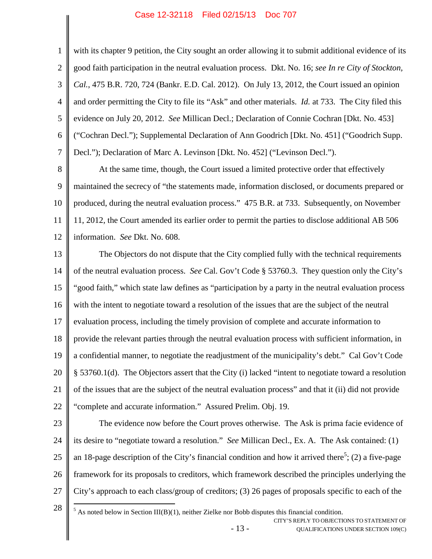<span id="page-19-0"></span>1 2 3 4 5 6 7 with its chapter 9 petition, the City sought an order allowing it to submit additional evidence of its good faith participation in the neutral evaluation process. Dkt. No. 16; *see In re City of Stockton, Cal.*, 475 B.R. 720, 724 (Bankr. E.D. Cal. 2012). On July 13, 2012, the Court issued an opinion and order permitting the City to file its "Ask" and other materials. *Id.* at 733. The City filed this evidence on July 20, 2012. *See* Millican Decl.; Declaration of Connie Cochran [Dkt. No. 453] ("Cochran Decl."); Supplemental Declaration of Ann Goodrich [Dkt. No. 451] ("Goodrich Supp. Decl."); Declaration of Marc A. Levinson [Dkt. No. 452] ("Levinson Decl.").

8 9 10 11 12 At the same time, though, the Court issued a limited protective order that effectively maintained the secrecy of "the statements made, information disclosed, or documents prepared or produced, during the neutral evaluation process." 475 B.R. at 733. Subsequently, on November 11, 2012, the Court amended its earlier order to permit the parties to disclose additional AB 506 information. *See* Dkt. No. 608.

<span id="page-19-2"></span>13 14 15 16 17 18 19 20 21 22 The Objectors do not dispute that the City complied fully with the technical requirements of the neutral evaluation process. *See* Cal. Gov't Code § 53760.3. They question only the City's "good faith," which state law defines as "participation by a party in the neutral evaluation process with the intent to negotiate toward a resolution of the issues that are the subject of the neutral evaluation process, including the timely provision of complete and accurate information to provide the relevant parties through the neutral evaluation process with sufficient information, in a confidential manner, to negotiate the readjustment of the municipality's debt." Cal Gov't Code § 53760.1(d). The Objectors assert that the City (i) lacked "intent to negotiate toward a resolution of the issues that are the subject of the neutral evaluation process" and that it (ii) did not provide "complete and accurate information." Assured Prelim. Obj. 19.

<span id="page-19-1"></span>23

24 25 26 27 The evidence now before the Court proves otherwise. The Ask is prima facie evidence of its desire to "negotiate toward a resolution." *See* Millican Decl., Ex. A. The Ask contained: (1) an18-page description of the City's financial condition and how it arrived there<sup>5</sup>; (2) a five-page framework for its proposals to creditors, which framework described the principles underlying the City's approach to each class/group of creditors; (3) 26 pages of proposals specific to each of the

28

<span id="page-19-3"></span>- 13 - CITY'S REPLY TO OBJECTIONS TO STATEMENT OF QUALIFICATIONS UNDER SECTION 109(C)  $<sup>5</sup>$  As noted below in Section III(B)(1), neither Zielke nor Bobb disputes this financial condition.</sup>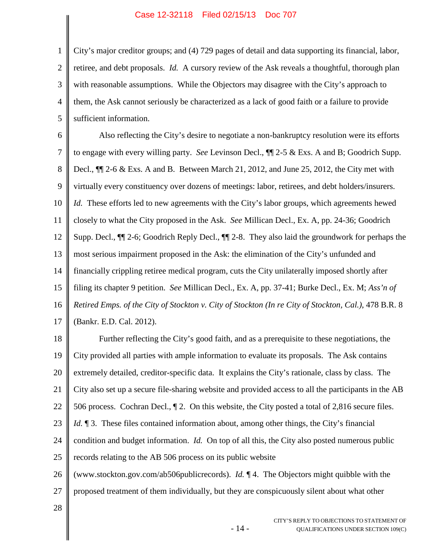2 3 4 5 City's major creditor groups; and (4) 729 pages of detail and data supporting its financial, labor, retiree, and debt proposals. *Id.* A cursory review of the Ask reveals a thoughtful, thorough plan with reasonable assumptions. While the Objectors may disagree with the City's approach to them, the Ask cannot seriously be characterized as a lack of good faith or a failure to provide sufficient information.

6 7 8 9 10 11 12 13 14 15 16 17 Also reflecting the City's desire to negotiate a non-bankruptcy resolution were its efforts to engage with every willing party. *See* Levinson Decl., ¶¶ 2-5 & Exs. A and B; Goodrich Supp. Decl.,  $\P$ [2-6 & Exs. A and B. Between March 21, 2012, and June 25, 2012, the City met with virtually every constituency over dozens of meetings: labor, retirees, and debt holders/insurers. *Id.* These efforts led to new agreements with the City's labor groups, which agreements hewed closely to what the City proposed in the Ask. *See* Millican Decl., Ex. A, pp. 24-36; Goodrich Supp. Decl., ¶¶ 2-6; Goodrich Reply Decl., ¶¶ 2-8. They also laid the groundwork for perhaps the most serious impairment proposed in the Ask: the elimination of the City's unfunded and financially crippling retiree medical program, cuts the City unilaterally imposed shortly after filing its chapter 9 petition. *See* Millican Decl., Ex. A, pp. 37-41; Burke Decl., Ex. M; *Ass'n of Retired Emps. of the City of Stockton v. City of Stockton (In re City of Stockton, Cal.)*, 478 B.R. 8 (Bankr. E.D. Cal. 2012).

18 19 20 21 22 23 24 25 26 27 Further reflecting the City's good faith, and as a prerequisite to these negotiations, the City provided all parties with ample information to evaluate its proposals. The Ask contains extremely detailed, creditor-specific data. It explains the City's rationale, class by class. The City also set up a secure file-sharing website and provided access to all the participants in the AB 506 process. Cochran Decl., ¶ 2. On this website, the City posted a total of 2,816 secure files. *Id.*  $\parallel$  3. These files contained information about, among other things, the City's financial condition and budget information. *Id.* On top of all this, the City also posted numerous public records relating to the AB 506 process on its public website (www.stockton.gov.com/ab506publicrecords). *Id.* ¶ 4. The Objectors might quibble with the proposed treatment of them individually, but they are conspicuously silent about what other

<span id="page-20-0"></span>- 14 -

28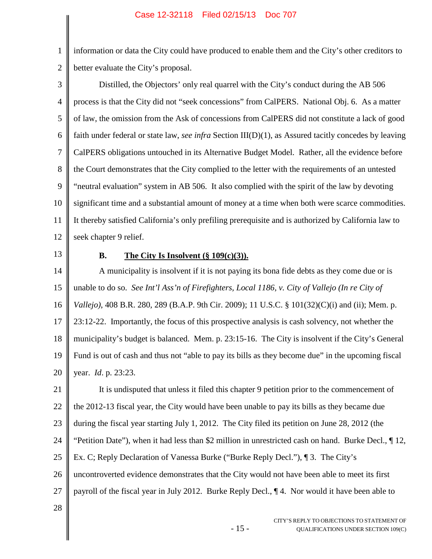2 information or data the City could have produced to enable them and the City's other creditors to better evaluate the City's proposal.

3 4 5 6 7 8 9 10 11 12 Distilled, the Objectors' only real quarrel with the City's conduct during the AB 506 process is that the City did not "seek concessions" from CalPERS. National Obj. 6. As a matter of law, the omission from the Ask of concessions from CalPERS did not constitute a lack of good faith under federal or state law, *see infra* Section III(D)(1), as Assured tacitly concedes by leaving CalPERS obligations untouched in its Alternative Budget Model. Rather, all the evidence before the Court demonstrates that the City complied to the letter with the requirements of an untested "neutral evaluation" system in AB 506. It also complied with the spirit of the law by devoting significant time and a substantial amount of money at a time when both were scarce commodities. It thereby satisfied California's only prefiling prerequisite and is authorized by California law to seek chapter 9 relief.

13

1

#### **B. The City Is Insolvent**  $(\S 109(c)(3))$ .

14 15 16 17 18 19 20 A municipality is insolvent if it is not paying its bona fide debts as they come due or is unable to do so. *See Int'l Ass'n of Firefighters, Local 1186, v. City of Vallejo (In re City of Vallejo)*, 408 B.R. 280, 289 (B.A.P. 9th Cir. 2009); 11 U.S.C. § 101(32)(C)(i) and (ii); Mem. p. 23:12-22. Importantly, the focus of this prospective analysis is cash solvency, not whether the municipality's budget is balanced. Mem. p. 23:15-16. The City is insolvent if the City's General Fund is out of cash and thus not "able to pay its bills as they become due" in the upcoming fiscal year. *Id*. p. 23:23.

21 22 23 24 25 26 27 It is undisputed that unless it filed this chapter 9 petition prior to the commencement of the 2012-13 fiscal year, the City would have been unable to pay its bills as they became due during the fiscal year starting July 1, 2012. The City filed its petition on June 28, 2012 (the "Petition Date"), when it had less than \$2 million in unrestricted cash on hand. Burke Decl., ¶ 12, Ex. C; Reply Declaration of Vanessa Burke ("Burke Reply Decl."), ¶ 3. The City's uncontroverted evidence demonstrates that the City would not have been able to meet its first payroll of the fiscal year in July 2012. Burke Reply Decl., ¶ 4. Nor would it have been able to

- 15 -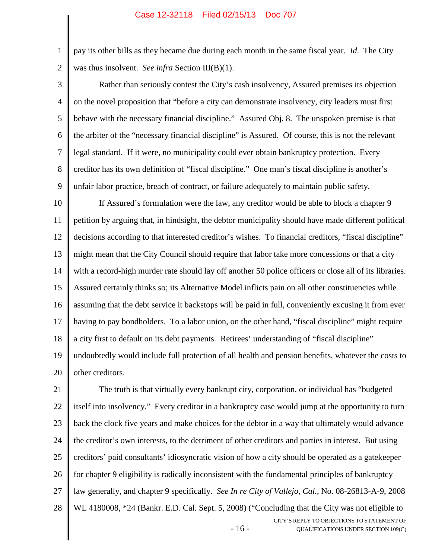pay its other bills as they became due during each month in the same fiscal year. *Id*. The City was thus insolvent. *See infra* Section III(B)(1).

2 3

1

4 5 6 7 8 9 Rather than seriously contest the City's cash insolvency, Assured premises its objection on the novel proposition that "before a city can demonstrate insolvency, city leaders must first behave with the necessary financial discipline." Assured Obj. 8. The unspoken premise is that the arbiter of the "necessary financial discipline" is Assured. Of course, this is not the relevant legal standard. If it were, no municipality could ever obtain bankruptcy protection. Every creditor has its own definition of "fiscal discipline." One man's fiscal discipline is another's unfair labor practice, breach of contract, or failure adequately to maintain public safety.

10 11 12 13 14 15 16 17 18 19 20 If Assured's formulation were the law, any creditor would be able to block a chapter 9 petition by arguing that, in hindsight, the debtor municipality should have made different political decisions according to that interested creditor's wishes. To financial creditors, "fiscal discipline" might mean that the City Council should require that labor take more concessions or that a city with a record-high murder rate should lay off another 50 police officers or close all of its libraries. Assured certainly thinks so; its Alternative Model inflicts pain on all other constituencies while assuming that the debt service it backstops will be paid in full, conveniently excusing it from ever having to pay bondholders. To a labor union, on the other hand, "fiscal discipline" might require a city first to default on its debt payments. Retirees' understanding of "fiscal discipline" undoubtedly would include full protection of all health and pension benefits, whatever the costs to other creditors.

<span id="page-22-0"></span>- 16 - CITY'S REPLY TO OBJECTIONS TO STATEMENT OF QUALIFICATIONS UNDER SECTION 109(C) 21 22 23 24 25 26 27 28 The truth is that virtually every bankrupt city, corporation, or individual has "budgeted itself into insolvency." Every creditor in a bankruptcy case would jump at the opportunity to turn back the clock five years and make choices for the debtor in a way that ultimately would advance the creditor's own interests, to the detriment of other creditors and parties in interest. But using creditors' paid consultants' idiosyncratic vision of how a city should be operated as a gatekeeper for chapter 9 eligibility is radically inconsistent with the fundamental principles of bankruptcy law generally, and chapter 9 specifically. *See In re City of Vallejo, Cal.*, No. 08-26813-A-9, 2008 WL 4180008, \*24 (Bankr. E.D. Cal. Sept. 5, 2008) ("Concluding that the City was not eligible to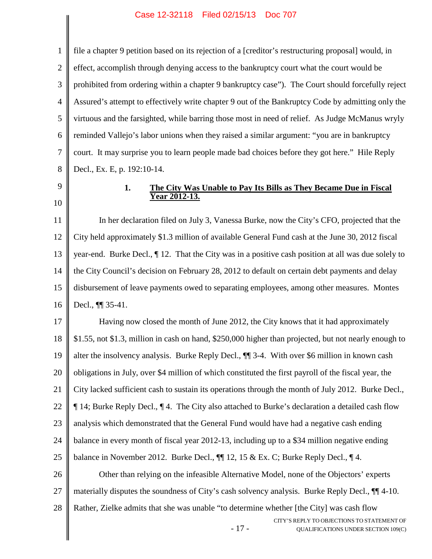1 2 3 4 5 6 7 8 file a chapter 9 petition based on its rejection of a [creditor's restructuring proposal] would, in effect, accomplish through denying access to the bankruptcy court what the court would be prohibited from ordering within a chapter 9 bankruptcy case"). The Court should forcefully reject Assured's attempt to effectively write chapter 9 out of the Bankruptcy Code by admitting only the virtuous and the farsighted, while barring those most in need of relief. As Judge McManus wryly reminded Vallejo's labor unions when they raised a similar argument: "you are in bankruptcy court. It may surprise you to learn people made bad choices before they got here." Hile Reply Decl., Ex. E, p. 192:10-14.

9 10

#### **1. The City Was Unable to Pay Its Bills as They Became Due in Fiscal Year 2012-13.**

11 12 13 14 15 16 In her declaration filed on July 3, Vanessa Burke, now the City's CFO, projected that the City held approximately \$1.3 million of available General Fund cash at the June 30, 2012 fiscal year-end. Burke Decl., ¶ 12. That the City was in a positive cash position at all was due solely to the City Council's decision on February 28, 2012 to default on certain debt payments and delay disbursement of leave payments owed to separating employees, among other measures. Montes Decl., ¶¶ 35-41.

17 18 19 20 21 22 23 24 25 26 27 28 Having now closed the month of June 2012, the City knows that it had approximately \$1.55, not \$1.3, million in cash on hand, \$250,000 higher than projected, but not nearly enough to alter the insolvency analysis. Burke Reply Decl., ¶¶ 3-4. With over \$6 million in known cash obligations in July, over \$4 million of which constituted the first payroll of the fiscal year, the City lacked sufficient cash to sustain its operations through the month of July 2012. Burke Decl., ¶ 14; Burke Reply Decl., ¶ 4. The City also attached to Burke's declaration a detailed cash flow analysis which demonstrated that the General Fund would have had a negative cash ending balance in every month of fiscal year 2012-13, including up to a \$34 million negative ending balance in November 2012. Burke Decl.,  $\P\P$  12, 15 & Ex. C; Burke Reply Decl.,  $\P$  4. Other than relying on the infeasible Alternative Model, none of the Objectors' experts materially disputes the soundness of City's cash solvency analysis. Burke Reply Decl., ¶¶ 4-10. Rather, Zielke admits that she was unable "to determine whether [the City] was cash flow

- 17 -

CITY'S REPLY TO OBJECTIONS TO STATEMENT OF QUALIFICATIONS UNDER SECTION 109(C)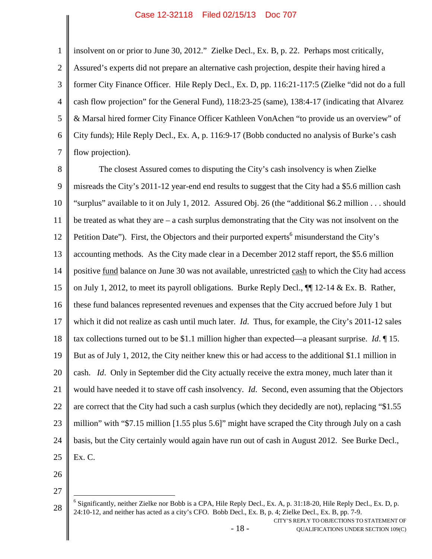1 2 3 4 5 6 7 insolvent on or prior to June 30, 2012." Zielke Decl., Ex. B, p. 22. Perhaps most critically, Assured's experts did not prepare an alternative cash projection, despite their having hired a former City Finance Officer. Hile Reply Decl., Ex. D, pp. 116:21-117:5 (Zielke "did not do a full cash flow projection" for the General Fund), 118:23-25 (same), 138:4-17 (indicating that Alvarez & Marsal hired former City Finance Officer Kathleen VonAchen "to provide us an overview" of City funds); Hile Reply Decl., Ex. A, p. 116:9-17 (Bobb conducted no analysis of Burke's cash flow projection).

8 9 10 11 12 13 14 15 16 17 18 19 20 21 22 23 24 25 The closest Assured comes to disputing the City's cash insolvency is when Zielke misreads the City's 2011-12 year-end end results to suggest that the City had a \$5.6 million cash "surplus" available to it on July 1, 2012. Assured Obj. 26 (the "additional \$6.2 million . . . should be treated as what they are – a cash surplus demonstrating that the City was not insolvent on the Petition Date"). First, the Objectors and their purported experts<sup>[6](#page-24-0)</sup> misunderstand the City's accounting methods. As the City made clear in a December 2012 staff report, the \$5.6 million positive fund balance on June 30 was not available, unrestricted cash to which the City had access on July 1, 2012, to meet its payroll obligations. Burke Reply Decl.,  $\P$  12-14 & Ex. B. Rather, these fund balances represented revenues and expenses that the City accrued before July 1 but which it did not realize as cash until much later. *Id*. Thus, for example, the City's 2011-12 sales tax collections turned out to be \$1.1 million higher than expected—a pleasant surprise. *Id*. ¶ 15. But as of July 1, 2012, the City neither knew this or had access to the additional \$1.1 million in cash. *Id*. Only in September did the City actually receive the extra money, much later than it would have needed it to stave off cash insolvency. *Id*. Second, even assuming that the Objectors are correct that the City had such a cash surplus (which they decidedly are not), replacing "\$1.55 million" with "\$7.15 million [1.55 plus 5.6]" might have scraped the City through July on a cash basis, but the City certainly would again have run out of cash in August 2012. See Burke Decl., Ex. C.

26

27

<span id="page-24-0"></span>28 <sup>6</sup> Significantly, neither Zielke nor Bobb is a CPA, Hile Reply Decl., Ex. A, p. 31:18-20, Hile Reply Decl., Ex. D, p. 24:10-12, and neither has acted as a city's CFO. Bobb Decl., Ex. B, p. 4; Zielke Decl., Ex. B, pp. 7-9.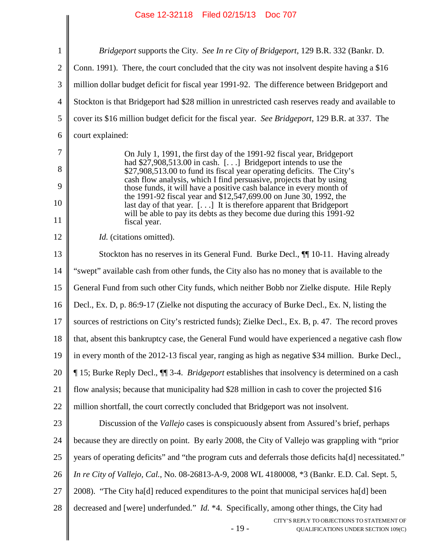<span id="page-25-0"></span>

|                         | Case 12-32110 Filed 02/13/13 DOC 707                                                                                                                                                                                                                                                                                                                                                                                                                                                                                                                                                                 |
|-------------------------|------------------------------------------------------------------------------------------------------------------------------------------------------------------------------------------------------------------------------------------------------------------------------------------------------------------------------------------------------------------------------------------------------------------------------------------------------------------------------------------------------------------------------------------------------------------------------------------------------|
| $\mathbf{1}$            | <i>Bridgeport</i> supports the City. See In re City of Bridgeport, 129 B.R. 332 (Bankr. D.                                                                                                                                                                                                                                                                                                                                                                                                                                                                                                           |
| $\overline{2}$          | Conn. 1991). There, the court concluded that the city was not insolvent despite having a \$16                                                                                                                                                                                                                                                                                                                                                                                                                                                                                                        |
| 3                       | million dollar budget deficit for fiscal year 1991-92. The difference between Bridgeport and                                                                                                                                                                                                                                                                                                                                                                                                                                                                                                         |
| $\overline{4}$          | Stockton is that Bridgeport had \$28 million in unrestricted cash reserves ready and available to                                                                                                                                                                                                                                                                                                                                                                                                                                                                                                    |
| 5                       | cover its \$16 million budget deficit for the fiscal year. See Bridgeport, 129 B.R. at 337. The                                                                                                                                                                                                                                                                                                                                                                                                                                                                                                      |
| 6                       | court explained:                                                                                                                                                                                                                                                                                                                                                                                                                                                                                                                                                                                     |
| 7<br>8<br>9<br>10<br>11 | On July 1, 1991, the first day of the 1991-92 fiscal year, Bridgeport<br>had $$27,908,513.00$ in cash. [] Bridgeport intends to use the<br>\$27,908,513.00 to fund its fiscal year operating deficits. The City's<br>cash flow analysis, which I find persuasive, projects that by using<br>those funds, it will have a positive cash balance in every month of<br>the 1991-92 fiscal year and \$12,547,699.00 on June 30, 1992, the<br>last day of that year. $[]$ It is therefore apparent that Bridgeport<br>will be able to pay its debts as they become due during this 1991-92<br>fiscal year. |
| 12                      | Id. (citations omitted).                                                                                                                                                                                                                                                                                                                                                                                                                                                                                                                                                                             |
| 13                      | Stockton has no reserves in its General Fund. Burke Decl., ¶ 10-11. Having already                                                                                                                                                                                                                                                                                                                                                                                                                                                                                                                   |
| 14                      | "swept" available cash from other funds, the City also has no money that is available to the                                                                                                                                                                                                                                                                                                                                                                                                                                                                                                         |
| 15                      | General Fund from such other City funds, which neither Bobb nor Zielke dispute. Hile Reply                                                                                                                                                                                                                                                                                                                                                                                                                                                                                                           |
| 16                      | Decl., Ex. D, p. 86:9-17 (Zielke not disputing the accuracy of Burke Decl., Ex. N, listing the                                                                                                                                                                                                                                                                                                                                                                                                                                                                                                       |
| 17                      | sources of restrictions on City's restricted funds); Zielke Decl., Ex. B, p. 47. The record proves                                                                                                                                                                                                                                                                                                                                                                                                                                                                                                   |
| 18                      | that, absent this bankruptcy case, the General Fund would have experienced a negative cash flow                                                                                                                                                                                                                                                                                                                                                                                                                                                                                                      |
| 19                      | in every month of the 2012-13 fiscal year, ranging as high as negative \$34 million. Burke Decl.,                                                                                                                                                                                                                                                                                                                                                                                                                                                                                                    |
| 20                      | 15; Burke Reply Decl., II 3-4. <i>Bridgeport</i> establishes that insolvency is determined on a cash                                                                                                                                                                                                                                                                                                                                                                                                                                                                                                 |
| 21                      | flow analysis; because that municipality had \$28 million in cash to cover the projected \$16                                                                                                                                                                                                                                                                                                                                                                                                                                                                                                        |
| 22                      | million shortfall, the court correctly concluded that Bridgeport was not insolvent.                                                                                                                                                                                                                                                                                                                                                                                                                                                                                                                  |
| 23                      | Discussion of the <i>Vallejo</i> cases is conspicuously absent from Assured's brief, perhaps                                                                                                                                                                                                                                                                                                                                                                                                                                                                                                         |
| 24                      | because they are directly on point. By early 2008, the City of Vallejo was grappling with "prior                                                                                                                                                                                                                                                                                                                                                                                                                                                                                                     |
| 25                      | years of operating deficits" and "the program cuts and deferrals those deficits ha[d] necessitated."                                                                                                                                                                                                                                                                                                                                                                                                                                                                                                 |
| 26                      | In re City of Vallejo, Cal., No. 08-26813-A-9, 2008 WL 4180008, *3 (Bankr. E.D. Cal. Sept. 5,                                                                                                                                                                                                                                                                                                                                                                                                                                                                                                        |
| 27                      | 2008). "The City hald reduced expenditures to the point that municipal services hald been                                                                                                                                                                                                                                                                                                                                                                                                                                                                                                            |
| 28                      | decreased and [were] underfunded." <i>Id.</i> *4. Specifically, among other things, the City had<br>CITY'S REPLY TO OBJECTIONS TO STATEMENT OF<br>$-19-$<br>QUALIFICATIONS UNDER SECTION 109(C)                                                                                                                                                                                                                                                                                                                                                                                                      |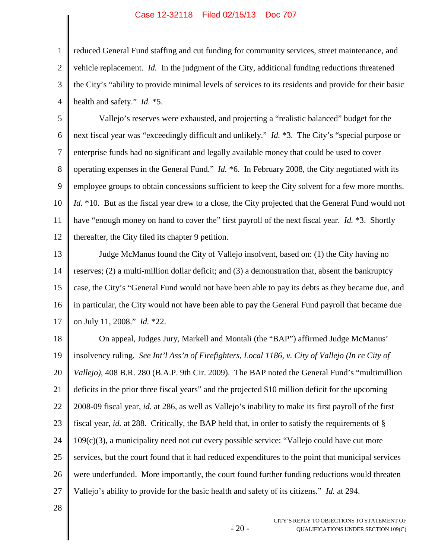3 4 reduced General Fund staffing and cut funding for community services, street maintenance, and vehicle replacement. *Id.* In the judgment of the City, additional funding reductions threatened the City's "ability to provide minimal levels of services to its residents and provide for their basic health and safety." *Id.* \*5.

5 6 7 8 9 10 11 12 Vallejo's reserves were exhausted, and projecting a "realistic balanced" budget for the next fiscal year was "exceedingly difficult and unlikely." *Id.* \*3. The City's "special purpose or enterprise funds had no significant and legally available money that could be used to cover operating expenses in the General Fund." *Id.* \*6. In February 2008, the City negotiated with its employee groups to obtain concessions sufficient to keep the City solvent for a few more months. *Id.* \*10. But as the fiscal year drew to a close, the City projected that the General Fund would not have "enough money on hand to cover the" first payroll of the next fiscal year. *Id.* \*3. Shortly thereafter, the City filed its chapter 9 petition.

13 14 15 16 17 Judge McManus found the City of Vallejo insolvent, based on: (1) the City having no reserves; (2) a multi-million dollar deficit; and (3) a demonstration that, absent the bankruptcy case, the City's "General Fund would not have been able to pay its debts as they became due, and in particular, the City would not have been able to pay the General Fund payroll that became due on July 11, 2008." *Id.* \*22.

18 19 20 21 22 23 24 25 26 27 On appeal, Judges Jury, Markell and Montali (the "BAP") affirmed Judge McManus' insolvency ruling. *See Int'l Ass'n of Firefighters, Local 1186, v. City of Vallejo (In re City of Vallejo)*, 408 B.R. 280 (B.A.P. 9th Cir. 2009). The BAP noted the General Fund's "multimillion deficits in the prior three fiscal years" and the projected \$10 million deficit for the upcoming 2008-09 fiscal year, *id.* at 286, as well as Vallejo's inability to make its first payroll of the first fiscal year, *id.* at 288. Critically, the BAP held that, in order to satisfy the requirements of § 109(c)(3), a municipality need not cut every possible service: "Vallejo could have cut more services, but the court found that it had reduced expenditures to the point that municipal services were underfunded. More importantly, the court found further funding reductions would threaten Vallejo's ability to provide for the basic health and safety of its citizens." *Id.* at 294.

- 20 -

28

1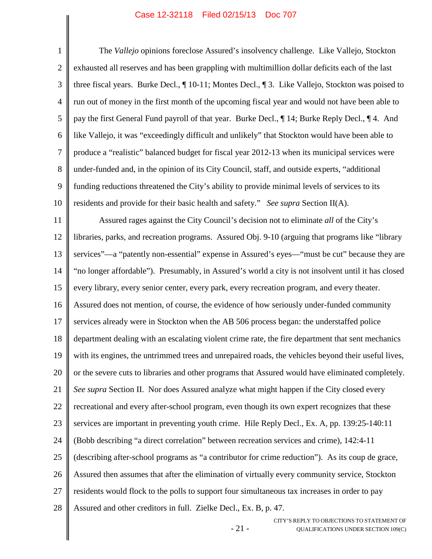- 21 - CITY'S REPLY TO OBJECTIONS TO STATEMENT OF 1 2 3 4 5 6 7 8 9 10 11 12 13 14 15 16 17 18 19 20 21 22 23 24 25 26 27 28 The *Vallejo* opinions foreclose Assured's insolvency challenge. Like Vallejo, Stockton exhausted all reserves and has been grappling with multimillion dollar deficits each of the last three fiscal years. Burke Decl., ¶ 10-11; Montes Decl., ¶ 3. Like Vallejo, Stockton was poised to run out of money in the first month of the upcoming fiscal year and would not have been able to pay the first General Fund payroll of that year. Burke Decl., ¶ 14; Burke Reply Decl., ¶ 4. And like Vallejo, it was "exceedingly difficult and unlikely" that Stockton would have been able to produce a "realistic" balanced budget for fiscal year 2012-13 when its municipal services were under-funded and, in the opinion of its City Council, staff, and outside experts, "additional funding reductions threatened the City's ability to provide minimal levels of services to its residents and provide for their basic health and safety." *See supra* Section II(A). Assured rages against the City Council's decision not to eliminate *all* of the City's libraries, parks, and recreation programs. Assured Obj. 9-10 (arguing that programs like "library services"—a "patently non-essential" expense in Assured's eyes—"must be cut" because they are "no longer affordable"). Presumably, in Assured's world a city is not insolvent until it has closed every library, every senior center, every park, every recreation program, and every theater. Assured does not mention, of course, the evidence of how seriously under-funded community services already were in Stockton when the AB 506 process began: the understaffed police department dealing with an escalating violent crime rate, the fire department that sent mechanics with its engines, the untrimmed trees and unrepaired roads, the vehicles beyond their useful lives, or the severe cuts to libraries and other programs that Assured would have eliminated completely. *See supra* Section II. Nor does Assured analyze what might happen if the City closed every recreational and every after-school program, even though its own expert recognizes that these services are important in preventing youth crime. Hile Reply Decl., Ex. A, pp. 139:25-140:11 (Bobb describing "a direct correlation" between recreation services and crime), 142:4-11 (describing after-school programs as "a contributor for crime reduction"). As its coup de grace, Assured then assumes that after the elimination of virtually every community service, Stockton residents would flock to the polls to support four simultaneous tax increases in order to pay Assured and other creditors in full. Zielke Decl., Ex. B, p. 47.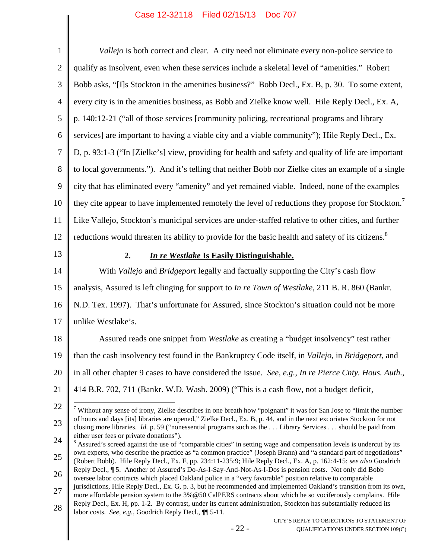<span id="page-28-4"></span><span id="page-28-3"></span><span id="page-28-2"></span><span id="page-28-1"></span><span id="page-28-0"></span>

| $\mathbf{1}$   | Vallejo is both correct and clear. A city need not eliminate every non-police service to                                                                                                                                                                                                                                                                                                                            |
|----------------|---------------------------------------------------------------------------------------------------------------------------------------------------------------------------------------------------------------------------------------------------------------------------------------------------------------------------------------------------------------------------------------------------------------------|
| $\overline{2}$ | qualify as insolvent, even when these services include a skeletal level of "amenities." Robert                                                                                                                                                                                                                                                                                                                      |
| 3              | Bobb asks, "[I]s Stockton in the amenities business?" Bobb Decl., Ex. B, p. 30. To some extent,                                                                                                                                                                                                                                                                                                                     |
| $\overline{4}$ | every city is in the amenities business, as Bobb and Zielke know well. Hile Reply Decl., Ex. A,                                                                                                                                                                                                                                                                                                                     |
| 5              | p. 140:12-21 ("all of those services [community policing, recreational programs and library                                                                                                                                                                                                                                                                                                                         |
| 6              | services] are important to having a viable city and a viable community"); Hile Reply Decl., Ex.                                                                                                                                                                                                                                                                                                                     |
| $\tau$         | D, p. 93:1-3 ("In [Zielke's] view, providing for health and safety and quality of life are important                                                                                                                                                                                                                                                                                                                |
| $8\,$          | to local governments."). And it's telling that neither Bobb nor Zielke cites an example of a single                                                                                                                                                                                                                                                                                                                 |
| $\mathbf{9}$   | city that has eliminated every "amenity" and yet remained viable. Indeed, none of the examples                                                                                                                                                                                                                                                                                                                      |
| 10             | they cite appear to have implemented remotely the level of reductions they propose for Stockton. <sup>7</sup>                                                                                                                                                                                                                                                                                                       |
| 11             | Like Vallejo, Stockton's municipal services are under-staffed relative to other cities, and further                                                                                                                                                                                                                                                                                                                 |
| 12             | reductions would threaten its ability to provide for the basic health and safety of its citizens. <sup>8</sup>                                                                                                                                                                                                                                                                                                      |
| 13             | In re Westlake Is Easily Distinguishable.<br>2.                                                                                                                                                                                                                                                                                                                                                                     |
| 14             | With Vallejo and Bridgeport legally and factually supporting the City's cash flow                                                                                                                                                                                                                                                                                                                                   |
| 15             | analysis, Assured is left clinging for support to <i>In re Town of Westlake</i> , 211 B. R. 860 (Bankr.                                                                                                                                                                                                                                                                                                             |
| 16             | N.D. Tex. 1997). That's unfortunate for Assured, since Stockton's situation could not be more                                                                                                                                                                                                                                                                                                                       |
| 17             | unlike Westlake's.                                                                                                                                                                                                                                                                                                                                                                                                  |
| 18             | Assured reads one snippet from Westlake as creating a "budget insolvency" test rather                                                                                                                                                                                                                                                                                                                               |
| 19             | than the cash insolvency test found in the Bankruptcy Code itself, in Vallejo, in Bridgeport, and                                                                                                                                                                                                                                                                                                                   |
| 20             | in all other chapter 9 cases to have considered the issue. See, e.g., In re Pierce Cnty. Hous. Auth.,                                                                                                                                                                                                                                                                                                               |
| 21             | 414 B.R. 702, 711 (Bankr. W.D. Wash. 2009) ("This is a cash flow, not a budget deficit,                                                                                                                                                                                                                                                                                                                             |
| 22             | <sup>7</sup> Without any sense of irony, Zielke describes in one breath how "poignant" it was for San Jose to "limit the number                                                                                                                                                                                                                                                                                     |
| 23             | of hours and days [its] libraries are opened," Zielke Decl., Ex. B, p. 44, and in the next excoriates Stockton for not<br>closing more libraries. Id. p. 59 ("nonessential programs such as the  Library Services  should be paid from                                                                                                                                                                              |
| 24             | either user fees or private donations").<br>Assured's screed against the use of "comparable cities" in setting wage and compensation levels is undercut by its                                                                                                                                                                                                                                                      |
| 25             | own experts, who describe the practice as "a common practice" (Joseph Brann) and "a standard part of negotiations"<br>(Robert Bobb). Hile Reply Decl., Ex. F, pp. 234:11-235:9; Hile Reply Decl., Ex. A, p. 162:4-15; see also Goodrich                                                                                                                                                                             |
| 26             | Reply Decl., ¶ 5. Another of Assured's Do-As-I-Say-And-Not-As-I-Dos is pension costs. Not only did Bobb<br>oversee labor contracts which placed Oakland police in a "very favorable" position relative to comparable                                                                                                                                                                                                |
| 27<br>28       | jurisdictions, Hile Reply Decl., Ex. G, p. 3, but he recommended and implemented Oakland's transition from its own,<br>more affordable pension system to the 3% @50 CalPERS contracts about which he so vociferously complains. Hile<br>Reply Decl., Ex. H, pp. 1-2. By contrast, under its current administration, Stockton has substantially reduced its<br>labor costs. See, e.g., Goodrich Reply Decl., ¶ 5-11. |
|                | CITY'S REPLY TO OBJECTIONS TO STATEMENT OF<br>$-22-$<br>QUALIFICATIONS UNDER SECTION 109(C)                                                                                                                                                                                                                                                                                                                         |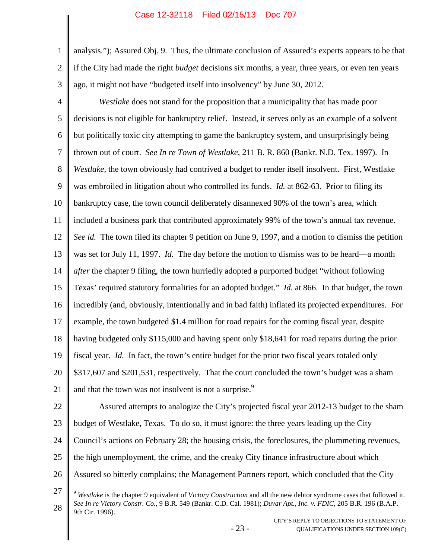1

2

3

analysis."); Assured Obj. 9. Thus, the ultimate conclusion of Assured's experts appears to be that if the City had made the right *budget* decisions six months, a year, three years, or even ten years ago, it might not have "budgeted itself into insolvency" by June 30, 2012.

<span id="page-29-1"></span>4 5 6 7 8 9 10 11 12 13 14 15 16 17 18 19 20 21 22 23 *Westlake* does not stand for the proposition that a municipality that has made poor decisions is not eligible for bankruptcy relief. Instead, it serves only as an example of a solvent but politically toxic city attempting to game the bankruptcy system, and unsurprisingly being thrown out of court. *See In re Town of Westlake*, 211 B. R. 860 (Bankr. N.D. Tex. 1997). In *Westlake*, the town obviously had contrived a budget to render itself insolvent. First, Westlake was embroiled in litigation about who controlled its funds. *Id.* at 862-63. Prior to filing its bankruptcy case, the town council deliberately disannexed 90% of the town's area, which included a business park that contributed approximately 99% of the town's annual tax revenue. *See id.* The town filed its chapter 9 petition on June 9, 1997, and a motion to dismiss the petition was set for July 11, 1997. *Id.* The day before the motion to dismiss was to be heard—a month *after* the chapter 9 filing, the town hurriedly adopted a purported budget "without following Texas' required statutory formalities for an adopted budget." *Id.* at 866. In that budget, the town incredibly (and, obviously, intentionally and in bad faith) inflated its projected expenditures. For example, the town budgeted \$1.4 million for road repairs for the coming fiscal year, despite having budgeted only \$115,000 and having spent only \$18,641 for road repairs during the prior fiscal year. *Id.* In fact, the town's entire budget for the prior two fiscal years totaled only \$317,607 and \$201,531, respectively. That the court concluded the town's budget was a sham and that the town was not insolvent is not a surprise.<sup>[9](#page-29-3)</sup> Assured attempts to analogize the City's projected fiscal year 2012-13 budget to the sham budget of Westlake, Texas. To do so, it must ignore: the three years leading up the City

- 24 Council's actions on February 28; the housing crisis, the foreclosures, the plummeting revenues,
- 25 the high unemployment, the crime, and the creaky City finance infrastructure about which
- 26 Assured so bitterly complains; the Management Partners report, which concluded that the City

<span id="page-29-0"></span>- 23 -

<span id="page-29-3"></span><span id="page-29-2"></span><sup>27</sup> 28 <sup>9</sup> *Westlake* is the chapter 9 equivalent of *Victory Construction* and all the new debtor syndrome cases that followed it. *See In re Victory Constr. Co.*, 9 B.R. 549 (Bankr. C.D. Cal. 1981); *Duvar Apt., Inc. v. FDIC*, 205 B.R. 196 (B.A.P. 9th Cir. 1996).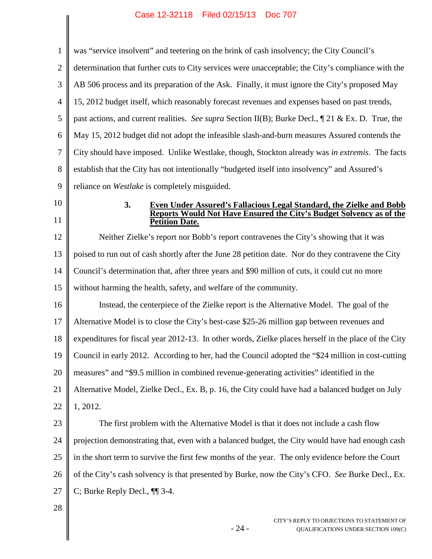1 2 3 4 5 6 7 8 9 was "service insolvent" and teetering on the brink of cash insolvency; the City Council's determination that further cuts to City services were unacceptable; the City's compliance with the AB 506 process and its preparation of the Ask. Finally, it must ignore the City's proposed May 15, 2012 budget itself, which reasonably forecast revenues and expenses based on past trends, past actions, and current realities. *See supra* Section II(B); Burke Decl., ¶ 21 & Ex. D. True, the May 15, 2012 budget did not adopt the infeasible slash-and-burn measures Assured contends the City should have imposed. Unlike Westlake, though, Stockton already was *in extremis*. The facts establish that the City has not intentionally "budgeted itself into insolvency" and Assured's reliance on *Westlake* is completely misguided.

- 10
- 11

#### <span id="page-30-0"></span>**3. Even Under Assured's Fallacious Legal Standard, the Zielke and Bobb Reports Would Not Have Ensured the City's Budget Solvency as of the Petition Date.**

12 13 14 15 Neither Zielke's report nor Bobb's report contravenes the City's showing that it was poised to run out of cash shortly after the June 28 petition date. Nor do they contravene the City Council's determination that, after three years and \$90 million of cuts, it could cut no more without harming the health, safety, and welfare of the community.

16 17 18 19 20 21 22 Instead, the centerpiece of the Zielke report is the Alternative Model. The goal of the Alternative Model is to close the City's best-case \$25-26 million gap between revenues and expenditures for fiscal year 2012-13. In other words, Zielke places herself in the place of the City Council in early 2012. According to her, had the Council adopted the "\$24 million in cost-cutting measures" and "\$9.5 million in combined revenue-generating activities" identified in the Alternative Model, Zielke Decl., Ex. B, p. 16, the City could have had a balanced budget on July 1, 2012.

23

24 25 26 27 The first problem with the Alternative Model is that it does not include a cash flow projection demonstrating that, even with a balanced budget, the City would have had enough cash in the short term to survive the first few months of the year. The only evidence before the Court of the City's cash solvency is that presented by Burke, now the City's CFO. *See* Burke Decl., Ex. C; Burke Reply Decl., ¶¶ 3-4.

- 24 -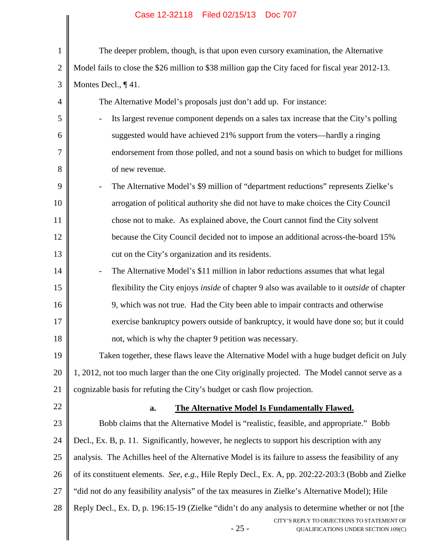|              | Case 12-32110 Filed 02/13/13 DOC 707                                                                 |
|--------------|------------------------------------------------------------------------------------------------------|
| $\mathbf{1}$ | The deeper problem, though, is that upon even cursory examination, the Alternative                   |
| $\mathbf{2}$ | Model fails to close the \$26 million to \$38 million gap the City faced for fiscal year 2012-13.    |
| 3            | Montes Decl., ¶41.                                                                                   |
| 4            | The Alternative Model's proposals just don't add up. For instance:                                   |
| 5            | Its largest revenue component depends on a sales tax increase that the City's polling                |
| 6            | suggested would have achieved 21% support from the voters—hardly a ringing                           |
| 7            | endorsement from those polled, and not a sound basis on which to budget for millions                 |
| 8            | of new revenue.                                                                                      |
| 9            | The Alternative Model's \$9 million of "department reductions" represents Zielke's                   |
| 10           | arrogation of political authority she did not have to make choices the City Council                  |
| 11           | chose not to make. As explained above, the Court cannot find the City solvent                        |
| 12           | because the City Council decided not to impose an additional across-the-board 15%                    |
| 13           | cut on the City's organization and its residents.                                                    |
| 14           | The Alternative Model's \$11 million in labor reductions assumes that what legal                     |
| 15           | flexibility the City enjoys inside of chapter 9 also was available to it outside of chapter          |
| 16           | 9, which was not true. Had the City been able to impair contracts and otherwise                      |
| 17           | exercise bankruptcy powers outside of bankruptcy, it would have done so; but it could                |
| 18           | not, which is why the chapter 9 petition was necessary.                                              |
| 19           | Taken together, these flaws leave the Alternative Model with a huge budget deficit on July           |
| 20           | 1, 2012, not too much larger than the one City originally projected. The Model cannot serve as a     |
| 21           | cognizable basis for refuting the City's budget or cash flow projection.                             |
| 22           | The Alternative Model Is Fundamentally Flawed.<br>a.                                                 |
| 23           | Bobb claims that the Alternative Model is "realistic, feasible, and appropriate." Bobb               |
| 24           | Decl., Ex. B, p. 11. Significantly, however, he neglects to support his description with any         |
| 25           | analysis. The Achilles heel of the Alternative Model is its failure to assess the feasibility of any |
| 26           | of its constituent elements. See, e.g., Hile Reply Decl., Ex. A, pp. 202:22-203:3 (Bobb and Zielke   |
| 27           | "did not do any feasibility analysis" of the tax measures in Zielke's Alternative Model); Hile       |
| 28           | Reply Decl., Ex. D, p. 196:15-19 (Zielke "didn't do any analysis to determine whether or not [the    |
|              | CITY'S REPLY TO OBJECTIONS TO STATEMENT OF<br>$-25-$<br>QUALIFICATIONS UNDER SECTION 109(C)          |
|              |                                                                                                      |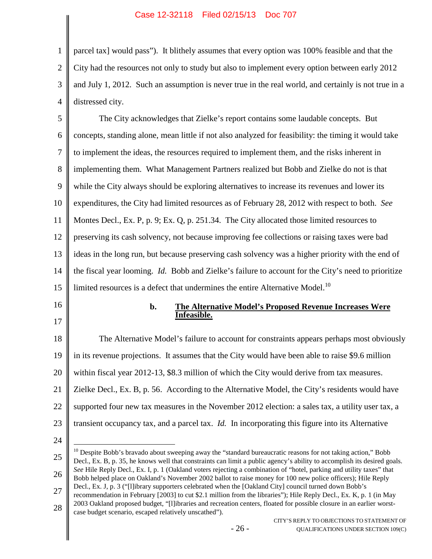1 2 3 4 parcel tax] would pass"). It blithely assumes that every option was 100% feasible and that the City had the resources not only to study but also to implement every option between early 2012 and July 1, 2012. Such an assumption is never true in the real world, and certainly is not true in a distressed city.

5 6 7 8 9 10 11 12 13 14 15 The City acknowledges that Zielke's report contains some laudable concepts. But concepts, standing alone, mean little if not also analyzed for feasibility: the timing it would take to implement the ideas, the resources required to implement them, and the risks inherent in implementing them. What Management Partners realized but Bobb and Zielke do not is that while the City always should be exploring alternatives to increase its revenues and lower its expenditures, the City had limited resources as of February 28, 2012 with respect to both. *See* Montes Decl., Ex. P, p. 9; Ex. Q, p. 251.34. The City allocated those limited resources to preserving its cash solvency, not because improving fee collections or raising taxes were bad ideas in the long run, but because preserving cash solvency was a higher priority with the end of the fiscal year looming. *Id.* Bobb and Zielke's failure to account for the City's need to prioritize limited resources is a defect that undermines the entire Alternative Model.<sup>[10](#page-32-0)</sup>

- 16
- 17

#### **b. The Alternative Model's Proposed Revenue Increases Were Infeasible.**

18 19 20 21 22 23 The Alternative Model's failure to account for constraints appears perhaps most obviously in its revenue projections. It assumes that the City would have been able to raise \$9.6 million within fiscal year 2012-13, \$8.3 million of which the City would derive from tax measures. Zielke Decl., Ex. B, p. 56. According to the Alternative Model, the City's residents would have supported four new tax measures in the November 2012 election: a sales tax, a utility user tax, a transient occupancy tax, and a parcel tax. *Id.* In incorporating this figure into its Alternative

<span id="page-32-0"></span><sup>25</sup> 26 27 28 <sup>10</sup> Despite Bobb's bravado about sweeping away the "standard bureaucratic reasons for not taking action," Bobb Decl., Ex. B, p. 35, he knows well that constraints can limit a public agency's ability to accomplish its desired goals. *See* Hile Reply Decl., Ex. I, p. 1 (Oakland voters rejecting a combination of "hotel, parking and utility taxes" that Bobb helped place on Oakland's November 2002 ballot to raise money for 100 new police officers); Hile Reply Decl., Ex. J, p. 3 ("[l]ibrary supporters celebrated when the [Oakland City] council turned down Bobb's recommendation in February [2003] to cut \$2.1 million from the libraries"); Hile Reply Decl., Ex. K, p. 1 (in May 2003 Oakland proposed budget, "[l]ibraries and recreation centers, floated for possible closure in an earlier worst-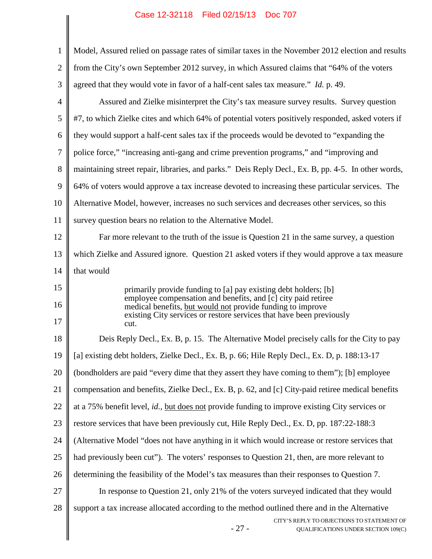|                | $\frac{1}{2}$ as $\frac{1}{2}$ as $\frac{1}{2}$ as $\frac{1}{2}$ as $\frac{1}{2}$ as $\frac{1}{2}$ as $\frac{1}{2}$                                                                            |
|----------------|------------------------------------------------------------------------------------------------------------------------------------------------------------------------------------------------|
| $\mathbf{1}$   | Model, Assured relied on passage rates of similar taxes in the November 2012 election and results                                                                                              |
| $\overline{2}$ | from the City's own September 2012 survey, in which Assured claims that "64% of the voters"                                                                                                    |
| 3              | agreed that they would vote in favor of a half-cent sales tax measure." Id. p. 49.                                                                                                             |
| 4              | Assured and Zielke misinterpret the City's tax measure survey results. Survey question                                                                                                         |
| 5              | #7, to which Zielke cites and which 64% of potential voters positively responded, asked voters if                                                                                              |
| 6              | they would support a half-cent sales tax if the proceeds would be devoted to "expanding the                                                                                                    |
| $\tau$         | police force," "increasing anti-gang and crime prevention programs," and "improving and                                                                                                        |
| 8              | maintaining street repair, libraries, and parks." Deis Reply Decl., Ex. B, pp. 4-5. In other words,                                                                                            |
| 9              | 64% of voters would approve a tax increase devoted to increasing these particular services. The                                                                                                |
| 10             | Alternative Model, however, increases no such services and decreases other services, so this                                                                                                   |
| 11             | survey question bears no relation to the Alternative Model.                                                                                                                                    |
| 12             | Far more relevant to the truth of the issue is Question 21 in the same survey, a question                                                                                                      |
| 13             | which Zielke and Assured ignore. Question 21 asked voters if they would approve a tax measure                                                                                                  |
| 14             | that would                                                                                                                                                                                     |
| 15             | primarily provide funding to [a] pay existing debt holders; [b]<br>employee compensation and benefits, and [c] city paid retiree<br>medical benefits, but would not provide funding to improve |
| 16             |                                                                                                                                                                                                |
| 17             | existing City services or restore services that have been previously<br>cut.                                                                                                                   |
| 18             | Deis Reply Decl., Ex. B, p. 15. The Alternative Model precisely calls for the City to pay                                                                                                      |
| 19             | [a] existing debt holders, Zielke Decl., Ex. B, p. 66; Hile Reply Decl., Ex. D, p. 188:13-17                                                                                                   |
| 20             | (bondholders are paid "every dime that they assert they have coming to them"); [b] employee                                                                                                    |
| 21             | compensation and benefits, Zielke Decl., Ex. B, p. 62, and [c] City-paid retiree medical benefits                                                                                              |
| 22             | at a 75% benefit level, id., but does not provide funding to improve existing City services or                                                                                                 |
| 23             | restore services that have been previously cut, Hile Reply Decl., Ex. D, pp. 187:22-188:3                                                                                                      |
| 24             | (Alternative Model "does not have anything in it which would increase or restore services that                                                                                                 |
| 25             | had previously been cut"). The voters' responses to Question 21, then, are more relevant to                                                                                                    |
| 26             | determining the feasibility of the Model's tax measures than their responses to Question 7.                                                                                                    |
| 27             | In response to Question 21, only 21% of the voters surveyed indicated that they would                                                                                                          |
| 28             | support a tax increase allocated according to the method outlined there and in the Alternative                                                                                                 |
|                | CITY'S REPLY TO OBJECTIONS TO STATEMENT OF<br>$-27-$<br>QUALIFICATIONS UNDER SECTION 109(C)                                                                                                    |
|                |                                                                                                                                                                                                |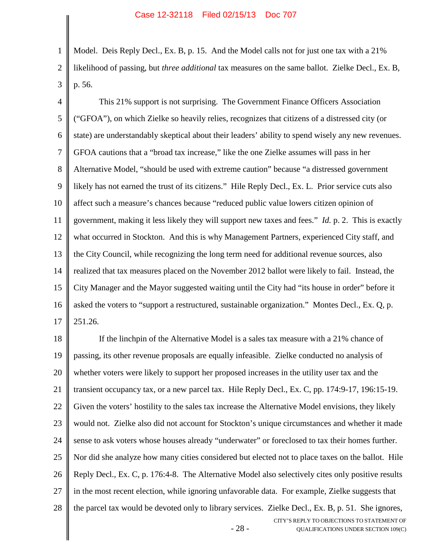1 2 3 Model. Deis Reply Decl., Ex. B, p. 15. And the Model calls not for just one tax with a 21% likelihood of passing, but *three additional* tax measures on the same ballot. Zielke Decl., Ex. B, p. 56.

4 5 6 7 8 9 10 11 12 13 14 15 16 17 This 21% support is not surprising. The Government Finance Officers Association ("GFOA"), on which Zielke so heavily relies, recognizes that citizens of a distressed city (or state) are understandably skeptical about their leaders' ability to spend wisely any new revenues. GFOA cautions that a "broad tax increase," like the one Zielke assumes will pass in her Alternative Model, "should be used with extreme caution" because "a distressed government likely has not earned the trust of its citizens." Hile Reply Decl., Ex. L. Prior service cuts also affect such a measure's chances because "reduced public value lowers citizen opinion of government, making it less likely they will support new taxes and fees." *Id.* p. 2. This is exactly what occurred in Stockton. And this is why Management Partners, experienced City staff, and the City Council, while recognizing the long term need for additional revenue sources, also realized that tax measures placed on the November 2012 ballot were likely to fail. Instead, the City Manager and the Mayor suggested waiting until the City had "its house in order" before it asked the voters to "support a restructured, sustainable organization." Montes Decl., Ex. Q, p. 251.26.

- 28 - CITY'S REPLY TO OBJECTIONS TO STATEMENT OF QUALIFICATIONS UNDER SECTION 109(C) 18 19 20 21 22 23 24 25 26 27 28 If the linchpin of the Alternative Model is a sales tax measure with a 21% chance of passing, its other revenue proposals are equally infeasible. Zielke conducted no analysis of whether voters were likely to support her proposed increases in the utility user tax and the transient occupancy tax, or a new parcel tax. Hile Reply Decl., Ex. C, pp. 174:9-17, 196:15-19. Given the voters' hostility to the sales tax increase the Alternative Model envisions, they likely would not. Zielke also did not account for Stockton's unique circumstances and whether it made sense to ask voters whose houses already "underwater" or foreclosed to tax their homes further. Nor did she analyze how many cities considered but elected not to place taxes on the ballot. Hile Reply Decl., Ex. C, p. 176:4-8. The Alternative Model also selectively cites only positive results in the most recent election, while ignoring unfavorable data. For example, Zielke suggests that the parcel tax would be devoted only to library services. Zielke Decl., Ex. B, p. 51. She ignores,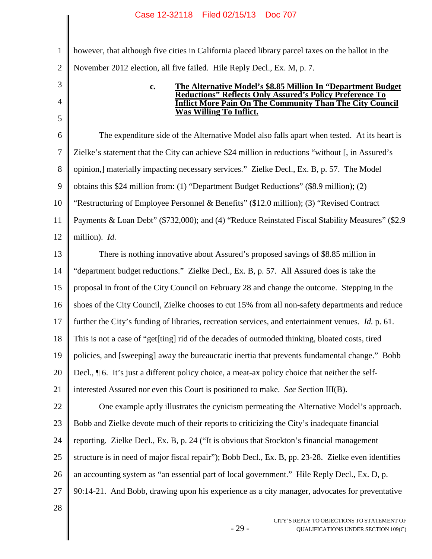1 2 however, that although five cities in California placed library parcel taxes on the ballot in the November 2012 election, all five failed. Hile Reply Decl., Ex. M, p. 7.

# 4 5 11

3

**c. The Alternative Model's \$8.85 Million In "Department Budget Reductions" Reflects Only Assured's Policy Preference To Inflict More Pain On The Community Than The City Council Was Willing To Inflict.**

6 7 8 9 10 12 The expenditure side of the Alternative Model also falls apart when tested. At its heart is Zielke's statement that the City can achieve \$24 million in reductions "without [, in Assured's opinion,] materially impacting necessary services." Zielke Decl., Ex. B, p. 57. The Model obtains this \$24 million from: (1) "Department Budget Reductions" (\$8.9 million); (2) "Restructuring of Employee Personnel & Benefits" (\$12.0 million); (3) "Revised Contract Payments & Loan Debt" (\$732,000); and (4) "Reduce Reinstated Fiscal Stability Measures" (\$2.9 million). *Id.*

13 14 15 16 17 18 19 20 21 22 23 There is nothing innovative about Assured's proposed savings of \$8.85 million in "department budget reductions." Zielke Decl., Ex. B, p. 57. All Assured does is take the proposal in front of the City Council on February 28 and change the outcome. Stepping in the shoes of the City Council, Zielke chooses to cut 15% from all non-safety departments and reduce further the City's funding of libraries, recreation services, and entertainment venues. *Id.* p. 61. This is not a case of "get[ting] rid of the decades of outmoded thinking, bloated costs, tired policies, and [sweeping] away the bureaucratic inertia that prevents fundamental change." Bobb Decl., ¶ 6. It's just a different policy choice, a meat-ax policy choice that neither the selfinterested Assured nor even this Court is positioned to make. *See* Section III(B). One example aptly illustrates the cynicism permeating the Alternative Model's approach. Bobb and Zielke devote much of their reports to criticizing the City's inadequate financial

24 reporting. Zielke Decl., Ex. B, p. 24 ("It is obvious that Stockton's financial management

25 structure is in need of major fiscal repair"); Bobb Decl., Ex. B, pp. 23-28. Zielke even identifies

26 an accounting system as "an essential part of local government." Hile Reply Decl., Ex. D, p.

27 90:14-21. And Bobb, drawing upon his experience as a city manager, advocates for preventative

- 29 -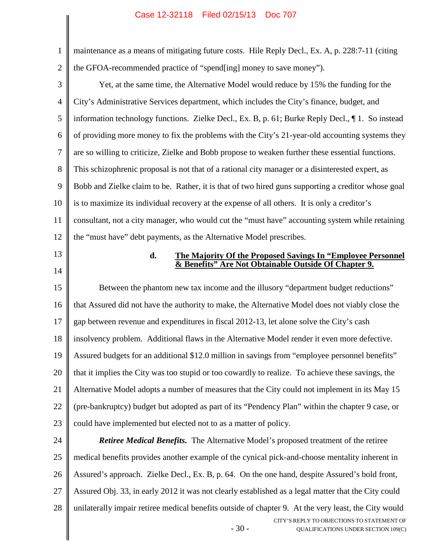| $\mathbf{1}$   | maintenance as a means of mitigating future costs. Hile Reply Decl., Ex. A, p. 228:7-11 (citing    |
|----------------|----------------------------------------------------------------------------------------------------|
| $\overline{2}$ | the GFOA-recommended practice of "spend[ing] money to save money").                                |
| 3              | Yet, at the same time, the Alternative Model would reduce by 15% the funding for the               |
| $\overline{4}$ | City's Administrative Services department, which includes the City's finance, budget, and          |
| 5              | information technology functions. Zielke Decl., Ex. B, p. 61; Burke Reply Decl., 1. So instead     |
| 6              | of providing more money to fix the problems with the City's 21-year-old accounting systems they    |
| $\overline{7}$ | are so willing to criticize, Zielke and Bobb propose to weaken further these essential functions.  |
| 8              | This schizophrenic proposal is not that of a rational city manager or a disinterested expert, as   |
| 9              | Bobb and Zielke claim to be. Rather, it is that of two hired guns supporting a creditor whose goal |
| 10             | is to maximize its individual recovery at the expense of all others. It is only a creditor's       |
| 11             | consultant, not a city manager, who would cut the "must have" accounting system while retaining    |
| 12             | the "must have" debt payments, as the Alternative Model prescribes.                                |
| 13             | d.<br>The Majority Of the Proposed Savings In "Employee Personnel                                  |
| 14             | & Benefits" Are Not Obtainable Outside Of Chapter 9.                                               |
| 15             | Between the phantom new tax income and the illusory "department budget reductions"                 |
|                |                                                                                                    |
| 16             | that Assured did not have the authority to make, the Alternative Model does not viably close the   |
| 17             | gap between revenue and expenditures in fiscal 2012-13, let alone solve the City's cash            |
| 18             | insolvency problem. Additional flaws in the Alternative Model render it even more defective.       |
| 19             | Assured budgets for an additional \$12.0 million in savings from "employee personnel benefits"     |
| 20             | that it implies the City was too stupid or too cowardly to realize. To achieve these savings, the  |
| 21             | Alternative Model adopts a number of measures that the City could not implement in its May 15      |
| 22             | (pre-bankruptcy) budget but adopted as part of its "Pendency Plan" within the chapter 9 case, or   |
| 23             | could have implemented but elected not to as a matter of policy.                                   |
| 24             | <b>Retiree Medical Benefits.</b> The Alternative Model's proposed treatment of the retiree         |
| 25             | medical benefits provides another example of the cynical pick-and-choose mentality inherent in     |
| 26             | Assured's approach. Zielke Decl., Ex. B, p. 64. On the one hand, despite Assured's bold front,     |

28 unilaterally impair retiree medical benefits outside of chapter 9. At the very least, the City would

- 30 -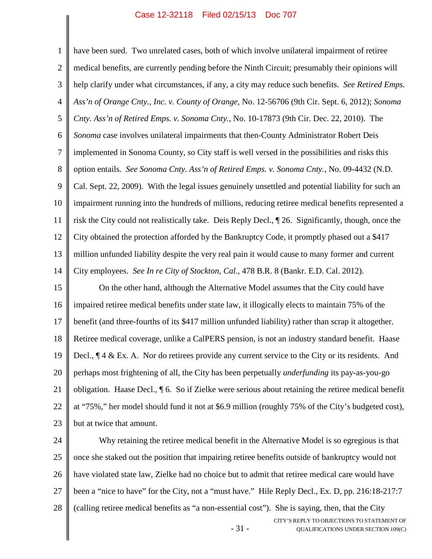1

2

3 4 5 6 7 8 9 10 11 12 13 14 help clarify under what circumstances, if any, a city may reduce such benefits. *See Retired Emps. Ass'n of Orange Cnty., Inc. v. County of Orange*, No. 12-56706 (9th Cir. Sept. 6, 2012); *Sonoma Cnty. Ass'n of Retired Emps. v. Sonoma Cnty.*, No. 10-17873 (9th Cir. Dec. 22, 2010). The *Sonoma* case involves unilateral impairments that then-County Administrator Robert Deis implemented in Sonoma County, so City staff is well versed in the possibilities and risks this option entails. *See Sonoma Cnty. Ass'n of Retired Emps. v. Sonoma Cnty.*, No. 09-4432 (N.D. Cal. Sept. 22, 2009). With the legal issues genuinely unsettled and potential liability for such an impairment running into the hundreds of millions, reducing retiree medical benefits represented a risk the City could not realistically take. Deis Reply Decl., ¶ 26. Significantly, though, once the City obtained the protection afforded by the Bankruptcy Code, it promptly phased out a \$417 million unfunded liability despite the very real pain it would cause to many former and current City employees. *See In re City of Stockton, Cal.*, 478 B.R. 8 (Bankr. E.D. Cal. 2012).

15 16 17 18 19 20 21 22 23 On the other hand, although the Alternative Model assumes that the City could have impaired retiree medical benefits under state law, it illogically elects to maintain 75% of the benefit (and three-fourths of its \$417 million unfunded liability) rather than scrap it altogether. Retiree medical coverage, unlike a CalPERS pension, is not an industry standard benefit. Haase Decl., ¶ 4 & Ex. A. Nor do retirees provide any current service to the City or its residents. And perhaps most frightening of all, the City has been perpetually *underfunding* its pay-as-you-go obligation. Haase Decl., ¶ 6. So if Zielke were serious about retaining the retiree medical benefit at "75%," her model should fund it not at \$6.9 million (roughly 75% of the City's budgeted cost), but at twice that amount.

24 25 26 27 28 Why retaining the retiree medical benefit in the Alternative Model is so egregious is that once she staked out the position that impairing retiree benefits outside of bankruptcy would not have violated state law, Zielke had no choice but to admit that retiree medical care would have been a "nice to have" for the City, not a "must have." Hile Reply Decl., Ex. D, pp. 216:18-217:7 (calling retiree medical benefits as "a non-essential cost"). She is saying, then, that the City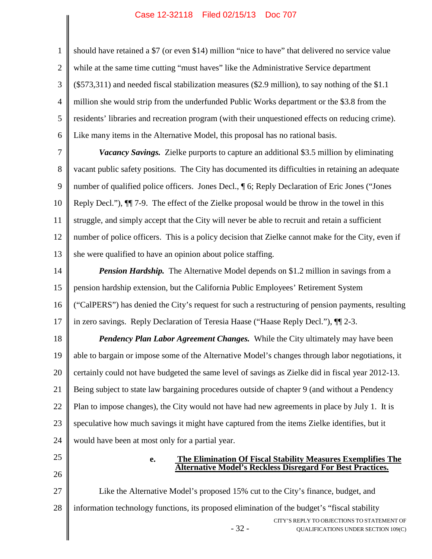2 3 4 5 6 should have retained a \$7 (or even \$14) million "nice to have" that delivered no service value while at the same time cutting "must haves" like the Administrative Service department (\$573,311) and needed fiscal stabilization measures (\$2.9 million), to say nothing of the \$1.1 million she would strip from the underfunded Public Works department or the \$3.8 from the residents' libraries and recreation program (with their unquestioned effects on reducing crime). Like many items in the Alternative Model, this proposal has no rational basis.

7 8 9 10 11 12 13 *Vacancy Savings.* Zielke purports to capture an additional \$3.5 million by eliminating vacant public safety positions. The City has documented its difficulties in retaining an adequate number of qualified police officers. Jones Decl.,  $\P$  6; Reply Declaration of Eric Jones ("Jones Reply Decl."), ¶¶ 7-9. The effect of the Zielke proposal would be throw in the towel in this struggle, and simply accept that the City will never be able to recruit and retain a sufficient number of police officers. This is a policy decision that Zielke cannot make for the City, even if she were qualified to have an opinion about police staffing.

14 15 16 17 *Pension Hardship.* The Alternative Model depends on \$1.2 million in savings from a pension hardship extension, but the California Public Employees' Retirement System ("CalPERS") has denied the City's request for such a restructuring of pension payments, resulting in zero savings. Reply Declaration of Teresia Haase ("Haase Reply Decl."), ¶¶ 2-3.

18 19 20 21 22 23 24 *Pendency Plan Labor Agreement Changes.* While the City ultimately may have been able to bargain or impose some of the Alternative Model's changes through labor negotiations, it certainly could not have budgeted the same level of savings as Zielke did in fiscal year 2012-13. Being subject to state law bargaining procedures outside of chapter 9 (and without a Pendency Plan to impose changes), the City would not have had new agreements in place by July 1. It is speculative how much savings it might have captured from the items Zielke identifies, but it would have been at most only for a partial year.

25

1

26

## **e. The Elimination Of Fiscal Stability Measures Exemplifies The Alternative Model's Reckless Disregard For Best Practices.**

- 32 - CITY'S REPLY TO OBJECTIONS TO STATEMENT OF QUALIFICATIONS UNDER SECTION 109(C) 27 28 Like the Alternative Model's proposed 15% cut to the City's finance, budget, and information technology functions, its proposed elimination of the budget's "fiscal stability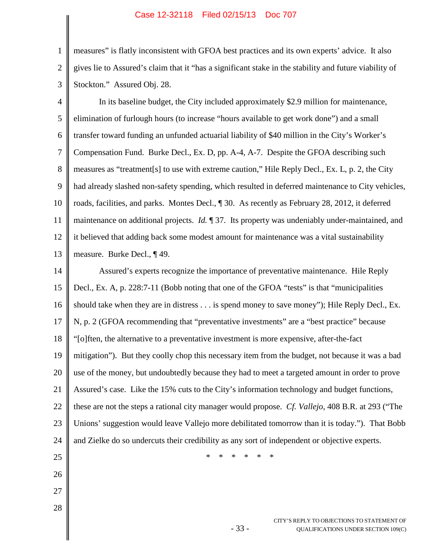1

2

3

26

27

28

measures" is flatly inconsistent with GFOA best practices and its own experts' advice. It also gives lie to Assured's claim that it "has a significant stake in the stability and future viability of Stockton." Assured Obj. 28.

4 5 6 7 8 9 10 11 12 13 In its baseline budget, the City included approximately \$2.9 million for maintenance, elimination of furlough hours (to increase "hours available to get work done") and a small transfer toward funding an unfunded actuarial liability of \$40 million in the City's Worker's Compensation Fund. Burke Decl., Ex. D, pp. A-4, A-7. Despite the GFOA describing such measures as "treatment[s] to use with extreme caution," Hile Reply Decl., Ex. L, p. 2, the City had already slashed non-safety spending, which resulted in deferred maintenance to City vehicles, roads, facilities, and parks. Montes Decl., ¶ 30. As recently as February 28, 2012, it deferred maintenance on additional projects. *Id.* ¶ 37. Its property was undeniably under-maintained, and it believed that adding back some modest amount for maintenance was a vital sustainability measure. Burke Decl., ¶ 49.

14 15 16 17 18 19 20 21 22 23 24 25 Assured's experts recognize the importance of preventative maintenance. Hile Reply Decl., Ex. A, p. 228:7-11 (Bobb noting that one of the GFOA "tests" is that "municipalities should take when they are in distress . . . is spend money to save money"); Hile Reply Decl., Ex. N, p. 2 (GFOA recommending that "preventative investments" are a "best practice" because "[o]ften, the alternative to a preventative investment is more expensive, after-the-fact mitigation"). But they coolly chop this necessary item from the budget, not because it was a bad use of the money, but undoubtedly because they had to meet a targeted amount in order to prove Assured's case. Like the 15% cuts to the City's information technology and budget functions, these are not the steps a rational city manager would propose. *Cf. Vallejo*, 408 B.R. at 293 ("The Unions' suggestion would leave Vallejo more debilitated tomorrow than it is today."). That Bobb and Zielke do so undercuts their credibility as any sort of independent or objective experts. \* \* \* \* \* \*

- 33 -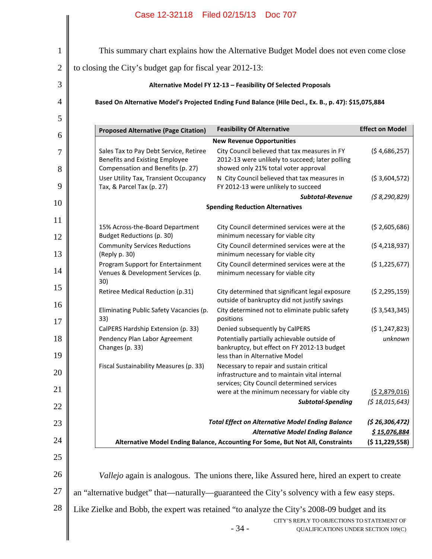|                | Case 12-32118 Filed 02/15/13 Doc 707                                                                    |                                                                                                                                      |                                |
|----------------|---------------------------------------------------------------------------------------------------------|--------------------------------------------------------------------------------------------------------------------------------------|--------------------------------|
|                |                                                                                                         |                                                                                                                                      |                                |
| $\mathbf{1}$   |                                                                                                         | This summary chart explains how the Alternative Budget Model does not even come close                                                |                                |
| $\overline{2}$ | to closing the City's budget gap for fiscal year 2012-13:                                               |                                                                                                                                      |                                |
| 3              |                                                                                                         | Alternative Model FY 12-13 - Feasibility Of Selected Proposals                                                                       |                                |
| 4              |                                                                                                         | Based On Alternative Model's Projected Ending Fund Balance (Hile Decl., Ex. B., p. 47): \$15,075,884                                 |                                |
| 5              |                                                                                                         |                                                                                                                                      |                                |
| 6              | <b>Proposed Alternative (Page Citation)</b>                                                             | <b>Feasibility Of Alternative</b>                                                                                                    | <b>Effect on Model</b>         |
| 7              | Sales Tax to Pay Debt Service, Retiree<br>Benefits and Existing Employee                                | <b>New Revenue Opportunities</b><br>City Council believed that tax measures in FY<br>2012-13 were unlikely to succeed; later polling | (54,686,257)                   |
| 8<br>9         | Compensation and Benefits (p. 27)<br>User Utility Tax, Transient Occupancy<br>Tax, & Parcel Tax (p. 27) | showed only 21% total voter approval<br>N City Council believed that tax measures in<br>FY 2012-13 were unlikely to succeed          | (53,604,572)                   |
| 10             |                                                                                                         | <b>Subtotal-Revenue</b>                                                                                                              | (58, 290, 829)                 |
|                |                                                                                                         | <b>Spending Reduction Alternatives</b>                                                                                               |                                |
| 11<br>12       | 15% Across-the-Board Department<br>Budget Reductions (p. 30)                                            | City Council determined services were at the<br>minimum necessary for viable city                                                    | (52,605,686)                   |
| 13             | <b>Community Services Reductions</b><br>(Reply p. 30)                                                   | City Council determined services were at the<br>minimum necessary for viable city                                                    | (54,218,937)                   |
| 14             | Program Support for Entertainment<br>Venues & Development Services (p.<br>30)                           | City Council determined services were at the<br>minimum necessary for viable city                                                    | (\$1,225,677)                  |
| 15             | Retiree Medical Reduction (p.31)                                                                        | City determined that significant legal exposure<br>outside of bankruptcy did not justify savings                                     | (52, 295, 159)                 |
| 16             | Eliminating Public Safety Vacancies (p.<br>33)                                                          | City determined not to eliminate public safety<br>positions                                                                          | (53,543,345)                   |
| 17             | CalPERS Hardship Extension (p. 33)                                                                      | Denied subsequently by CalPERS                                                                                                       | (51, 247, 823)                 |
| 18<br>19       | Pendency Plan Labor Agreement<br>Changes (p. 33)                                                        | Potentially partially achievable outside of<br>bankruptcy, but effect on FY 2012-13 budget<br>less than in Alternative Model         | unknown                        |
| 20             | Fiscal Sustainability Measures (p. 33)                                                                  | Necessary to repair and sustain critical<br>infrastructure and to maintain vital internal                                            |                                |
| 21             |                                                                                                         | services; City Council determined services<br>were at the minimum necessary for viable city                                          | (52,879,016)                   |
| 22             |                                                                                                         | Subtotal-Spending                                                                                                                    | (518, 015, 643)                |
| 23             |                                                                                                         | <b>Total Effect on Alternative Model Ending Balance</b>                                                                              | (526, 306, 472)                |
| 24             |                                                                                                         | <b>Alternative Model Ending Balance</b><br>Alternative Model Ending Balance, Accounting For Some, But Not All, Constraints           | \$15,076,884<br>(\$11,229,558) |
| 25             |                                                                                                         |                                                                                                                                      |                                |
| 26             |                                                                                                         | Vallejo again is analogous. The unions there, like Assured here, hired an expert to create                                           |                                |
| 27             | an "alternative budget" that—naturally—guaranteed the City's solvency with a few easy steps.            |                                                                                                                                      |                                |
| 28             | Like Zielke and Bobb, the expert was retained "to analyze the City's 2008-09 budget and its             |                                                                                                                                      |                                |
|                |                                                                                                         | CITY'S REPLY TO OBJECTIONS TO STATEMENT OF                                                                                           |                                |
|                |                                                                                                         | $-34-$<br>QUALIFICATIONS UNDER SECTION 109(C)                                                                                        |                                |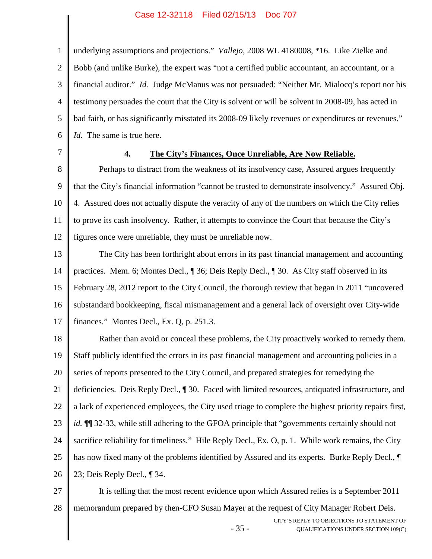1 2 3 4 5 6 underlying assumptions and projections." *Vallejo*, 2008 WL 4180008, \*16. Like Zielke and Bobb (and unlike Burke), the expert was "not a certified public accountant, an accountant, or a financial auditor." *Id.* Judge McManus was not persuaded: "Neither Mr. Mialocq's report nor his testimony persuades the court that the City is solvent or will be solvent in 2008-09, has acted in bad faith, or has significantly misstated its 2008-09 likely revenues or expenditures or revenues." *Id.* The same is true here.

7

# **4. The City's Finances, Once Unreliable, Are Now Reliable.**

8 9 10 11 12 Perhaps to distract from the weakness of its insolvency case, Assured argues frequently that the City's financial information "cannot be trusted to demonstrate insolvency." Assured Obj. 4. Assured does not actually dispute the veracity of any of the numbers on which the City relies to prove its cash insolvency. Rather, it attempts to convince the Court that because the City's figures once were unreliable, they must be unreliable now.

13 14 15 16 17 The City has been forthright about errors in its past financial management and accounting practices. Mem. 6; Montes Decl., ¶ 36; Deis Reply Decl., ¶ 30. As City staff observed in its February 28, 2012 report to the City Council, the thorough review that began in 2011 "uncovered substandard bookkeeping, fiscal mismanagement and a general lack of oversight over City-wide finances." Montes Decl., Ex. Q, p. 251.3.

18 19 20 21 22 23 24 25 26 Rather than avoid or conceal these problems, the City proactively worked to remedy them. Staff publicly identified the errors in its past financial management and accounting policies in a series of reports presented to the City Council, and prepared strategies for remedying the deficiencies. Deis Reply Decl., ¶ 30. Faced with limited resources, antiquated infrastructure, and a lack of experienced employees, the City used triage to complete the highest priority repairs first, *id.* ¶¶ 32-33, while still adhering to the GFOA principle that "governments certainly should not sacrifice reliability for timeliness." Hile Reply Decl., Ex. O, p. 1. While work remains, the City has now fixed many of the problems identified by Assured and its experts. Burke Reply Decl., ¶ 23; Deis Reply Decl., ¶ 34.

27 28 It is telling that the most recent evidence upon which Assured relies is a September 2011 memorandum prepared by then-CFO Susan Mayer at the request of City Manager Robert Deis.

- 35 -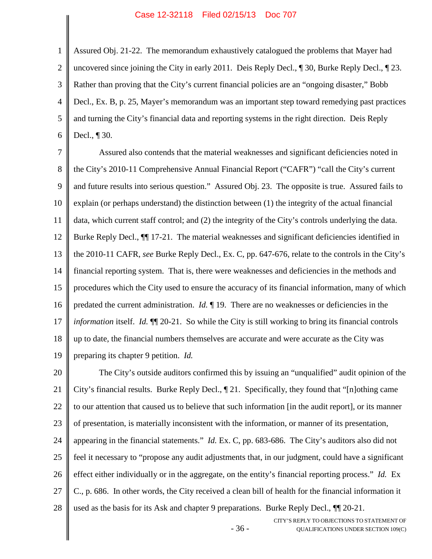1 2 3 4 5 6 Assured Obj. 21-22. The memorandum exhaustively catalogued the problems that Mayer had uncovered since joining the City in early 2011. Deis Reply Decl., ¶ 30, Burke Reply Decl., ¶ 23. Rather than proving that the City's current financial policies are an "ongoing disaster," Bobb Decl., Ex. B, p. 25, Mayer's memorandum was an important step toward remedying past practices and turning the City's financial data and reporting systems in the right direction. Deis Reply Decl., ¶ 30.

7 8 9 10 11 12 13 14 15 16 17 18 19 Assured also contends that the material weaknesses and significant deficiencies noted in the City's 2010-11 Comprehensive Annual Financial Report ("CAFR") "call the City's current and future results into serious question." Assured Obj. 23. The opposite is true. Assured fails to explain (or perhaps understand) the distinction between (1) the integrity of the actual financial data, which current staff control; and (2) the integrity of the City's controls underlying the data. Burke Reply Decl.,  $\P$  17-21. The material weaknesses and significant deficiencies identified in the 2010-11 CAFR, *see* Burke Reply Decl., Ex. C, pp. 647-676, relate to the controls in the City's financial reporting system. That is, there were weaknesses and deficiencies in the methods and procedures which the City used to ensure the accuracy of its financial information, many of which predated the current administration. *Id.* ¶ 19. There are no weaknesses or deficiencies in the *information* itself. *Id.* ¶¶ 20-21. So while the City is still working to bring its financial controls up to date, the financial numbers themselves are accurate and were accurate as the City was preparing its chapter 9 petition. *Id.*

20 21 22 23 24 25 26 27 28 The City's outside auditors confirmed this by issuing an "unqualified" audit opinion of the City's financial results. Burke Reply Decl., ¶ 21. Specifically, they found that "[n]othing came to our attention that caused us to believe that such information [in the audit report], or its manner of presentation, is materially inconsistent with the information, or manner of its presentation, appearing in the financial statements." *Id.* Ex. C, pp. 683-686. The City's auditors also did not feel it necessary to "propose any audit adjustments that, in our judgment, could have a significant effect either individually or in the aggregate, on the entity's financial reporting process." *Id.* Ex C., p. 686. In other words, the City received a clean bill of health for the financial information it used as the basis for its Ask and chapter 9 preparations. Burke Reply Decl., ¶¶ 20-21.

- 36 -

CITY'S REPLY TO OBJECTIONS TO STATEMENT OF QUALIFICATIONS UNDER SECTION 109(C)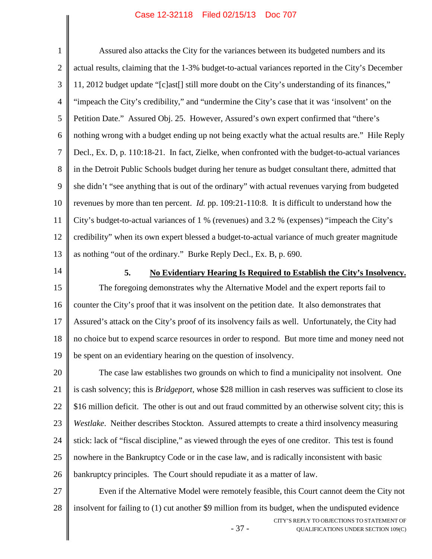1 2 3 4 5 6 7 8 9 10 11 12 13 Assured also attacks the City for the variances between its budgeted numbers and its actual results, claiming that the 1-3% budget-to-actual variances reported in the City's December 11, 2012 budget update "[c]ast[] still more doubt on the City's understanding of its finances," "impeach the City's credibility," and "undermine the City's case that it was 'insolvent' on the Petition Date." Assured Obj. 25. However, Assured's own expert confirmed that "there's nothing wrong with a budget ending up not being exactly what the actual results are." Hile Reply Decl., Ex. D, p. 110:18-21. In fact, Zielke, when confronted with the budget-to-actual variances in the Detroit Public Schools budget during her tenure as budget consultant there, admitted that she didn't "see anything that is out of the ordinary" with actual revenues varying from budgeted revenues by more than ten percent. *Id.* pp. 109:21-110:8. It is difficult to understand how the City's budget-to-actual variances of 1 % (revenues) and 3.2 % (expenses) "impeach the City's credibility" when its own expert blessed a budget-to-actual variance of much greater magnitude as nothing "out of the ordinary." Burke Reply Decl., Ex. B, p. 690.

14

## **5. No Evidentiary Hearing Is Required to Establish the City's Insolvency.**

15 16 17 18 19 The foregoing demonstrates why the Alternative Model and the expert reports fail to counter the City's proof that it was insolvent on the petition date. It also demonstrates that Assured's attack on the City's proof of its insolvency fails as well. Unfortunately, the City had no choice but to expend scarce resources in order to respond. But more time and money need not be spent on an evidentiary hearing on the question of insolvency.

20 21 22 23 24 25 26 The case law establishes two grounds on which to find a municipality not insolvent. One is cash solvency; this is *Bridgeport*, whose \$28 million in cash reserves was sufficient to close its \$16 million deficit. The other is out and out fraud committed by an otherwise solvent city; this is *Westlake*. Neither describes Stockton. Assured attempts to create a third insolvency measuring stick: lack of "fiscal discipline," as viewed through the eyes of one creditor. This test is found nowhere in the Bankruptcy Code or in the case law, and is radically inconsistent with basic bankruptcy principles. The Court should repudiate it as a matter of law.

27 28 Even if the Alternative Model were remotely feasible, this Court cannot deem the City not insolvent for failing to (1) cut another \$9 million from its budget, when the undisputed evidence

- 37 -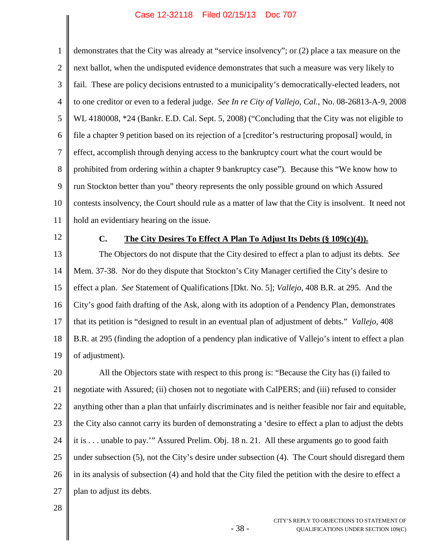1 2 3 4 5 6 7 8 9 10 11 demonstrates that the City was already at "service insolvency"; or (2) place a tax measure on the next ballot, when the undisputed evidence demonstrates that such a measure was very likely to fail. These are policy decisions entrusted to a municipality's democratically-elected leaders, not to one creditor or even to a federal judge. *See In re City of Vallejo, Cal.*, No. 08-26813-A-9, 2008 WL 4180008, \*24 (Bankr. E.D. Cal. Sept. 5, 2008) ("Concluding that the City was not eligible to file a chapter 9 petition based on its rejection of a [creditor's restructuring proposal] would, in effect, accomplish through denying access to the bankruptcy court what the court would be prohibited from ordering within a chapter 9 bankruptcy case"). Because this "We know how to run Stockton better than you" theory represents the only possible ground on which Assured contests insolvency, the Court should rule as a matter of law that the City is insolvent. It need not hold an evidentiary hearing on the issue.

12

# **C. The City Desires To Effect A Plan To Adjust Its Debts (§ 109(c)(4)).**

13 14 15 16 17 18 19 The Objectors do not dispute that the City desired to effect a plan to adjust its debts. *See* Mem. 37-38. Nor do they dispute that Stockton's City Manager certified the City's desire to effect a plan. *See* Statement of Qualifications [Dkt. No. 5]; *Vallejo*, 408 B.R. at 295. And the City's good faith drafting of the Ask, along with its adoption of a Pendency Plan, demonstrates that its petition is "designed to result in an eventual plan of adjustment of debts." *Vallejo*, 408 B.R. at 295 (finding the adoption of a pendency plan indicative of Vallejo's intent to effect a plan of adjustment).

20 21 22 23 24 25 26 27 All the Objectors state with respect to this prong is: "Because the City has (i) failed to negotiate with Assured; (ii) chosen not to negotiate with CalPERS; and (iii) refused to consider anything other than a plan that unfairly discriminates and is neither feasible nor fair and equitable, the City also cannot carry its burden of demonstrating a 'desire to effect a plan to adjust the debts it is . . . unable to pay.'" Assured Prelim. Obj. 18 n. 21. All these arguments go to good faith under subsection (5), not the City's desire under subsection (4). The Court should disregard them in its analysis of subsection (4) and hold that the City filed the petition with the desire to effect a plan to adjust its debts.

- 38 -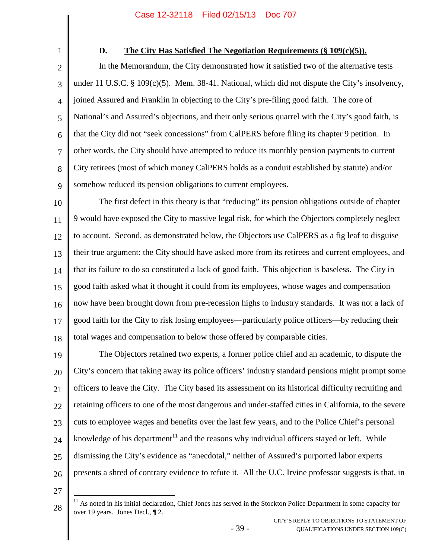1

# **D. The City Has Satisfied The Negotiation Requirements (§ 109(c)(5)).**

2 3 4 5 6 7 8 9 In the Memorandum, the City demonstrated how it satisfied two of the alternative tests under 11 U.S.C. § 109(c)(5). Mem. 38-41. National, which did not dispute the City's insolvency, joined Assured and Franklin in objecting to the City's pre-filing good faith. The core of National's and Assured's objections, and their only serious quarrel with the City's good faith, is that the City did not "seek concessions" from CalPERS before filing its chapter 9 petition. In other words, the City should have attempted to reduce its monthly pension payments to current City retirees (most of which money CalPERS holds as a conduit established by statute) and/or somehow reduced its pension obligations to current employees.

10 11 12 13 14 15 16 17 18 The first defect in this theory is that "reducing" its pension obligations outside of chapter 9 would have exposed the City to massive legal risk, for which the Objectors completely neglect to account. Second, as demonstrated below, the Objectors use CalPERS as a fig leaf to disguise their true argument: the City should have asked more from its retirees and current employees, and that its failure to do so constituted a lack of good faith. This objection is baseless. The City in good faith asked what it thought it could from its employees, whose wages and compensation now have been brought down from pre-recession highs to industry standards. It was not a lack of good faith for the City to risk losing employees—particularly police officers—by reducing their total wages and compensation to below those offered by comparable cities.

19 20 21 22 23 24 25 26 The Objectors retained two experts, a former police chief and an academic, to dispute the City's concern that taking away its police officers' industry standard pensions might prompt some officers to leave the City. The City based its assessment on its historical difficulty recruiting and retaining officers to one of the most dangerous and under-staffed cities in California, to the severe cuts to employee wages and benefits over the last few years, and to the Police Chief's personal knowledge of his department<sup>[11](#page-45-0)</sup> and the reasons why individual officers stayed or left. While dismissing the City's evidence as "anecdotal," neither of Assured's purported labor experts presents a shred of contrary evidence to refute it. All the U.C. Irvine professor suggests is that, in

27

<span id="page-45-0"></span><sup>&</sup>lt;sup>11</sup> As noted in his initial declaration, Chief Jones has served in the Stockton Police Department in some capacity for over 19 years. Jones Decl., ¶ 2.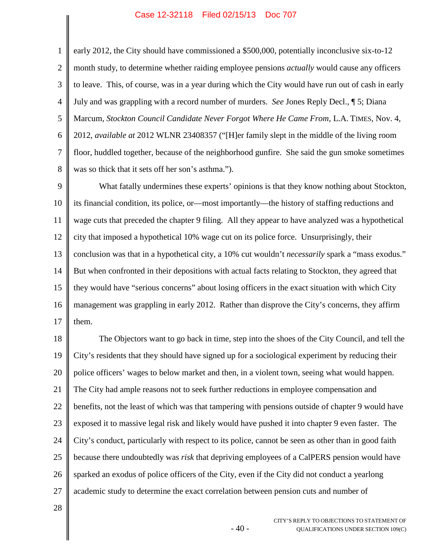3 4 5 6 7 early 2012, the City should have commissioned a \$500,000, potentially inconclusive six-to-12 month study, to determine whether raiding employee pensions *actually* would cause any officers to leave. This, of course, was in a year during which the City would have run out of cash in early July and was grappling with a record number of murders. *See* Jones Reply Decl., ¶ 5; Diana Marcum, *Stockton Council Candidate Never Forgot Where He Came From*, L.A. TIMES, Nov. 4, 2012, *available at* 2012 WLNR 23408357 ("[H]er family slept in the middle of the living room floor, huddled together, because of the neighborhood gunfire. She said the gun smoke sometimes was so thick that it sets off her son's asthma.").

9 10 11 12 13 14 15 16 17 What fatally undermines these experts' opinions is that they know nothing about Stockton, its financial condition, its police, or—most importantly—the history of staffing reductions and wage cuts that preceded the chapter 9 filing. All they appear to have analyzed was a hypothetical city that imposed a hypothetical 10% wage cut on its police force. Unsurprisingly, their conclusion was that in a hypothetical city, a 10% cut wouldn't *necessarily* spark a "mass exodus." But when confronted in their depositions with actual facts relating to Stockton, they agreed that they would have "serious concerns" about losing officers in the exact situation with which City management was grappling in early 2012. Rather than disprove the City's concerns, they affirm them.

18 19 20 21 22 23 24 25 26 27 The Objectors want to go back in time, step into the shoes of the City Council, and tell the City's residents that they should have signed up for a sociological experiment by reducing their police officers' wages to below market and then, in a violent town, seeing what would happen. The City had ample reasons not to seek further reductions in employee compensation and benefits, not the least of which was that tampering with pensions outside of chapter 9 would have exposed it to massive legal risk and likely would have pushed it into chapter 9 even faster. The City's conduct, particularly with respect to its police, cannot be seen as other than in good faith because there undoubtedly was *risk* that depriving employees of a CalPERS pension would have sparked an exodus of police officers of the City, even if the City did not conduct a yearlong academic study to determine the exact correlation between pension cuts and number of

- 40 -

28

1

2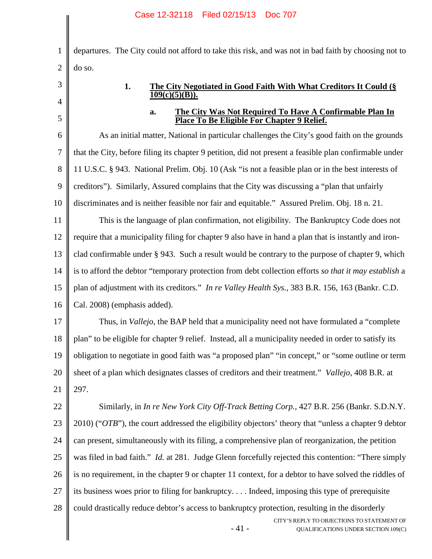|                | Case 12-32110 FIIEU 02/13/13 DOC 707                                                                        |
|----------------|-------------------------------------------------------------------------------------------------------------|
| $\mathbf{1}$   | departures. The City could not afford to take this risk, and was not in bad faith by choosing not to        |
| $\overline{2}$ | do so.                                                                                                      |
| 3              | 1.<br>The City Negotiated in Good Faith With What Creditors It Could (§                                     |
| 4              | 109(c)(5)(B)).                                                                                              |
| 5              | The City Was Not Required To Have A Confirmable Plan In<br>a.<br>Place To Be Eligible For Chapter 9 Relief. |
| 6              | As an initial matter, National in particular challenges the City's good faith on the grounds                |
| 7              | that the City, before filing its chapter 9 petition, did not present a feasible plan confirmable under      |
| 8              | 11 U.S.C. § 943. National Prelim. Obj. 10 (Ask "is not a feasible plan or in the best interests of          |
| 9              | creditors"). Similarly, Assured complains that the City was discussing a "plan that unfairly                |
| 10             | discriminates and is neither feasible nor fair and equitable." Assured Prelim. Obj. 18 n. 21.               |
| 11             | This is the language of plan confirmation, not eligibility. The Bankruptcy Code does not                    |
| 12             | require that a municipality filing for chapter 9 also have in hand a plan that is instantly and iron-       |
| 13             | clad confirmable under § 943. Such a result would be contrary to the purpose of chapter 9, which            |
| 14             | is to afford the debtor "temporary protection from debt collection efforts so that it may establish a       |
| 15             | plan of adjustment with its creditors." In re Valley Health Sys., 383 B.R. 156, 163 (Bankr. C.D.            |
| 16             | Cal. 2008) (emphasis added).                                                                                |
| 17             | Thus, in <i>Vallejo</i> , the BAP held that a municipality need not have formulated a "complete"            |
| 18             | plan" to be eligible for chapter 9 relief. Instead, all a municipality needed in order to satisfy its       |
| 19             | obligation to negotiate in good faith was "a proposed plan" "in concept," or "some outline or term          |
| 20             | sheet of a plan which designates classes of creditors and their treatment." Vallejo, 408 B.R. at            |
| 21             | 297.                                                                                                        |
| 22             | Similarly, in <i>In re New York City Off-Track Betting Corp.</i> , 427 B.R. 256 (Bankr. S.D.N.Y.            |
| 23             | $2010$ ) (" $OTB$ "), the court addressed the eligibility objectors' theory that "unless a chapter 9 debtor |
| 24             | can present, simultaneously with its filing, a comprehensive plan of reorganization, the petition           |
| 25             | was filed in bad faith." <i>Id.</i> at 281. Judge Glenn forcefully rejected this contention: "There simply  |
| 26             | is no requirement, in the chapter 9 or chapter 11 context, for a debtor to have solved the riddles of       |
| 27             | its business woes prior to filing for bankruptcy Indeed, imposing this type of prerequisite                 |
| 28             | could drastically reduce debtor's access to bankruptcy protection, resulting in the disorderly              |
|                | CITY'S REPLY TO OBJECTIONS TO STATEMENT OF<br>$-41-$<br>QUALIFICATIONS UNDER SECTION 109(C)                 |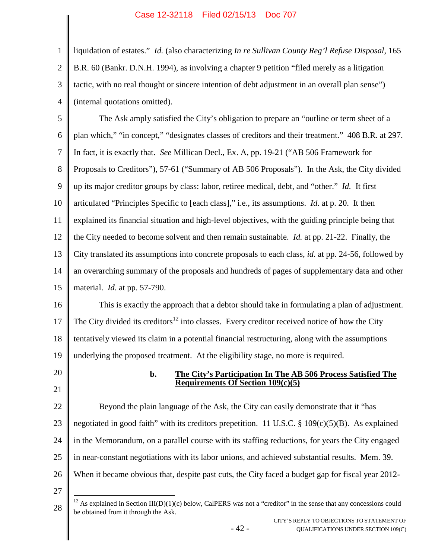liquidation of estates." *Id.* (also characterizing *In re Sullivan County Reg'l Refuse Disposal*, 165 B.R. 60 (Bankr. D.N.H. 1994), as involving a chapter 9 petition "filed merely as a litigation tactic, with no real thought or sincere intention of debt adjustment in an overall plan sense") (internal quotations omitted).

5 6 7 8 9 10 11 12 13 14 15 The Ask amply satisfied the City's obligation to prepare an "outline or term sheet of a plan which," "in concept," "designates classes of creditors and their treatment." 408 B.R. at 297. In fact, it is exactly that. *See* Millican Decl., Ex. A, pp. 19-21 ("AB 506 Framework for Proposals to Creditors"), 57-61 ("Summary of AB 506 Proposals"). In the Ask, the City divided up its major creditor groups by class: labor, retiree medical, debt, and "other." *Id.* It first articulated "Principles Specific to [each class]," i.e., its assumptions. *Id.* at p. 20. It then explained its financial situation and high-level objectives, with the guiding principle being that the City needed to become solvent and then remain sustainable. *Id.* at pp. 21-22. Finally, the City translated its assumptions into concrete proposals to each class, *id.* at pp. 24-56, followed by an overarching summary of the proposals and hundreds of pages of supplementary data and other material. *Id.* at pp. 57-790.

16 17 18 19 This is exactly the approach that a debtor should take in formulating a plan of adjustment. The City divided its creditors<sup>[12](#page-48-0)</sup> into classes. Every creditor received notice of how the City tentatively viewed its claim in a potential financial restructuring, along with the assumptions underlying the proposed treatment. At the eligibility stage, no more is required.

20 21

1

2

3

4

# **b. The City's Participation In The AB 506 Process Satisfied The Requirements Of Section 109(c)(5)**

22 23 24 25 26 Beyond the plain language of the Ask, the City can easily demonstrate that it "has negotiated in good faith" with its creditors prepetition. 11 U.S.C.  $\S$  109(c)(5)(B). As explained in the Memorandum, on a parallel course with its staffing reductions, for years the City engaged in near-constant negotiations with its labor unions, and achieved substantial results. Mem. 39. When it became obvious that, despite past cuts, the City faced a budget gap for fiscal year 2012-

27

- 42 -

<span id="page-48-0"></span><sup>28</sup> <sup>12</sup> As explained in Section III(D)(1)(c) below, CalPERS was not a "creditor" in the sense that any concessions could be obtained from it through the Ask.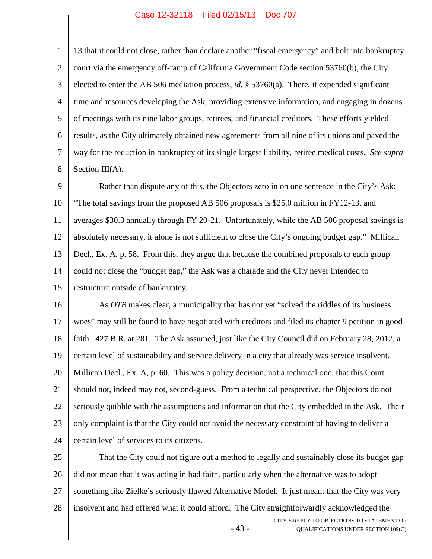1

2

3

4

5 6 7 8 of meetings with its nine labor groups, retirees, and financial creditors. These efforts yielded results, as the City ultimately obtained new agreements from all nine of its unions and paved the way for the reduction in bankruptcy of its single largest liability, retiree medical costs. *See supra* Section III(A).

9 10 11 12 13 14 15 Rather than dispute any of this, the Objectors zero in on one sentence in the City's Ask: "The total savings from the proposed AB 506 proposals is \$25.0 million in FY12-13, and averages \$30.3 annually through FY 20-21. Unfortunately, while the AB 506 proposal savings is absolutely necessary, it alone is not sufficient to close the City's ongoing budget gap." Millican Decl., Ex. A, p. 58. From this, they argue that because the combined proposals to each group could not close the "budget gap," the Ask was a charade and the City never intended to restructure outside of bankruptcy.

16 17 18 19 20 21 22 23 24 As *OTB* makes clear, a municipality that has not yet "solved the riddles of its business woes" may still be found to have negotiated with creditors and filed its chapter 9 petition in good faith. 427 B.R. at 281. The Ask assumed, just like the City Council did on February 28, 2012, a certain level of sustainability and service delivery in a city that already was service insolvent. Millican Decl., Ex. A, p. 60. This was a policy decision, not a technical one, that this Court should not, indeed may not, second-guess. From a technical perspective, the Objectors do not seriously quibble with the assumptions and information that the City embedded in the Ask. Their only complaint is that the City could not avoid the necessary constraint of having to deliver a certain level of services to its citizens.

- 43 - CITY'S REPLY TO OBJECTIONS TO STATEMENT OF QUALIFICATIONS UNDER SECTION 109(C) 25 26 27 28 That the City could not figure out a method to legally and sustainably close its budget gap did not mean that it was acting in bad faith, particularly when the alternative was to adopt something like Zielke's seriously flawed Alternative Model. It just meant that the City was very insolvent and had offered what it could afford. The City straightforwardly acknowledged the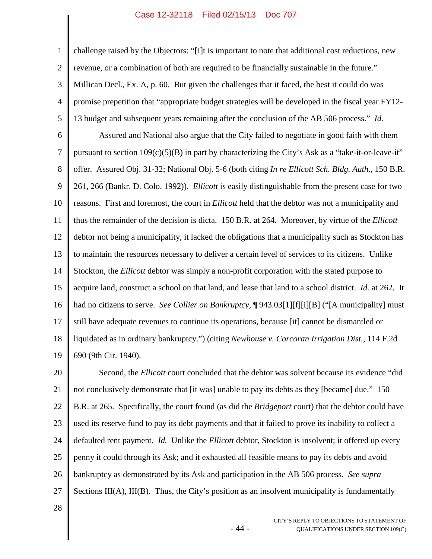3 4 5 challenge raised by the Objectors: "[I]t is important to note that additional cost reductions, new revenue, or a combination of both are required to be financially sustainable in the future." Millican Decl., Ex. A, p. 60. But given the challenges that it faced, the best it could do was promise prepetition that "appropriate budget strategies will be developed in the fiscal year FY12- 13 budget and subsequent years remaining after the conclusion of the AB 506 process." *Id.*

6 7 8 9 10 11 12 13 14 15 16 17 18 19 Assured and National also argue that the City failed to negotiate in good faith with them pursuant to section  $109(c)(5)(B)$  in part by characterizing the City's Ask as a "take-it-or-leave-it" offer. Assured Obj. 31-32; National Obj. 5-6 (both citing *In re Ellicott Sch. Bldg. Auth.*, 150 B.R. 261, 266 (Bankr. D. Colo. 1992)). *Ellicott* is easily distinguishable from the present case for two reasons. First and foremost, the court in *Ellicott* held that the debtor was not a municipality and thus the remainder of the decision is dicta. 150 B.R. at 264. Moreover, by virtue of the *Ellicott* debtor not being a municipality, it lacked the obligations that a municipality such as Stockton has to maintain the resources necessary to deliver a certain level of services to its citizens. Unlike Stockton, the *Ellicott* debtor was simply a non-profit corporation with the stated purpose to acquire land, construct a school on that land, and lease that land to a school district. *Id.* at 262. It had no citizens to serve. *See Collier on Bankruptcy*, ¶ 943.03[1][f][i][B] ("[A municipality] must still have adequate revenues to continue its operations, because [it] cannot be dismantled or liquidated as in ordinary bankruptcy.") (citing *Newhouse v. Corcoran Irrigation Dist.*, 114 F.2d 690 (9th Cir. 1940).

20 21 22 23 24 25 26 27 Second, the *Ellicott* court concluded that the debtor was solvent because its evidence "did not conclusively demonstrate that [it was] unable to pay its debts as they [became] due." 150 B.R. at 265. Specifically, the court found (as did the *Bridgeport* court) that the debtor could have used its reserve fund to pay its debt payments and that it failed to prove its inability to collect a defaulted rent payment. *Id.* Unlike the *Ellicott* debtor, Stockton is insolvent; it offered up every penny it could through its Ask; and it exhausted all feasible means to pay its debts and avoid bankruptcy as demonstrated by its Ask and participation in the AB 506 process. *See supra* Sections III(A), III(B). Thus, the City's position as an insolvent municipality is fundamentally

- 44 -

28

1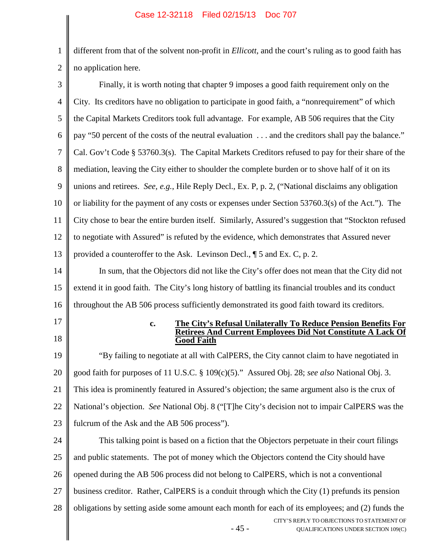1 2 different from that of the solvent non-profit in *Ellicott*, and the court's ruling as to good faith has no application here.

| 3                                | Finally, it is worth noting that chapter 9 imposes a good faith requirement only on the             |
|----------------------------------|-----------------------------------------------------------------------------------------------------|
| $\overline{4}$                   | City. Its creditors have no obligation to participate in good faith, a "nonrequirement" of which    |
| 5                                | the Capital Markets Creditors took full advantage. For example, AB 506 requires that the City       |
| 6                                | pay "50 percent of the costs of the neutral evaluation  and the creditors shall pay the balance."   |
| 7                                | Cal. Gov't Code § 53760.3(s). The Capital Markets Creditors refused to pay for their share of the   |
| 8                                | mediation, leaving the City either to shoulder the complete burden or to shove half of it on its    |
| 9                                | unions and retirees. See, e.g., Hile Reply Decl., Ex. P, p. 2, ("National disclaims any obligation  |
| 10                               | or liability for the payment of any costs or expenses under Section 53760.3(s) of the Act."). The   |
| 11                               | City chose to bear the entire burden itself. Similarly, Assured's suggestion that "Stockton refused |
| 12                               | to negotiate with Assured" is refuted by the evidence, which demonstrates that Assured never        |
| 13                               | provided a counteroffer to the Ask. Levinson Decl., ¶ 5 and Ex. C, p. 2.                            |
| 14                               | In sum, that the Objectors did not like the City's offer does not mean that the City did not        |
| 15                               | extend it in good faith. The City's long history of battling its financial troubles and its conduct |
| 16                               | throughout the AB 506 process sufficiently demonstrated its good faith toward its creditors.        |
|                                  |                                                                                                     |
| 17                               | The City's Refusal Unilaterally To Reduce Pension Benefits For<br>$\mathbf{c}$ .                    |
| 18                               | <b>Retirees And Current Employees Did Not Constitute A Lack Of</b><br><b>Good Faith</b>             |
| 19                               | "By failing to negotiate at all with CalPERS, the City cannot claim to have negotiated in           |
| 20                               | good faith for purposes of 11 U.S.C. § 109(c)(5)." Assured Obj. 28; see also National Obj. 3.       |
| 21                               | This idea is prominently featured in Assured's objection; the same argument also is the crux of     |
|                                  | National's objection. See National Obj. 8 ("[T]he City's decision not to impair CalPERS was the     |
|                                  | fulcrum of the Ask and the AB 506 process").                                                        |
|                                  | This talking point is based on a fiction that the Objectors perpetuate in their court filings       |
|                                  | and public statements. The pot of money which the Objectors contend the City should have            |
|                                  | opened during the AB 506 process did not belong to CalPERS, which is not a conventional             |
| 22<br>23<br>24<br>25<br>26<br>27 | business creditor. Rather, CalPERS is a conduit through which the City (1) prefunds its pension     |
| 28                               | obligations by setting aside some amount each month for each of its employees; and (2) funds the    |
|                                  | CITY'S REPLY TO OBJECTIONS TO STATEMENT OF<br>$-45-$<br>QUALIFICATIONS UNDER SECTION 109(C)         |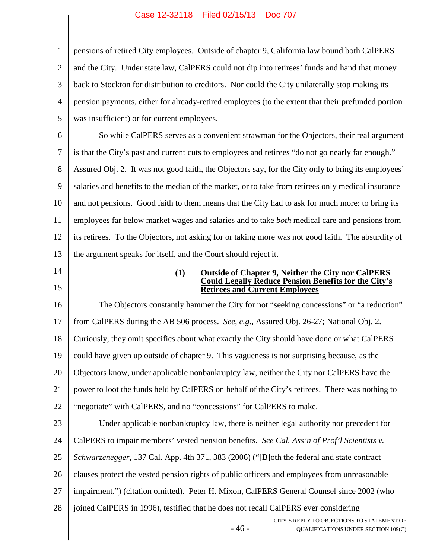1 2 3 4 5 pensions of retired City employees. Outside of chapter 9, California law bound both CalPERS and the City. Under state law, CalPERS could not dip into retirees' funds and hand that money back to Stockton for distribution to creditors. Nor could the City unilaterally stop making its pension payments, either for already-retired employees (to the extent that their prefunded portion was insufficient) or for current employees.

6 7 8 9 10 11 12 13 So while CalPERS serves as a convenient strawman for the Objectors, their real argument is that the City's past and current cuts to employees and retirees "do not go nearly far enough." Assured Obj. 2. It was not good faith, the Objectors say, for the City only to bring its employees' salaries and benefits to the median of the market, or to take from retirees only medical insurance and not pensions. Good faith to them means that the City had to ask for much more: to bring its employees far below market wages and salaries and to take *both* medical care and pensions from its retirees. To the Objectors, not asking for or taking more was not good faith. The absurdity of the argument speaks for itself, and the Court should reject it.

14 15

### **(1) Outside of Chapter 9, Neither the City nor CalPERS Could Legally Reduce Pension Benefits for the City's Retirees and Current Employees**

- 46 - CITY'S REPLY TO OBJECTIONS TO STATEMENT OF 16 17 18 19 20 21 22 23 24 25 26 27 28 The Objectors constantly hammer the City for not "seeking concessions" or "a reduction" from CalPERS during the AB 506 process. *See, e.g.*, Assured Obj. 26-27; National Obj. 2. Curiously, they omit specifics about what exactly the City should have done or what CalPERS could have given up outside of chapter 9. This vagueness is not surprising because, as the Objectors know, under applicable nonbankruptcy law, neither the City nor CalPERS have the power to loot the funds held by CalPERS on behalf of the City's retirees. There was nothing to "negotiate" with CalPERS, and no "concessions" for CalPERS to make. Under applicable nonbankruptcy law, there is neither legal authority nor precedent for CalPERS to impair members' vested pension benefits. *See Cal. Ass'n of Prof'l Scientists v. Schwarzenegger*, 137 Cal. App. 4th 371, 383 (2006) ("[B]oth the federal and state contract clauses protect the vested pension rights of public officers and employees from unreasonable impairment.") (citation omitted). Peter H. Mixon, CalPERS General Counsel since 2002 (who joined CalPERS in 1996), testified that he does not recall CalPERS ever considering

QUALIFICATIONS UNDER SECTION 109(C)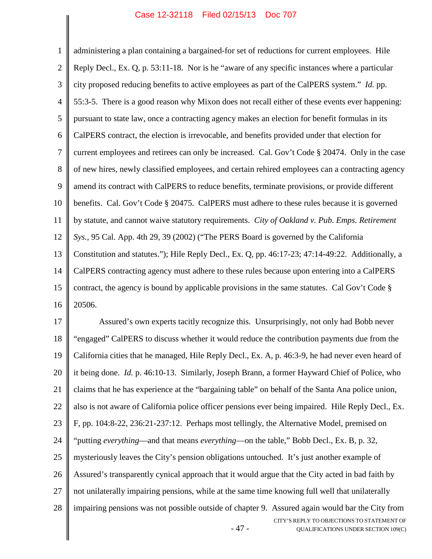1 2 3 4 5 6 7 8 9 10 11 12 13 14 15 16 administering a plan containing a bargained-for set of reductions for current employees. Hile Reply Decl., Ex. Q, p. 53:11-18. Nor is he "aware of any specific instances where a particular city proposed reducing benefits to active employees as part of the CalPERS system." *Id.* pp. 55:3-5. There is a good reason why Mixon does not recall either of these events ever happening: pursuant to state law, once a contracting agency makes an election for benefit formulas in its CalPERS contract, the election is irrevocable, and benefits provided under that election for current employees and retirees can only be increased. Cal. Gov't Code § 20474. Only in the case of new hires, newly classified employees, and certain rehired employees can a contracting agency amend its contract with CalPERS to reduce benefits, terminate provisions, or provide different benefits. Cal. Gov't Code § 20475. CalPERS must adhere to these rules because it is governed by statute, and cannot waive statutory requirements. *City of Oakland v. Pub. Emps. Retirement Sys.*, 95 Cal. App. 4th 29, 39 (2002) ("The PERS Board is governed by the California Constitution and statutes."); Hile Reply Decl., Ex. Q, pp. 46:17-23; 47:14-49:22. Additionally, a CalPERS contracting agency must adhere to these rules because upon entering into a CalPERS contract, the agency is bound by applicable provisions in the same statutes. Cal Gov't Code § 20506.

- 47 - CITY'S REPLY TO OBJECTIONS TO STATEMENT OF QUALIFICATIONS UNDER SECTION 109(C) 17 18 19 20 21 22 23 24 25 26 27 28 Assured's own experts tacitly recognize this. Unsurprisingly, not only had Bobb never "engaged" CalPERS to discuss whether it would reduce the contribution payments due from the California cities that he managed, Hile Reply Decl., Ex. A, p. 46:3-9, he had never even heard of it being done. *Id.* p. 46:10-13. Similarly, Joseph Brann, a former Hayward Chief of Police, who claims that he has experience at the "bargaining table" on behalf of the Santa Ana police union, also is not aware of California police officer pensions ever being impaired. Hile Reply Decl., Ex. F, pp. 104:8-22, 236:21-237:12. Perhaps most tellingly, the Alternative Model, premised on "putting *everything*—and that means *everything*—on the table," Bobb Decl., Ex. B, p. 32, mysteriously leaves the City's pension obligations untouched. It's just another example of Assured's transparently cynical approach that it would argue that the City acted in bad faith by not unilaterally impairing pensions, while at the same time knowing full well that unilaterally impairing pensions was not possible outside of chapter 9. Assured again would bar the City from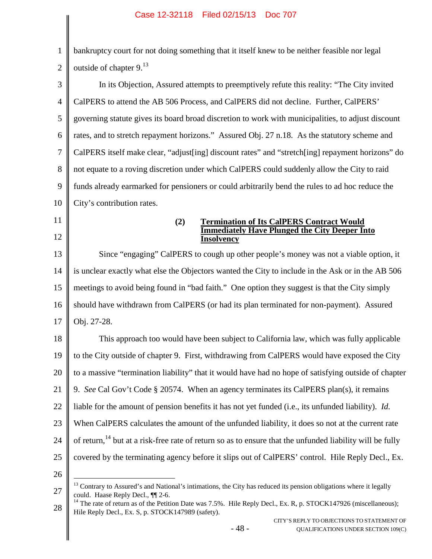1 2 bankruptcy court for not doing something that it itself knew to be neither feasible nor legal outsideof chapter 9[.](#page-54-0)<sup>13</sup>

3 4 5 6 7 8 9 10 In its Objection, Assured attempts to preemptively refute this reality: "The City invited CalPERS to attend the AB 506 Process, and CalPERS did not decline. Further, CalPERS' governing statute gives its board broad discretion to work with municipalities, to adjust discount rates, and to stretch repayment horizons." Assured Obj. 27 n.18. As the statutory scheme and CalPERS itself make clear, "adjust[ing] discount rates" and "stretch[ing] repayment horizons" do not equate to a roving discretion under which CalPERS could suddenly allow the City to raid funds already earmarked for pensioners or could arbitrarily bend the rules to ad hoc reduce the City's contribution rates.

11

12

### **(2) Termination of Its CalPERS Contract Would Immediately Have Plunged the City Deeper Into Insolvency**

13 14 15 16 17 Since "engaging" CalPERS to cough up other people's money was not a viable option, it is unclear exactly what else the Objectors wanted the City to include in the Ask or in the AB 506 meetings to avoid being found in "bad faith." One option they suggest is that the City simply should have withdrawn from CalPERS (or had its plan terminated for non-payment). Assured Obj. 27-28.

18 19 20 21 22 23 24 25 This approach too would have been subject to California law, which was fully applicable to the City outside of chapter 9. First, withdrawing from CalPERS would have exposed the City to a massive "termination liability" that it would have had no hope of satisfying outside of chapter 9. *See* Cal Gov't Code § 20574. When an agency terminates its CalPERS plan(s), it remains liable for the amount of pension benefits it has not yet funded (i.e., its unfunded liability). *Id.* When CalPERS calculates the amount of the unfunded liability, it does so not at the current rate of return,<sup>[14](#page-54-1)</sup> but at a risk-free rate of return so as to ensure that the unfunded liability will be fully covered by the terminating agency before it slips out of CalPERS' control. Hile Reply Decl., Ex.

<span id="page-54-0"></span><sup>27</sup>  $<sup>13</sup>$  Contrary to Assured's and National's intimations, the City has reduced its pension obligations where it legally</sup> could. Haase Reply Decl., ¶¶ 2-6.

<span id="page-54-1"></span><sup>28</sup> <sup>14</sup> The rate of return as of the Petition Date was 7.5%. Hile Reply Decl., Ex. R, p. STOCK147926 (miscellaneous); Hile Reply Decl., Ex. S, p. STOCK147989 (safety).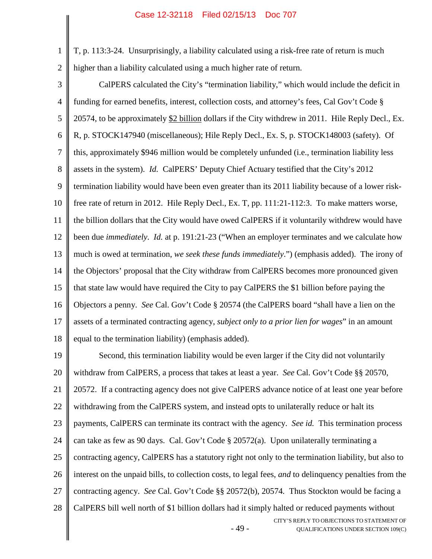1

2

T, p. 113:3-24. Unsurprisingly, a liability calculated using a risk-free rate of return is much higher than a liability calculated using a much higher rate of return.

3 4 5 6 7 8 9 10 11 12 13 14 15 16 17 18 CalPERS calculated the City's "termination liability," which would include the deficit in funding for earned benefits, interest, collection costs, and attorney's fees, Cal Gov't Code § 20574, to be approximately \$2 billion dollars if the City withdrew in 2011. Hile Reply Decl., Ex. R, p. STOCK147940 (miscellaneous); Hile Reply Decl., Ex. S, p. STOCK148003 (safety). Of this, approximately \$946 million would be completely unfunded (i.e., termination liability less assets in the system). *Id.* CalPERS' Deputy Chief Actuary testified that the City's 2012 termination liability would have been even greater than its 2011 liability because of a lower riskfree rate of return in 2012. Hile Reply Decl., Ex. T, pp. 111:21-112:3. To make matters worse, the billion dollars that the City would have owed CalPERS if it voluntarily withdrew would have been due *immediately*. *Id.* at p. 191:21-23 ("When an employer terminates and we calculate how much is owed at termination, *we seek these funds immediately*.") (emphasis added). The irony of the Objectors' proposal that the City withdraw from CalPERS becomes more pronounced given that state law would have required the City to pay CalPERS the \$1 billion before paying the Objectors a penny. *See* Cal. Gov't Code § 20574 (the CalPERS board "shall have a lien on the assets of a terminated contracting agency, *subject only to a prior lien for wages*" in an amount equal to the termination liability) (emphasis added).

- 49 - CITY'S REPLY TO OBJECTIONS TO STATEMENT OF QUALIFICATIONS UNDER SECTION 109(C) 19 20 21 22 23 24 25 26 27 28 Second, this termination liability would be even larger if the City did not voluntarily withdraw from CalPERS, a process that takes at least a year. *See* Cal. Gov't Code §§ 20570, 20572. If a contracting agency does not give CalPERS advance notice of at least one year before withdrawing from the CalPERS system, and instead opts to unilaterally reduce or halt its payments, CalPERS can terminate its contract with the agency. *See id.* This termination process can take as few as 90 days. Cal. Gov't Code § 20572(a). Upon unilaterally terminating a contracting agency, CalPERS has a statutory right not only to the termination liability, but also to interest on the unpaid bills, to collection costs, to legal fees, *and* to delinquency penalties from the contracting agency. *See* Cal. Gov't Code §§ 20572(b), 20574*.* Thus Stockton would be facing a CalPERS bill well north of \$1 billion dollars had it simply halted or reduced payments without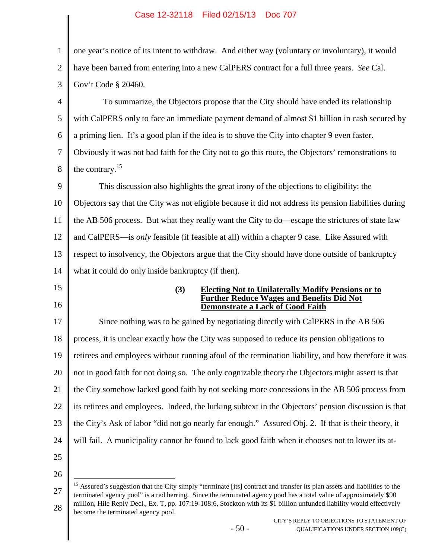<span id="page-56-0"></span>

| 1                                                  | one year's notice of its intent to withdraw. And either way (voluntary or involuntary), it would                                      |
|----------------------------------------------------|---------------------------------------------------------------------------------------------------------------------------------------|
| $\overline{2}$                                     | have been barred from entering into a new CalPERS contract for a full three years. See Cal.                                           |
| 3                                                  | Gov't Code § 20460.                                                                                                                   |
| $\overline{4}$                                     | To summarize, the Objectors propose that the City should have ended its relationship                                                  |
| 5                                                  | with CalPERS only to face an immediate payment demand of almost \$1 billion in cash secured by                                        |
| 6                                                  | a priming lien. It's a good plan if the idea is to shove the City into chapter 9 even faster.                                         |
| 7                                                  | Obviously it was not bad faith for the City not to go this route, the Objectors' remonstrations to                                    |
| 8                                                  | the contrary. $^{15}$                                                                                                                 |
| 9                                                  | This discussion also highlights the great irony of the objections to eligibility: the                                                 |
| 10                                                 | Objectors say that the City was not eligible because it did not address its pension liabilities during                                |
| 11                                                 | the AB 506 process. But what they really want the City to do—escape the strictures of state law                                       |
| 12                                                 | and CalPERS—is <i>only</i> feasible (if feasible at all) within a chapter 9 case. Like Assured with                                   |
| 13                                                 | respect to insolvency, the Objectors argue that the City should have done outside of bankruptcy                                       |
| 14                                                 | what it could do only inside bankruptcy (if then).                                                                                    |
|                                                    |                                                                                                                                       |
|                                                    | <b>Electing Not to Unilaterally Modify Pensions or to</b><br>(3)<br><b>Further Reduce Wages and Benefits Did Not</b>                  |
|                                                    | <b>Demonstrate a Lack of Good Faith</b><br>Since nothing was to be gained by negotiating directly with CalPERS in the AB 506          |
|                                                    | process, it is unclear exactly how the City was supposed to reduce its pension obligations to                                         |
|                                                    | retirees and employees without running afoul of the termination liability, and how therefore it was                                   |
|                                                    | not in good faith for not doing so. The only cognizable theory the Objectors might assert is that                                     |
|                                                    | the City somehow lacked good faith by not seeking more concessions in the AB 506 process from                                         |
|                                                    | its retirees and employees. Indeed, the lurking subtext in the Objectors' pension discussion is that                                  |
| 15<br>16<br>17<br>18<br>19<br>20<br>21<br>22<br>23 | the City's Ask of labor "did not go nearly far enough." Assured Obj. 2. If that is their theory, it                                   |
|                                                    | will fail. A municipality cannot be found to lack good faith when it chooses not to lower its at-                                     |
|                                                    |                                                                                                                                       |
| 24<br>25<br>26                                     | <sup>15</sup> Assured's suggestion that the City simply "terminate [its] contract and transfer its plan assets and liabilities to the |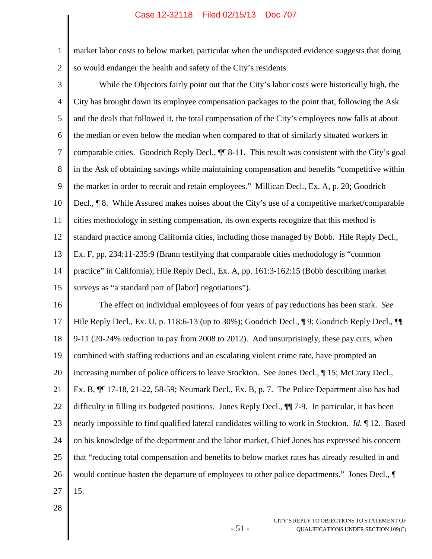2 market labor costs to below market, particular when the undisputed evidence suggests that doing so would endanger the health and safety of the City's residents.

1

3 4 5 6 7 8 9 10 11 12 13 14 15 While the Objectors fairly point out that the City's labor costs were historically high, the City has brought down its employee compensation packages to the point that, following the Ask and the deals that followed it, the total compensation of the City's employees now falls at about the median or even below the median when compared to that of similarly situated workers in comparable cities. Goodrich Reply Decl., ¶¶ 8-11. This result was consistent with the City's goal in the Ask of obtaining savings while maintaining compensation and benefits "competitive within the market in order to recruit and retain employees." Millican Decl., Ex. A, p. 20; Goodrich Decl., ¶ 8. While Assured makes noises about the City's use of a competitive market/comparable cities methodology in setting compensation, its own experts recognize that this method is standard practice among California cities, including those managed by Bobb. Hile Reply Decl., Ex. F, pp. 234:11-235:9 (Brann testifying that comparable cities methodology is "common practice" in California); Hile Reply Decl., Ex. A, pp. 161:3-162:15 (Bobb describing market surveys as "a standard part of [labor] negotiations").

16 17 18 19 20 21 22 23 24 25 26 27 The effect on individual employees of four years of pay reductions has been stark. *See* Hile Reply Decl., Ex. U, p. 118:6-13 (up to 30%); Goodrich Decl., ¶ 9; Goodrich Reply Decl., ¶ 9-11 (20-24% reduction in pay from 2008 to 2012). And unsurprisingly, these pay cuts, when combined with staffing reductions and an escalating violent crime rate, have prompted an increasing number of police officers to leave Stockton. See Jones Decl.,  $\P$  15; McCrary Decl., Ex. B, ¶¶ 17-18, 21-22, 58-59; Neumark Decl., Ex. B, p. 7. The Police Department also has had difficulty in filling its budgeted positions. Jones Reply Decl., ¶¶ 7-9. In particular, it has been nearly impossible to find qualified lateral candidates willing to work in Stockton. *Id.* ¶ 12. Based on his knowledge of the department and the labor market, Chief Jones has expressed his concern that "reducing total compensation and benefits to below market rates has already resulted in and would continue hasten the departure of employees to other police departments." Jones Decl., ¶ 15.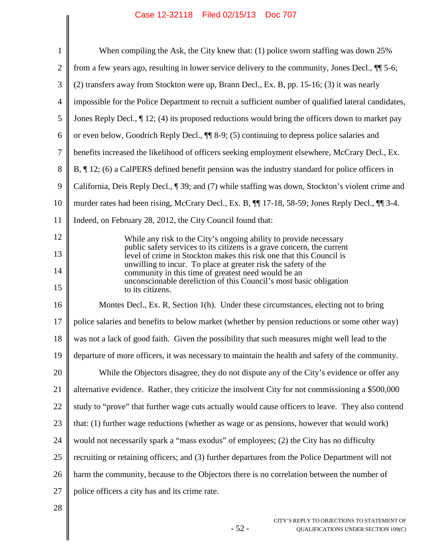|                | Case IZ-32110 Filed 02/13/13 DOC / 07                                                                                                         |
|----------------|-----------------------------------------------------------------------------------------------------------------------------------------------|
| $\mathbf{1}$   | When compiling the Ask, the City knew that: (1) police sworn staffing was down 25%                                                            |
| $\overline{2}$ | from a few years ago, resulting in lower service delivery to the community, Jones Decl., $\P$ 5-6;                                            |
| 3              | (2) transfers away from Stockton were up, Brann Decl., Ex. B, pp. 15-16; (3) it was nearly                                                    |
| $\overline{4}$ | impossible for the Police Department to recruit a sufficient number of qualified lateral candidates,                                          |
| 5              | Jones Reply Decl., $\P$ 12; (4) its proposed reductions would bring the officers down to market pay                                           |
| 6              | or even below, Goodrich Reply Decl., $\P$ 8-9; (5) continuing to depress police salaries and                                                  |
| 7              | benefits increased the likelihood of officers seeking employment elsewhere, McCrary Decl., Ex.                                                |
| 8              | B, $\P$ 12; (6) a CalPERS defined benefit pension was the industry standard for police officers in                                            |
| 9              | California, Deis Reply Decl., ¶ 39; and (7) while staffing was down, Stockton's violent crime and                                             |
|                |                                                                                                                                               |
| 10             | murder rates had been rising, McCrary Decl., Ex. B, $\P$ 17-18, 58-59; Jones Reply Decl., $\P$ 3-4.                                           |
| 11             | Indeed, on February 28, 2012, the City Council found that:                                                                                    |
| 12             | While any risk to the City's ongoing ability to provide necessary<br>public safety services to its citizens is a grave concern, the current   |
| 13             | level of crime in Stockton makes this risk one that this Council is<br>unwilling to incur. To place at greater risk the safety of the         |
| 14<br>15       | community in this time of greatest need would be an<br>unconscionable dereliction of this Council's most basic obligation<br>to its citizens. |
| 16             | Montes Decl., Ex. R, Section 1(h). Under these circumstances, electing not to bring                                                           |
| 17             | police salaries and benefits to below market (whether by pension reductions or some other way)                                                |
| 18             | was not a lack of good faith. Given the possibility that such measures might well lead to the                                                 |
| 19             | departure of more officers, it was necessary to maintain the health and safety of the community.                                              |
| 20             | While the Objectors disagree, they do not dispute any of the City's evidence or offer any                                                     |
| 21             | alternative evidence. Rather, they criticize the insolvent City for not commissioning a \$500,000                                             |
| 22             | study to "prove" that further wage cuts actually would cause officers to leave. They also contend                                             |
| 23             | that: (1) further wage reductions (whether as wage or as pensions, however that would work)                                                   |
| 24             | would not necessarily spark a "mass exodus" of employees; (2) the City has no difficulty                                                      |
| 25             | recruiting or retaining officers; and (3) further departures from the Police Department will not                                              |
| 26             | harm the community, because to the Objectors there is no correlation between the number of                                                    |
| 27             | police officers a city has and its crime rate.                                                                                                |
| 28             |                                                                                                                                               |

- 52 -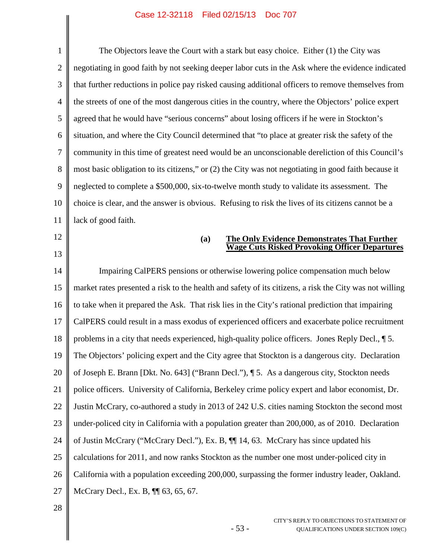1 2 3 4 5 6 7 8 9 10 11 12 13 14 15 16 17 18 19 20 21 22 23 24 25 26 27 The Objectors leave the Court with a stark but easy choice. Either (1) the City was negotiating in good faith by not seeking deeper labor cuts in the Ask where the evidence indicated that further reductions in police pay risked causing additional officers to remove themselves from the streets of one of the most dangerous cities in the country, where the Objectors' police expert agreed that he would have "serious concerns" about losing officers if he were in Stockton's situation, and where the City Council determined that "to place at greater risk the safety of the community in this time of greatest need would be an unconscionable dereliction of this Council's most basic obligation to its citizens," or (2) the City was not negotiating in good faith because it neglected to complete a \$500,000, six-to-twelve month study to validate its assessment. The choice is clear, and the answer is obvious. Refusing to risk the lives of its citizens cannot be a lack of good faith. **(a) The Only Evidence Demonstrates That Further Wage Cuts Risked Provoking Officer Departures** Impairing CalPERS pensions or otherwise lowering police compensation much below market rates presented a risk to the health and safety of its citizens, a risk the City was not willing to take when it prepared the Ask. That risk lies in the City's rational prediction that impairing CalPERS could result in a mass exodus of experienced officers and exacerbate police recruitment problems in a city that needs experienced, high-quality police officers. Jones Reply Decl., ¶ 5. The Objectors' policing expert and the City agree that Stockton is a dangerous city. Declaration of Joseph E. Brann [Dkt. No. 643] ("Brann Decl."), ¶ 5. As a dangerous city, Stockton needs police officers. University of California, Berkeley crime policy expert and labor economist, Dr. Justin McCrary, co-authored a study in 2013 of 242 U.S. cities naming Stockton the second most under-policed city in California with a population greater than 200,000, as of 2010. Declaration of Justin McCrary ("McCrary Decl."), Ex. B, ¶¶ 14, 63. McCrary has since updated his calculations for 2011, and now ranks Stockton as the number one most under-policed city in California with a population exceeding 200,000, surpassing the former industry leader, Oakland. McCrary Decl., Ex. B, ¶¶ 63, 65, 67.

- 53 -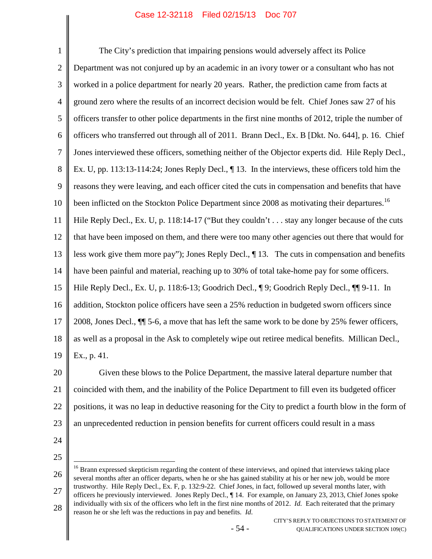1 2 3 4 5 6 7 8 9 10 11 12 13 14 15 16 17 18 19 The City's prediction that impairing pensions would adversely affect its Police Department was not conjured up by an academic in an ivory tower or a consultant who has not worked in a police department for nearly 20 years. Rather, the prediction came from facts at ground zero where the results of an incorrect decision would be felt. Chief Jones saw 27 of his officers transfer to other police departments in the first nine months of 2012, triple the number of officers who transferred out through all of 2011. Brann Decl., Ex. B [Dkt. No. 644], p. 16. Chief Jones interviewed these officers, something neither of the Objector experts did. Hile Reply Decl., Ex. U, pp. 113:13-114:24; Jones Reply Decl., ¶ 13. In the interviews, these officers told him the reasons they were leaving, and each officer cited the cuts in compensation and benefits that have been inflicted on the Stockton Police Department since 2008 as motivating their departures.<sup>[16](#page-60-0)</sup> Hile Reply Decl., Ex. U, p. 118:14-17 ("But they couldn't . . . stay any longer because of the cuts that have been imposed on them, and there were too many other agencies out there that would for less work give them more pay"); Jones Reply Decl., ¶ 13. The cuts in compensation and benefits have been painful and material, reaching up to 30% of total take-home pay for some officers. Hile Reply Decl., Ex. U, p. 118:6-13; Goodrich Decl., ¶ 9; Goodrich Reply Decl., ¶ 9-11. In addition, Stockton police officers have seen a 25% reduction in budgeted sworn officers since 2008, Jones Decl., ¶¶ 5-6, a move that has left the same work to be done by 25% fewer officers, as well as a proposal in the Ask to completely wipe out retiree medical benefits. Millican Decl., Ex., p. 41.

20 21 22 23 Given these blows to the Police Department, the massive lateral departure number that coincided with them, and the inability of the Police Department to fill even its budgeted officer positions, it was no leap in deductive reasoning for the City to predict a fourth blow in the form of an unprecedented reduction in pension benefits for current officers could result in a mass

24

25

<span id="page-60-0"></span>26 27 28 <sup>16</sup> Brann expressed skepticism regarding the content of these interviews, and opined that interviews taking place several months after an officer departs, when he or she has gained stability at his or her new job, would be more trustworthy. Hile Reply Decl., Ex. F, p. 132:9-22. Chief Jones, in fact, followed up several months later, with officers he previously interviewed. Jones Reply Decl., ¶ 14. For example, on January 23, 2013, Chief Jones spoke individually with six of the officers who left in the first nine months of 2012. *Id.* Each reiterated that the primary reason he or she left was the reductions in pay and benefits. *Id.*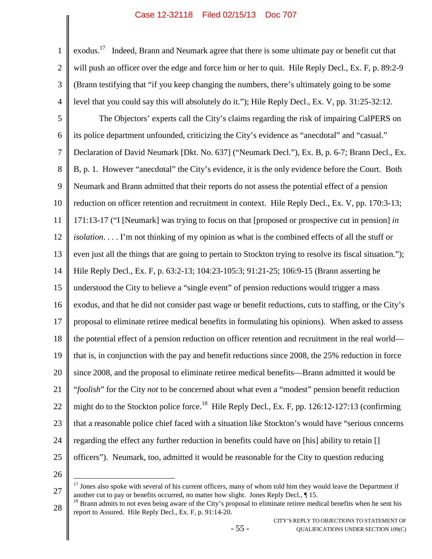exodus.<sup>[17](#page-61-0)</sup> Indeed, Brann and Neumark agree that there is some ultimate pay or benefit cut that will push an officer over the edge and force him or her to quit. Hile Reply Decl., Ex. F, p. 89:2-9 (Brann testifying that "if you keep changing the numbers, there's ultimately going to be some level that you could say this will absolutely do it."); Hile Reply Decl., Ex. V, pp. 31:25-32:12.

5 6 7 8 9 10 11 12 13 14 15 16 17 18 19 20 21 22 23 24 25 The Objectors' experts call the City's claims regarding the risk of impairing CalPERS on its police department unfounded, criticizing the City's evidence as "anecdotal" and "casual." Declaration of David Neumark [Dkt. No. 637] ("Neumark Decl."), Ex. B, p. 6-7; Brann Decl., Ex. B, p. 1. However "anecdotal" the City's evidence, it is the only evidence before the Court. Both Neumark and Brann admitted that their reports do not assess the potential effect of a pension reduction on officer retention and recruitment in context. Hile Reply Decl., Ex. V, pp. 170:3-13; 171:13-17 ("I [Neumark] was trying to focus on that [proposed or prospective cut in pension] *in isolation*. . . . I'm not thinking of my opinion as what is the combined effects of all the stuff or even just all the things that are going to pertain to Stockton trying to resolve its fiscal situation."); Hile Reply Decl., Ex. F, p. 63:2-13; 104:23-105:3; 91:21-25; 106:9-15 (Brann asserting he understood the City to believe a "single event" of pension reductions would trigger a mass exodus, and that he did not consider past wage or benefit reductions, cuts to staffing, or the City's proposal to eliminate retiree medical benefits in formulating his opinions). When asked to assess the potential effect of a pension reduction on officer retention and recruitment in the real world that is, in conjunction with the pay and benefit reductions since 2008, the 25% reduction in force since 2008, and the proposal to eliminate retiree medical benefits—Brann admitted it would be "*foolish*" for the City *not* to be concerned about what even a "modest" pension benefit reduction might do to the Stockton police force.<sup>[18](#page-61-1)</sup> Hile Reply Decl., Ex. F, pp. 126:12-127:13 (confirming that a reasonable police chief faced with a situation like Stockton's would have "serious concerns regarding the effect any further reduction in benefits could have on [his] ability to retain [] officers"). Neumark, too, admitted it would be reasonable for the City to question reducing

26

1

2

3

<span id="page-61-0"></span><sup>27</sup>  $17$  Jones also spoke with several of his current officers, many of whom told him they would leave the Department if another cut to pay or benefits occurred, no matter how slight. Jones Reply Decl., ¶ 15.

<span id="page-61-1"></span><sup>28</sup> <sup>18</sup> Brann admits to not even being aware of the City's proposal to eliminate retiree medical benefits when he sent his report to Assured. Hile Reply Decl., Ex. F, p. 91:14-20.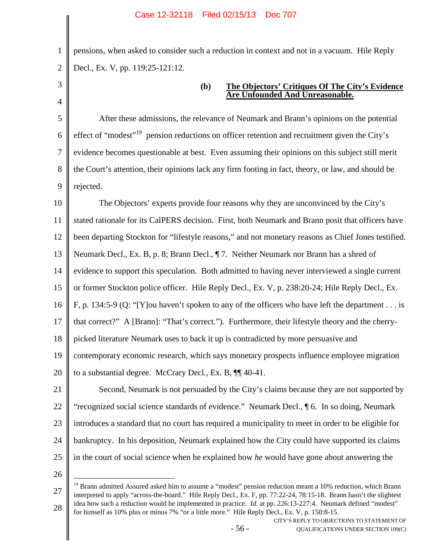pensions, when asked to consider such a reduction in context and not in a vacuum. Hile Reply Decl., Ex. V, pp. 119:25-121:12.

1

2

3

4

## **(b) The Objectors' Critiques Of The City's Evidence Are Unfounded And Unreasonable.**

5 6 7 8 9 After these admissions, the relevance of Neumark and Brann's opinions on the potential effect of "modest"<sup>[19](#page-62-0)</sup> pension reductions on officer retention and recruitment given the City's evidence becomes questionable at best. Even assuming their opinions on this subject still merit the Court's attention, their opinions lack any firm footing in fact, theory, or law, and should be rejected.

10 11 12 13 14 15 16 17 18 19 20 21 22 23 The Objectors' experts provide four reasons why they are unconvinced by the City's stated rationale for its CalPERS decision. First, both Neumark and Brann posit that officers have been departing Stockton for "lifestyle reasons," and not monetary reasons as Chief Jones testified. Neumark Decl., Ex. B, p. 8; Brann Decl., ¶ 7. Neither Neumark nor Brann has a shred of evidence to support this speculation. Both admitted to having never interviewed a single current or former Stockton police officer. Hile Reply Decl., Ex. V, p. 238:20-24; Hile Reply Decl., Ex. F, p. 134:5-9 (Q: "[Y]ou haven't spoken to any of the officers who have left the department . . . is that correct?" A [Brann]: "That's correct."). Furthermore, their lifestyle theory and the cherrypicked literature Neumark uses to back it up is contradicted by more persuasive and contemporary economic research, which says monetary prospects influence employee migration to a substantial degree. McCrary Decl., Ex. B, ¶¶ 40-41. Second, Neumark is not persuaded by the City's claims because they are not supported by "recognized social science standards of evidence." Neumark Decl., ¶ 6. In so doing, Neumark introduces a standard that no court has required a municipality to meet in order to be eligible for

24 25

26

bankruptcy. In his deposition, Neumark explained how the City could have supported its claims

<span id="page-62-0"></span>in the court of social science when he explained how *he* would have gone about answering the

<sup>27</sup> 28 <sup>19</sup> Brann admitted Assured asked him to assume a "modest" pension reduction meant a 10% reduction, which Brann interpreted to apply "across-the-board." Hile Reply Decl., Ex. F, pp. 77:22-24, 78:15-18. Brann hasn't the slightest idea how such a reduction would be implemented in practice. *Id.* at pp. 226:13-227:4. Neumark defined "modest" for himself as 10% plus or minus 7% "or a little more." Hile Reply Decl., Ex. V, p. 150:8-15.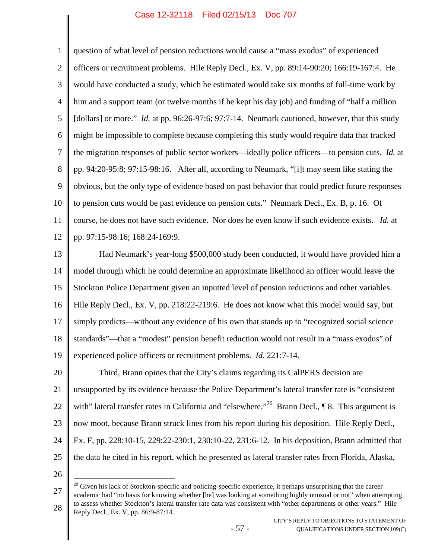1 2 3 4 5 6 7 8 9 10 11 12 13 14 15 16 17 18 19 20 21 22 23 24 25 26 27 question of what level of pension reductions would cause a "mass exodus" of experienced officers or recruitment problems. Hile Reply Decl., Ex. V, pp. 89:14-90:20; 166:19-167:4. He would have conducted a study, which he estimated would take six months of full-time work by him and a support team (or twelve months if he kept his day job) and funding of "half a million [dollars] or more." *Id.* at pp. 96:26-97:6; 97:7-14. Neumark cautioned, however, that this study might be impossible to complete because completing this study would require data that tracked the migration responses of public sector workers—ideally police officers—to pension cuts. *Id.* at pp. 94:20-95:8; 97:15-98:16. After all, according to Neumark, "[i]t may seem like stating the obvious, but the only type of evidence based on past behavior that could predict future responses to pension cuts would be past evidence on pension cuts." Neumark Decl., Ex. B, p. 16. Of course, he does not have such evidence. Nor does he even know if such evidence exists. *Id.* at pp. 97:15-98:16; 168:24-169:9. Had Neumark's year-long \$500,000 study been conducted, it would have provided him a model through which he could determine an approximate likelihood an officer would leave the Stockton Police Department given an inputted level of pension reductions and other variables. Hile Reply Decl., Ex. V, pp. 218:22-219:6. He does not know what this model would say, but simply predicts—without any evidence of his own that stands up to "recognized social science standards"—that a "modest" pension benefit reduction would not result in a "mass exodus" of experienced police officers or recruitment problems. *Id*. 221:7-14. Third, Brann opines that the City's claims regarding its CalPERS decision are unsupported by its evidence because the Police Department's lateral transfer rate is "consistent with" lateral transfer rates in California and "elsewhere."<sup>[20](#page-63-0)</sup> Brann Decl., ¶ 8. This argument is now moot, because Brann struck lines from his report during his deposition. Hile Reply Decl., Ex. F, pp. 228:10-15, 229:22-230:1, 230:10-22, 231:6-12. In his deposition, Brann admitted that the data he cited in his report, which he presented as lateral transfer rates from Florida, Alaska,  $20$  Given his lack of Stockton-specific and policing-specific experience, it perhaps unsurprising that the career

<span id="page-63-0"></span>28 academic had "no basis for knowing whether [he] was looking at something highly unusual or not" when attempting to assess whether Stockton's lateral transfer rate data was consistent with "other departments or other years." Hile Reply Decl., Ex. V, pp. 86:9-87:14.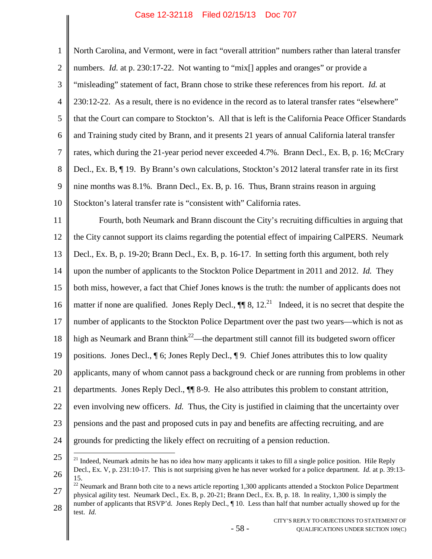1 2 3 4 5 6 7 8 9 10 11 12 13 14 15 16 17 18 19 20 21 22 23 24 25 26 North Carolina, and Vermont, were in fact "overall attrition" numbers rather than lateral transfer numbers. *Id.* at p. 230:17-22. Not wanting to "mix<sup>[]</sup> apples and oranges" or provide a "misleading" statement of fact, Brann chose to strike these references from his report. *Id.* at 230:12-22. As a result, there is no evidence in the record as to lateral transfer rates "elsewhere" that the Court can compare to Stockton's. All that is left is the California Peace Officer Standards and Training study cited by Brann, and it presents 21 years of annual California lateral transfer rates, which during the 21-year period never exceeded 4.7%. Brann Decl., Ex. B, p. 16; McCrary Decl., Ex. B, ¶ 19. By Brann's own calculations, Stockton's 2012 lateral transfer rate in its first nine months was 8.1%. Brann Decl., Ex. B, p. 16. Thus, Brann strains reason in arguing Stockton's lateral transfer rate is "consistent with" California rates. Fourth, both Neumark and Brann discount the City's recruiting difficulties in arguing that the City cannot support its claims regarding the potential effect of impairing CalPERS. Neumark Decl., Ex. B, p. 19-20; Brann Decl., Ex. B, p. 16-17. In setting forth this argument, both rely upon the number of applicants to the Stockton Police Department in 2011 and 2012. *Id.* They both miss, however, a fact that Chief Jones knows is the truth: the number of applicants does not matter if none are qualified. Jones Reply Decl.,  $\P\P$  8, 12.<sup>[21](#page-64-0)</sup> Indeed, it is no secret that despite the number of applicants to the Stockton Police Department over the past two years—which is not as high as Neumark and Brann think<sup>[22](#page-64-1)</sup>—the department still cannot fill its budgeted sworn officer positions. Jones Decl., ¶ 6; Jones Reply Decl., ¶ 9. Chief Jones attributes this to low quality applicants, many of whom cannot pass a background check or are running from problems in other departments. Jones Reply Decl., ¶¶ 8-9. He also attributes this problem to constant attrition, even involving new officers. *Id.* Thus, the City is justified in claiming that the uncertainty over pensions and the past and proposed cuts in pay and benefits are affecting recruiting, and are grounds for predicting the likely effect on recruiting of a pension reduction. <sup>21</sup> Indeed, Neumark admits he has no idea how many applicants it takes to fill a single police position. Hile Reply Decl., Ex. V, p. 231:10-17. This is not surprising given he has never worked for a police department. *Id.* at p. 39:13- 15.

<span id="page-64-1"></span><span id="page-64-0"></span>27 28 <sup>22</sup> Neumark and Brann both cite to a news article reporting 1,300 applicants attended a Stockton Police Department physical agility test. Neumark Decl., Ex. B, p. 20-21; Brann Decl., Ex. B, p. 18. In reality, 1,300 is simply the number of applicants that RSVP'd. Jones Reply Decl., ¶ 10. Less than half that number actually showed up for the

- 58 -

test. *Id.*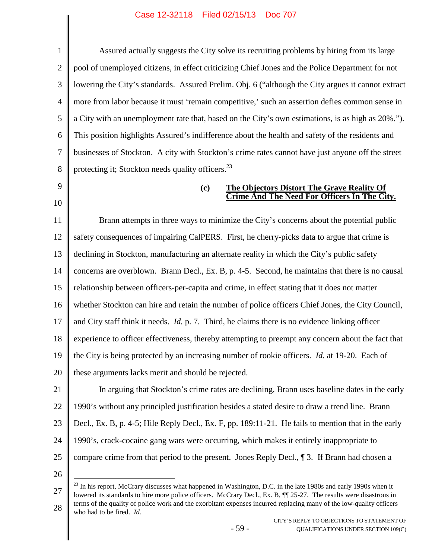1 2 3 4 5 6 7 8 9 10 11 12 13 14 15 16 17 18 19 20 21 22 23 24 25 26 27 Assured actually suggests the City solve its recruiting problems by hiring from its large pool of unemployed citizens, in effect criticizing Chief Jones and the Police Department for not lowering the City's standards. Assured Prelim. Obj. 6 ("although the City argues it cannot extract more from labor because it must 'remain competitive,' such an assertion defies common sense in a City with an unemployment rate that, based on the City's own estimations, is as high as 20%."). This position highlights Assured's indifference about the health and safety of the residents and businesses of Stockton. A city with Stockton's crime rates cannot have just anyone off the street protecting it; Stockton needs quality officers. $^{23}$  $^{23}$  $^{23}$ **(c) The Objectors Distort The Grave Reality Of Crime And The Need For Officers In The City.** Brann attempts in three ways to minimize the City's concerns about the potential public safety consequences of impairing CalPERS. First, he cherry-picks data to argue that crime is declining in Stockton, manufacturing an alternate reality in which the City's public safety concerns are overblown. Brann Decl., Ex. B, p. 4-5. Second, he maintains that there is no causal relationship between officers-per-capita and crime, in effect stating that it does not matter whether Stockton can hire and retain the number of police officers Chief Jones, the City Council, and City staff think it needs. *Id.* p. 7. Third, he claims there is no evidence linking officer experience to officer effectiveness, thereby attempting to preempt any concern about the fact that the City is being protected by an increasing number of rookie officers. *Id.* at 19-20. Each of these arguments lacks merit and should be rejected. In arguing that Stockton's crime rates are declining, Brann uses baseline dates in the early 1990's without any principled justification besides a stated desire to draw a trend line. Brann Decl., Ex. B, p. 4-5; Hile Reply Decl., Ex. F, pp. 189:11-21. He fails to mention that in the early 1990's, crack-cocaine gang wars were occurring, which makes it entirely inappropriate to compare crime from that period to the present. Jones Reply Decl., ¶ 3. If Brann had chosen a  $23$  In his report, McCrary discusses what happened in Washington, D.C. in the late 1980s and early 1990s when it lowered its standards to hire more police officers. McCrary Decl., Ex. B,  $\P$  25-27. The results were disastrous in terms of the quality of police work and the exorbitant expenses incurred replacing many of the low-quality officers

- 59 -

<span id="page-65-0"></span>28 who had to be fired. *Id.*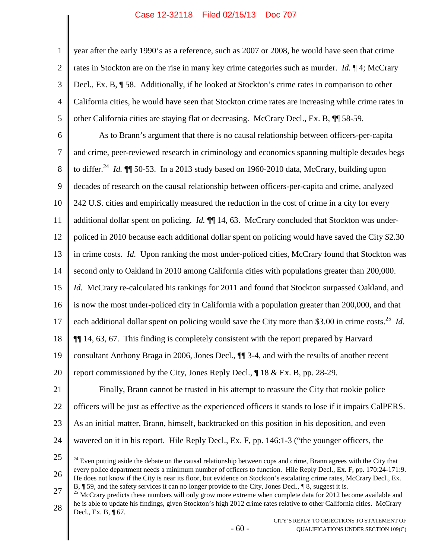3 4 5 year after the early 1990's as a reference, such as 2007 or 2008, he would have seen that crime rates in Stockton are on the rise in many key crime categories such as murder. *Id.* ¶ 4; McCrary Decl., Ex. B, ¶ 58. Additionally, if he looked at Stockton's crime rates in comparison to other California cities, he would have seen that Stockton crime rates are increasing while crime rates in other California cities are staying flat or decreasing. McCrary Decl., Ex. B, ¶¶ 58-59.

6 7 8 9 10 11 12 13 14 15 16 17 18 19 20 21 22 As to Brann's argument that there is no causal relationship between officers-per-capita and crime, peer-reviewed research in criminology and economics spanning multiple decades begs to differ.<sup>[24](#page-66-0)</sup> *Id.* **[1]** 50-53. In a 2013 study based on 1960-2010 data, McCrary, building upon decades of research on the causal relationship between officers-per-capita and crime, analyzed 242 U.S. cities and empirically measured the reduction in the cost of crime in a city for every additional dollar spent on policing. *Id.* ¶¶ 14, 63. McCrary concluded that Stockton was underpoliced in 2010 because each additional dollar spent on policing would have saved the City \$2.30 in crime costs. *Id.* Upon ranking the most under-policed cities, McCrary found that Stockton was second only to Oakland in 2010 among California cities with populations greater than 200,000. *Id.* McCrary re-calculated his rankings for 2011 and found that Stockton surpassed Oakland, and is now the most under-policed city in California with a population greater than 200,000, and that each additional dollar spent on policing would save the City more than \$3.00 in crime costs.<sup>[25](#page-66-1)</sup> *Id.* ¶¶ 14, 63, 67. This finding is completely consistent with the report prepared by Harvard consultant Anthony Braga in 2006, Jones Decl., ¶¶ 3-4, and with the results of another recent report commissioned by the City, Jones Reply Decl., ¶ 18 & Ex. B, pp. 28-29. Finally, Brann cannot be trusted in his attempt to reassure the City that rookie police officers will be just as effective as the experienced officers it stands to lose if it impairs CalPERS.

23

1

2

24 wavered on it in his report. Hile Reply Decl., Ex. F, pp. 146:1-3 ("the younger officers, the

As an initial matter, Brann, himself, backtracked on this position in his deposition, and even

25

<span id="page-66-1"></span>27 28  $25$  McCrary predicts these numbers will only grow more extreme when complete data for 2012 become available and he is able to update his findings, given Stockton's high 2012 crime rates relative to other California cities. McCrary Decl., Ex. B, ¶ 67.

<span id="page-66-0"></span><sup>26</sup>  $24$  Even putting aside the debate on the causal relationship between cops and crime, Brann agrees with the City that every police department needs a minimum number of officers to function. Hile Reply Decl., Ex. F, pp. 170:24-171:9. He does not know if the City is near its floor, but evidence on Stockton's escalating crime rates, McCrary Decl., Ex. B, ¶ 59, and the safety services it can no longer provide to the City, Jones Decl., ¶ 8, suggest it is.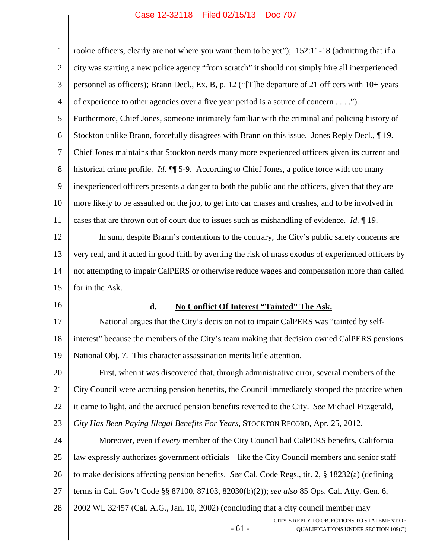- 61 - CITY'S REPLY TO OBJECTIONS TO STATEMENT OF QUALIFICATIONS UNDER SECTION 109(C) 1 2 3 4 5 6 7 8 9 10 11 12 13 14 15 16 17 18 19 20 21 22 23 24 25 26 27 28 rookie officers, clearly are not where you want them to be yet"); 152:11-18 (admitting that if a city was starting a new police agency "from scratch" it should not simply hire all inexperienced personnel as officers); Brann Decl., Ex. B, p. 12 ("[T]he departure of 21 officers with 10+ years of experience to other agencies over a five year period is a source of concern . . . ."). Furthermore, Chief Jones, someone intimately familiar with the criminal and policing history of Stockton unlike Brann, forcefully disagrees with Brann on this issue. Jones Reply Decl., ¶ 19. Chief Jones maintains that Stockton needs many more experienced officers given its current and historical crime profile. *Id.*  $\P$  5-9. According to Chief Jones, a police force with too many inexperienced officers presents a danger to both the public and the officers, given that they are more likely to be assaulted on the job, to get into car chases and crashes, and to be involved in cases that are thrown out of court due to issues such as mishandling of evidence. *Id.* ¶ 19. In sum, despite Brann's contentions to the contrary, the City's public safety concerns are very real, and it acted in good faith by averting the risk of mass exodus of experienced officers by not attempting to impair CalPERS or otherwise reduce wages and compensation more than called for in the Ask. **d. No Conflict Of Interest "Tainted" The Ask.** National argues that the City's decision not to impair CalPERS was "tainted by selfinterest" because the members of the City's team making that decision owned CalPERS pensions. National Obj. 7. This character assassination merits little attention. First, when it was discovered that, through administrative error, several members of the City Council were accruing pension benefits, the Council immediately stopped the practice when it came to light, and the accrued pension benefits reverted to the City. *See* Michael Fitzgerald, *City Has Been Paying Illegal Benefits For Years*, STOCKTON RECORD, Apr. 25, 2012. Moreover, even if *every* member of the City Council had CalPERS benefits, California law expressly authorizes government officials—like the City Council members and senior staff to make decisions affecting pension benefits. *See* Cal. Code Regs., tit. 2, § 18232(a) (defining terms in Cal. Gov't Code §§ 87100, 87103, 82030(b)(2)); *see also* 85 Ops. Cal. Atty. Gen. 6, 2002 WL 32457 (Cal. A.G., Jan. 10, 2002) (concluding that a city council member may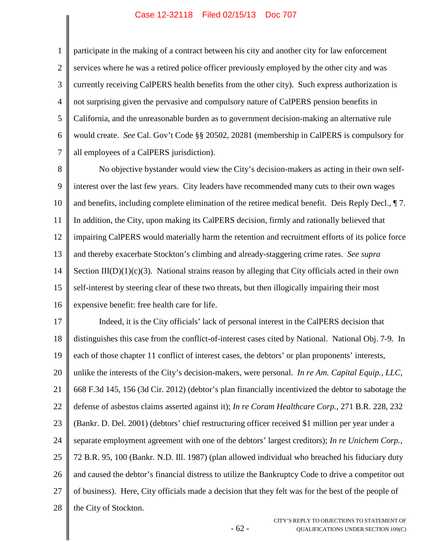1

2

3

4

5

6

7

participate in the making of a contract between his city and another city for law enforcement services where he was a retired police officer previously employed by the other city and was currently receiving CalPERS health benefits from the other city). Such express authorization is not surprising given the pervasive and compulsory nature of CalPERS pension benefits in California, and the unreasonable burden as to government decision-making an alternative rule would create. *See* Cal. Gov't Code §§ 20502, 20281 (membership in CalPERS is compulsory for all employees of a CalPERS jurisdiction).

8 9 10 11 12 13 14 15 16 No objective bystander would view the City's decision-makers as acting in their own selfinterest over the last few years. City leaders have recommended many cuts to their own wages and benefits, including complete elimination of the retiree medical benefit. Deis Reply Decl., ¶ 7. In addition, the City, upon making its CalPERS decision, firmly and rationally believed that impairing CalPERS would materially harm the retention and recruitment efforts of its police force and thereby exacerbate Stockton's climbing and already-staggering crime rates. *See supra* Section  $III(D)(1)(c)(3)$ . National strains reason by alleging that City officials acted in their own self-interest by steering clear of these two threats, but then illogically impairing their most expensive benefit: free health care for life.

17 18 19 20 21 22 23 24 25 26 27 28 Indeed, it is the City officials' lack of personal interest in the CalPERS decision that distinguishes this case from the conflict-of-interest cases cited by National. National Obj. 7-9. In each of those chapter 11 conflict of interest cases, the debtors' or plan proponents' interests, unlike the interests of the City's decision-makers, were personal. *In re Am. Capital Equip., LLC*, 668 F.3d 145, 156 (3d Cir. 2012) (debtor's plan financially incentivized the debtor to sabotage the defense of asbestos claims asserted against it); *In re Coram Healthcare Corp.*, 271 B.R. 228, 232 (Bankr. D. Del. 2001) (debtors' chief restructuring officer received \$1 million per year under a separate employment agreement with one of the debtors' largest creditors); *In re Unichem Corp.*, 72 B.R. 95, 100 (Bankr. N.D. Ill. 1987) (plan allowed individual who breached his fiduciary duty and caused the debtor's financial distress to utilize the Bankruptcy Code to drive a competitor out of business). Here, City officials made a decision that they felt was for the best of the people of the City of Stockton.

- 62 -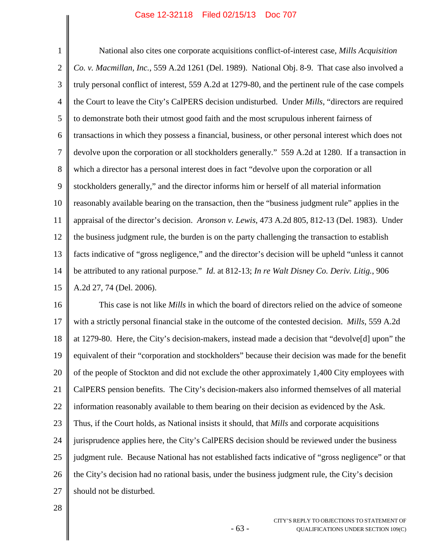1 2 3 4 5 6 7 8 9 10 11 12 13 14 15 National also cites one corporate acquisitions conflict-of-interest case, *Mills Acquisition Co. v. Macmillan, Inc.*, 559 A.2d 1261 (Del. 1989). National Obj. 8-9. That case also involved a truly personal conflict of interest, 559 A.2d at 1279-80, and the pertinent rule of the case compels the Court to leave the City's CalPERS decision undisturbed. Under *Mills*, "directors are required to demonstrate both their utmost good faith and the most scrupulous inherent fairness of transactions in which they possess a financial, business, or other personal interest which does not devolve upon the corporation or all stockholders generally." 559 A.2d at 1280. If a transaction in which a director has a personal interest does in fact "devolve upon the corporation or all stockholders generally," and the director informs him or herself of all material information reasonably available bearing on the transaction, then the "business judgment rule" applies in the appraisal of the director's decision. *Aronson v. Lewis*, 473 A.2d 805, 812-13 (Del. 1983). Under the business judgment rule, the burden is on the party challenging the transaction to establish facts indicative of "gross negligence," and the director's decision will be upheld "unless it cannot be attributed to any rational purpose." *Id.* at 812-13; *In re Walt Disney Co. Deriv. Litig.*, 906 A.2d 27, 74 (Del. 2006).

16 17 18 19 20 21 22 23 24 25 26 27 This case is not like *Mills* in which the board of directors relied on the advice of someone with a strictly personal financial stake in the outcome of the contested decision. *Mills*, 559 A.2d at 1279-80. Here, the City's decision-makers, instead made a decision that "devolve[d] upon" the equivalent of their "corporation and stockholders" because their decision was made for the benefit of the people of Stockton and did not exclude the other approximately 1,400 City employees with CalPERS pension benefits. The City's decision-makers also informed themselves of all material information reasonably available to them bearing on their decision as evidenced by the Ask. Thus, if the Court holds, as National insists it should, that *Mills* and corporate acquisitions jurisprudence applies here, the City's CalPERS decision should be reviewed under the business judgment rule. Because National has not established facts indicative of "gross negligence" or that the City's decision had no rational basis, under the business judgment rule, the City's decision should not be disturbed.

- 63 -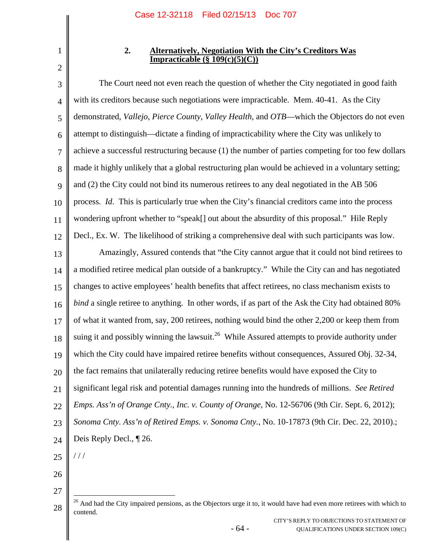# **2. Alternatively, Negotiation With the City's Creditors Was Impracticable (§ 109(c)(5)(C))**

3 4 5 6 7 8 9 10 11 12 The Court need not even reach the question of whether the City negotiated in good faith with its creditors because such negotiations were impracticable. Mem. 40-41. As the City demonstrated, *Vallejo*, *Pierce County*, *Valley Health*, and *OTB*—which the Objectors do not even attempt to distinguish—dictate a finding of impracticability where the City was unlikely to achieve a successful restructuring because (1) the number of parties competing for too few dollars made it highly unlikely that a global restructuring plan would be achieved in a voluntary setting; and (2) the City could not bind its numerous retirees to any deal negotiated in the AB 506 process. *Id*. This is particularly true when the City's financial creditors came into the process wondering upfront whether to "speak[] out about the absurdity of this proposal." Hile Reply Decl., Ex. W. The likelihood of striking a comprehensive deal with such participants was low.

13 14 15 16 17 18 19 20 21 22 23 24 Amazingly, Assured contends that "the City cannot argue that it could not bind retirees to a modified retiree medical plan outside of a bankruptcy." While the City can and has negotiated changes to active employees' health benefits that affect retirees, no class mechanism exists to *bind* a single retiree to anything. In other words, if as part of the Ask the City had obtained 80% of what it wanted from, say, 200 retirees, nothing would bind the other 2,200 or keep them from suing it and possibly winning the lawsuit.<sup>[26](#page-70-0)</sup> While Assured attempts to provide authority under which the City could have impaired retiree benefits without consequences, Assured Obj. 32-34, the fact remains that unilaterally reducing retiree benefits would have exposed the City to significant legal risk and potential damages running into the hundreds of millions. *See Retired Emps. Ass'n of Orange Cnty., Inc. v. County of Orange*, No. 12-56706 (9th Cir. Sept. 6, 2012); *Sonoma Cnty. Ass'n of Retired Emps. v. Sonoma Cnty.*, No. 10-17873 (9th Cir. Dec. 22, 2010).; Deis Reply Decl., ¶ 26.

25 / / /

26

27

- 64 -

<sup>1</sup> 2

<span id="page-70-0"></span><sup>28</sup> <sup>26</sup> And had the City impaired pensions, as the Objectors urge it to, it would have had even more retirees with which to contend.